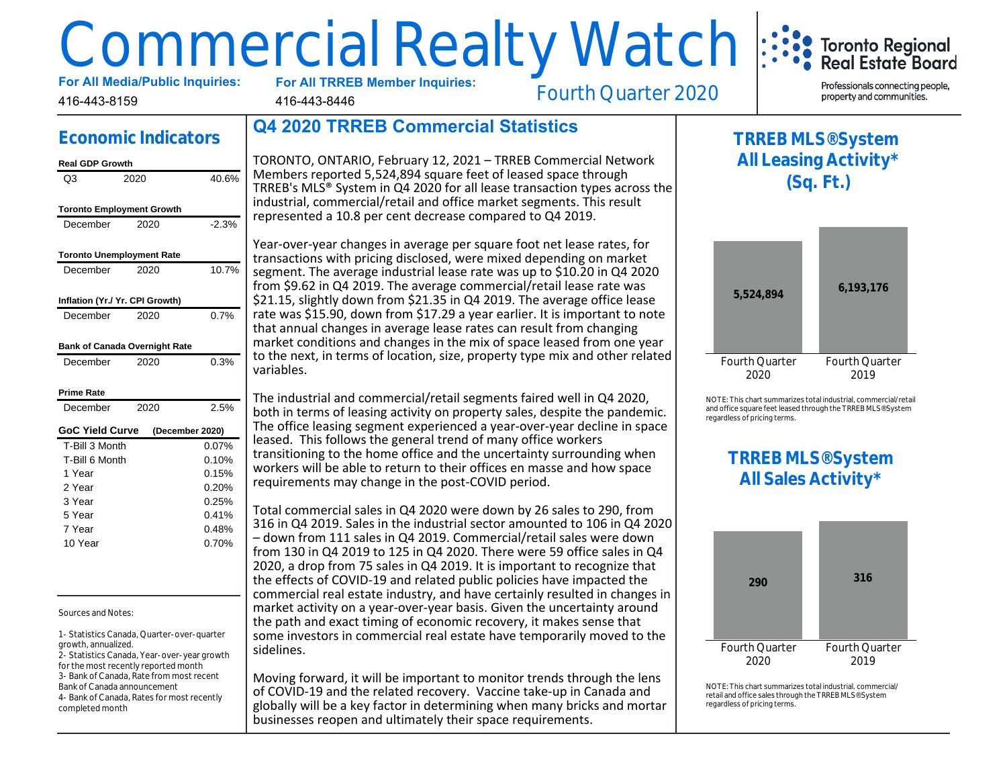# Commercial Realty Watch

**For All TRREB Member Inquiries:**

416-443-8446

Fourth Quarter 2020

Professionals connecting people. property and communities.

Toronto Regional<br>Real Estate Board

# **Economic Indicators**

#### **Real GDP Growth**

416-443-8159

| Q3                                   | 2020 | 40.6%           |
|--------------------------------------|------|-----------------|
| <b>Toronto Employment Growth</b>     |      |                 |
| December                             | 2020 | $-2.3%$         |
|                                      |      |                 |
| <b>Toronto Unemployment Rate</b>     |      |                 |
| December                             | 2020 | 10.7%           |
| Inflation (Yr./ Yr. CPI Growth)      |      |                 |
|                                      |      |                 |
| December                             | 2020 | 0.7%            |
| <b>Bank of Canada Overnight Rate</b> |      |                 |
|                                      |      |                 |
| December                             | 2020 | 0.3%            |
| <b>Prime Rate</b>                    |      |                 |
| December                             | 2020 | 2.5%            |
| <b>GoC Yield Curve</b>               |      | (December 2020) |
| T-Bill 3 Month                       |      | 0.07%           |
| T-Bill 6 Month                       |      | 0.10%           |
| 1 Year                               |      | 0.15%           |
| 2 Year                               |      | 0.20%           |
| 3 Year                               |      | 0.25%           |
| 5 Year                               |      | 0.41%           |
| 7 Year                               |      | 0.48%           |
| 10 Year                              |      | 0.70%           |

#### Sources and Notes:

1- Statistics Canada, Quarter-over-quarter growth, annualized. 2- Statistics Canada, Year-over-year growth for the most recently reported month 3- Bank of Canada, Rate from most recent Bank of Canada announcement 4- Bank of Canada, Rates for most recently completed month

# **Q4 2020 TRREB Commercial Statistics**

TORONTO, ONTARIO, February 12, 2021 – TRREB Commercial Network Members reported 5,524,894 square feet of leased space through TRREB's MLS® System in Q4 2020 for all lease transaction types across the industrial, commercial/retail and office market segments. This result represented a 10.8 per cent decrease compared to Q4 2019.

Year-over-year changes in average per square foot net lease rates, for transactions with pricing disclosed, were mixed depending on market segment. The average industrial lease rate was up to \$10.20 in Q4 2020 from \$9.62 in Q4 2019. The average commercial/retail lease rate was \$21.15, slightly down from \$21.35 in Q4 2019. The average office lease rate was \$15.90, down from \$17.29 a year earlier. It is important to note that annual changes in average lease rates can result from changing market conditions and changes in the mix of space leased from one year to the next, in terms of location, size, property type mix and other related variables.

The industrial and commercial/retail segments faired well in Q4 2020, both in terms of leasing activity on property sales, despite the pandemic. The office leasing segment experienced a year-over-year decline in space leased. This follows the general trend of many office workers transitioning to the home office and the uncertainty surrounding when workers will be able to return to their offices en masse and how space requirements may change in the post-COVID period.

Total commercial sales in Q4 2020 were down by 26 sales to 290, from 316 in Q4 2019. Sales in the industrial sector amounted to 106 in Q4 2020 – down from 111 sales in Q4 2019. Commercial/retail sales were down from 130 in Q4 2019 to 125 in Q4 2020. There were 59 office sales in Q4 2020, a drop from 75 sales in Q4 2019. It is important to recognize that the effects of COVID-19 and related public policies have impacted the commercial real estate industry, and have certainly resulted in changes in market activity on a year-over-year basis. Given the uncertainty around the path and exact timing of economic recovery, it makes sense that some investors in commercial real estate have temporarily moved to the sidelines.

Moving forward, it will be important to monitor trends through the lens of COVID-19 and the related recovery. Vaccine take-up in Canada and globally will be a key factor in determining when many bricks and mortar businesses reopen and ultimately their space requirements.





NOTE: This chart summarizes total industrial, commercial/retail and office square feet leased through the TRREB MLS® System regardless of pricing terms.

# **TRREB MLS® System All Sales Activity\***



NOTE: This chart summarizes total industrial, commercial/ retail and office sales through the TRREB MLS® System regardless of pricing terms.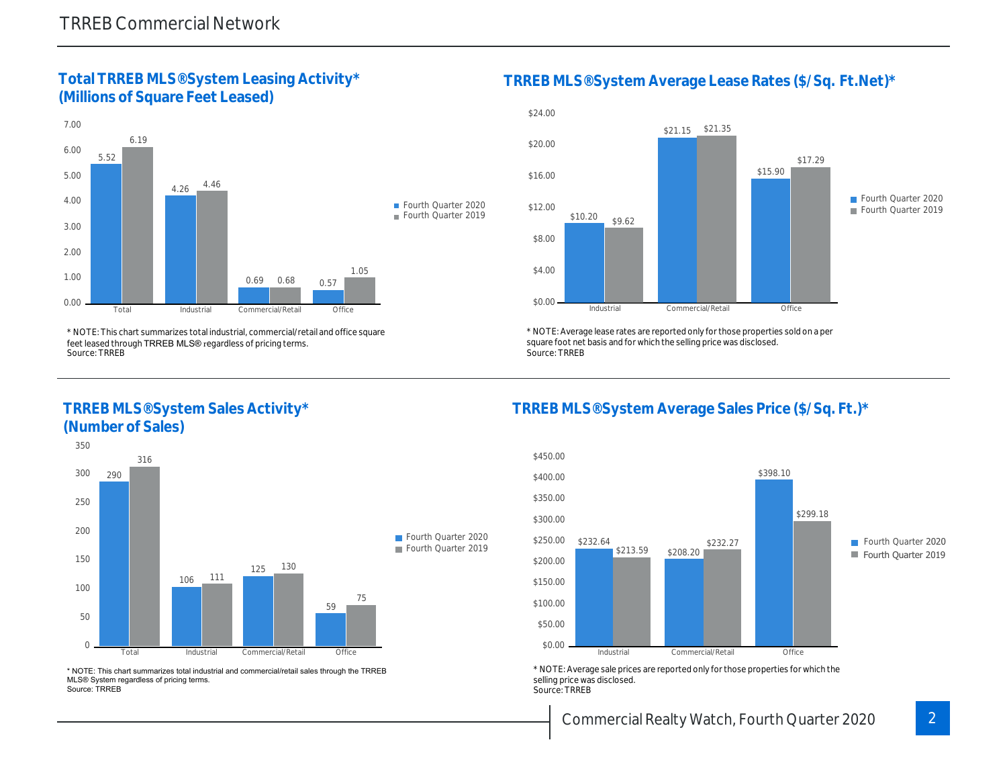#### **Total TRREB MLS® System Leasing Activity\* (Millions of Square Feet Leased)**



\* NOTE: This chart summarizes total industrial, commercial/retail and office square feet leased through TRREB MLS® regardless of pricing terms. Source: TRREB

#### **TRREB MLS® System Sales Activity\* (Number of Sales)**



\* NOTE: This chart summarizes total industrial and commercial/retail sales through the TRREB MLS® System regardless of pricing terms. Source: TRREB

**TRREB MLS® System Average Lease Rates (\$/Sq. Ft.Net)\***



\* NOTE: Average lease rates are reported only for those properties sold on a per square foot net basis and for which the selling price was disclosed. Source: TRREB

### **TRREB MLS® System Average Sales Price (\$/Sq. Ft.)\***



\* NOTE: Average sale prices are reported only for those properties for which the selling price was disclosed. Source: TRREB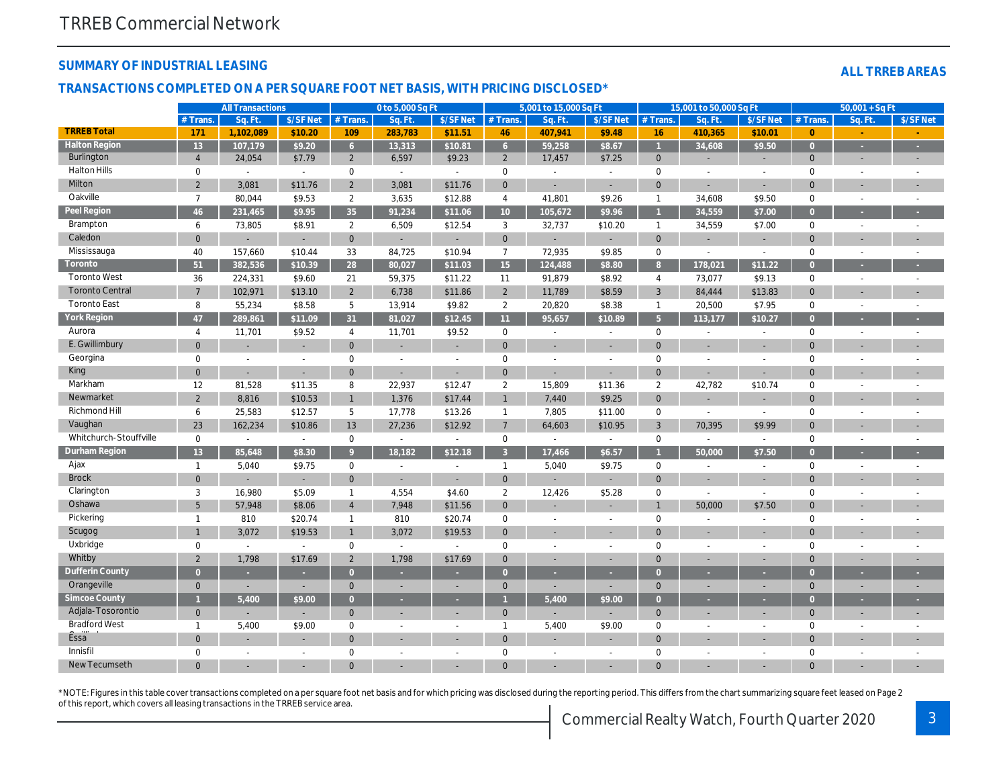#### **SUMMARY OF INDUSTRIAL LEASING**

#### **ALL TRREB AREAS**

#### **TRANSACTIONS COMPLETED ON A PER SQUARE FOOT NET BASIS, WITH PRICING DISCLOSED\***

|                        |                | <b>All Transactions</b>  |           |                | 0 to 5,000 Sq Ft            |                          |                 | 5,001 to 15,000 Sq Ft    |                          |                | 15,001 to 50,000 Sq Ft |                |                     | $50,001 + SqFt$          |                          |
|------------------------|----------------|--------------------------|-----------|----------------|-----------------------------|--------------------------|-----------------|--------------------------|--------------------------|----------------|------------------------|----------------|---------------------|--------------------------|--------------------------|
|                        | $#$ Trans      | Sq. Ft                   | \$/SF Net | # Trans.       | -Sq. Ft.                    | \$/SF Net                | $#$ Trans       | Sq. Ft                   | \$/SF Net                | $#$ Trans.     | Sq. Ft.                | \$/SF Net      | # Trans.            | Sq. Ft                   | \$/SF Net                |
| <b>TRREB Total</b>     | 171            | 1.102.089                | \$10.20   | 109            | 283,783                     | \$11.51                  | 46              | 407,941                  | \$9.48                   | 16             | 410,365                | \$10.01        | $\overline{0}$      |                          |                          |
| <b>Halton Region</b>   | 13             | 107,179                  | \$9.20    | 6 <sup>1</sup> | 13,313                      | \$10.81                  | 6               | 59,258                   | \$8.67                   | $\overline{1}$ | 34.608                 | \$9.50         | $\overline{0}$      |                          | ×.                       |
| Burlington             | $\overline{4}$ | 24,054                   | \$7.79    | 2              | 6,597                       | \$9.23                   | $\overline{2}$  | 17,457                   | \$7.25                   | $\mathbf{0}$   |                        |                | $\overline{0}$      |                          |                          |
| Halton Hills           | $\Omega$       | $\sim$                   |           | $\mathbf 0$    | $\sim$                      | $\overline{a}$           | $\mathbf 0$     |                          | $\sim$                   | $\mathbf 0$    | $\overline{a}$         |                | $\mathbf 0$         |                          |                          |
| Milton                 | 2              | 3,081                    | \$11.76   | $\overline{2}$ | 3,081                       | \$11.76                  | $\overline{0}$  |                          | $\sim$                   | $\mathbf{0}$   | ÷.                     |                | $\mathbf{0}$        |                          |                          |
| Oakville               | $\overline{7}$ | 80,044                   | \$9.53    | $\overline{2}$ | 3,635                       | \$12.88                  | $\overline{4}$  | 41,801                   | \$9.26                   | $\mathbf{1}$   | 34,608                 | \$9.50         | $\mathbf 0$         | $\sim$                   | $\overline{\phantom{a}}$ |
| Peel Region            | 46             | 231,465                  | \$9.95    | 35             | 91,234                      | \$11.06                  | 10 <sup>°</sup> | 105,672                  | \$9.96                   |                | 34,559                 | \$7.00         | $\overline{0}$      |                          |                          |
| Brampton               | 6              | 73,805                   | \$8.91    | $\overline{2}$ | 6,509                       | \$12.54                  | 3               | 32,737                   | \$10.20                  | $\mathbf{1}$   | 34,559                 | \$7.00         | $\mathbf 0$         |                          |                          |
| Caledon                | $\Omega$       |                          |           | $\mathbf{0}$   |                             | $\overline{a}$           | $\mathbf 0$     |                          |                          | $\mathbf{0}$   |                        |                | $\overline{0}$      |                          |                          |
| Mississauga            | 40             | 157,660                  | \$10.44   | 33             | 84,725                      | \$10.94                  | $\overline{7}$  | 72,935                   | \$9.85                   | $\mathbf 0$    | $\sim$                 | $\sim$         | $\mathbf 0$         | $\sim$                   | $\overline{\phantom{a}}$ |
| Toronto                | 51             | 382,536                  | \$10.39   | 28             | 80,027                      | \$11.03                  | 15              | 124,488                  | \$8.80                   | 8 <sup>°</sup> | 178,021                | \$11.22        | $\overline{0}$      |                          |                          |
| <b>Toronto West</b>    | 36             | 224,331                  | \$9.60    | 21             | 59,375                      | \$11.22                  | 11              | 91,879                   | \$8.92                   | $\overline{4}$ | 73,077                 | \$9.13         | $\mathbf 0$         |                          |                          |
| <b>Toronto Central</b> | $\overline{7}$ | 102,971                  | \$13.10   | $\overline{2}$ | 6,738                       | \$11.86                  | $\overline{2}$  | 11,789                   | \$8.59                   | $\mathbf{3}$   | 84,444                 | \$13.83        | $\mathbf 0$         |                          |                          |
| <b>Toronto East</b>    | 8              | 55,234                   | \$8.58    | 5              | 13,914                      | \$9.82                   | $\overline{2}$  | 20,820                   | \$8.38                   | $\mathbf{1}$   | 20,500                 | \$7.95         | $\mathbf 0$         | $\overline{\phantom{a}}$ | $\overline{\phantom{a}}$ |
| York Region            | 47             | 289,861                  | \$11.09   | 31             | 81,027                      | \$12.45                  | 11              | 95,657                   | \$10.89                  | 5 <sub>5</sub> | 113,177                | \$10.27        | $\overline{0}$      |                          | ٠                        |
| Aurora                 | $\overline{4}$ | 11,701                   | \$9.52    | $\overline{4}$ | 11,701                      | \$9.52                   | $\mathbf 0$     | $\sim$                   | $\mathbb{L}$             | $\mathbf 0$    | $\sim$                 | $\sim$         | $\mathbf 0$         |                          | $\overline{a}$           |
| E. Gwillimbury         | $\overline{0}$ | $\overline{\phantom{a}}$ |           | $\mathbf{0}$   | $\sim$                      | $\overline{\phantom{a}}$ | $\overline{0}$  | $\overline{\phantom{a}}$ | $\overline{\phantom{a}}$ | $\Omega$       | $\sim$                 |                | $\Omega$            |                          |                          |
| Georgina               | $\mathbf{0}$   | $\sim$                   | $\sim$    | $\mathbf 0$    | $\overline{a}$              | $\overline{a}$           | $\mathbf 0$     | $\sim$                   | $\sim$                   | $\mathbf 0$    | $\overline{a}$         |                | $\mathbf 0$         |                          |                          |
| King                   | $\Omega$       | $\sim$                   |           | $\Omega$       | ÷.                          | ÷                        | $\mathbf{0}$    | ÷,                       | ÷                        | $\mathbf{0}$   | L,                     |                | $\Omega$            |                          |                          |
| Markham                | 12             | 81,528                   | \$11.35   | 8              | 22,937                      | \$12.47                  | 2               | 15,809                   | \$11.36                  | $\overline{2}$ | 42,782                 | \$10.74        | $\mathbf 0$         |                          |                          |
| Newmarket              | $\overline{2}$ | 8,816                    | \$10.53   | $\mathbf{1}$   | 1,376                       | \$17.44                  | $\overline{1}$  | 7,440                    | \$9.25                   | $\mathbf{0}$   | ÷.                     |                | $\Omega$            |                          |                          |
| Richmond Hill          | 6              | 25,583                   | \$12.57   | 5              | 17,778                      | \$13.26                  | $\overline{1}$  | 7,805                    | \$11.00                  | $\mathbf 0$    | $\sim$                 |                | $\mathbf 0$         |                          |                          |
| Vaughan                | 23             | 162,234                  | \$10.86   | 13             | 27,236                      | \$12.92                  | 7               | 64,603                   | \$10.95                  | $\mathbf{3}$   | 70,395                 | \$9.99         | $\Omega$            |                          |                          |
| Whitchurch-Stouffville | $\mathbf 0$    | $\sim$                   | $\sim$    | $\mathbf 0$    | $\sim$                      | $\sim$                   | $\mathbf 0$     | $\sim$                   | $\sim$                   | $\mathbf 0$    | $\sim$                 | $\sim$         | $\mathbf 0$         |                          |                          |
| <b>Durham Region</b>   | 13             | 85,648                   | \$8.30    | 9              | 18,182                      | \$12.18                  | 3               | 17,466                   | \$6.57                   |                | 50,000                 | \$7.50         | $\overline{0}$      |                          |                          |
| Ajax                   | $\mathbf{1}$   | 5,040                    | \$9.75    | $\mathbf 0$    | $\sim$                      | $\overline{a}$           | $\overline{1}$  | 5,040                    | \$9.75                   | $\mathbf 0$    | $\overline{a}$         | $\sim$         | $\mathsf{O}\xspace$ |                          |                          |
| <b>Brock</b>           | $\Omega$       |                          |           | $\mathbf{0}$   | $\sim$                      | $\overline{a}$           | $\mathbf{0}$    |                          |                          | $\mathbf{0}$   | ÷.                     | $\sim$         | $\Omega$            |                          |                          |
| Clarington             | 3              | 16,980                   | \$5.09    | $\mathbf{1}$   | 4,554                       | \$4.60                   | 2               | 12,426                   | \$5.28                   | $\mathbf 0$    | $\sim$                 |                | $\mathbf 0$         |                          |                          |
| Oshawa                 | 5              | 57,948                   | \$8.06    | $\overline{4}$ | 7,948                       | \$11.56                  | $\mathbf 0$     |                          |                          | $\overline{1}$ | 50,000                 | \$7.50         | $\Omega$            |                          |                          |
| Pickering              | $\mathbf 1$    | 810                      | \$20.74   | $\mathbf{1}$   | 810                         | \$20.74                  | $\mathbf 0$     | $\overline{a}$           | $\overline{\phantom{a}}$ | $\mathbf 0$    | $\overline{a}$         | $\sim$         | $\mathbf 0$         |                          |                          |
| Scugog                 | $\mathbf{1}$   | 3,072                    | \$19.53   | $\mathbf{1}$   | 3,072                       | \$19.53                  | $\mathbf{0}$    |                          |                          | $\mathbf{0}$   |                        |                | $\mathbf{0}$        |                          |                          |
| Uxbridge               | $\mathbf 0$    | $\sim$                   | $\sim$    | $\mathbf 0$    | $\mathcal{L}_{\mathcal{A}}$ | $\overline{a}$           | $\mathbf 0$     | $\overline{a}$           | $\sim$                   | $\Omega$       | $\sim$                 | $\overline{a}$ | $\mathbf 0$         |                          |                          |
| Whitby                 | 2              | 1,798                    | \$17.69   | $\overline{2}$ | 1,798                       | \$17.69                  | $\overline{0}$  |                          | ÷                        | $\Omega$       |                        |                | $\Omega$            |                          |                          |
| Dufferin County        | $\Omega$       |                          |           | $\Omega$       |                             |                          | $\Omega$        |                          |                          | $\Omega$       |                        |                | $\Omega$            |                          |                          |
| Orangeville            | $\mathbf{0}$   | $\overline{a}$           | ÷         | $\mathbf{0}$   | ÷.                          | ÷                        | $\mathbf{0}$    | ÷,                       | $\overline{a}$           | $\mathbf{0}$   | ÷.                     |                | $\mathbf 0$         |                          |                          |
| Simcoe County          |                | 5,400                    | \$9.00    | $\Omega$       | $\sim$                      | ×.                       |                 | 5,400                    | \$9.00                   | $\overline{0}$ |                        |                | $\overline{0}$      |                          |                          |
| Adjala-Tosorontio      | $\mathbf{0}$   |                          |           | $\mathbf{0}$   | $\sim$                      | $\overline{\phantom{a}}$ | $\mathbf{0}$    |                          | $\overline{a}$           | $\mathbf{0}$   | ÷.                     |                | $\mathbf 0$         |                          | $\overline{\phantom{a}}$ |
| <b>Bradford West</b>   | $\mathbf{1}$   | 5,400                    | \$9.00    | $\mathbf 0$    | $\overline{a}$              | $\sim$                   | $\overline{1}$  | 5,400                    | \$9.00                   | $\mathbf 0$    | $\sim$                 | $\sim$         | $\mathbf 0$         | $\overline{\phantom{a}}$ |                          |
| <b>Essa</b>            | $\mathbf{0}$   |                          |           | $\mathbf{0}$   |                             |                          | $\overline{0}$  |                          |                          | $\mathbf{0}$   |                        |                | $\overline{0}$      |                          |                          |
| Innisfil               | $\Omega$       | $\overline{a}$           |           | $\Omega$       |                             | $\overline{a}$           | $\mathbf 0$     | $\overline{a}$           | $\overline{a}$           | $\Omega$       | $\overline{a}$         |                | $\mathbf 0$         |                          |                          |
| New Tecumseth          |                |                          |           |                |                             |                          |                 |                          |                          | $\Omega$       |                        |                | $\Omega$            |                          |                          |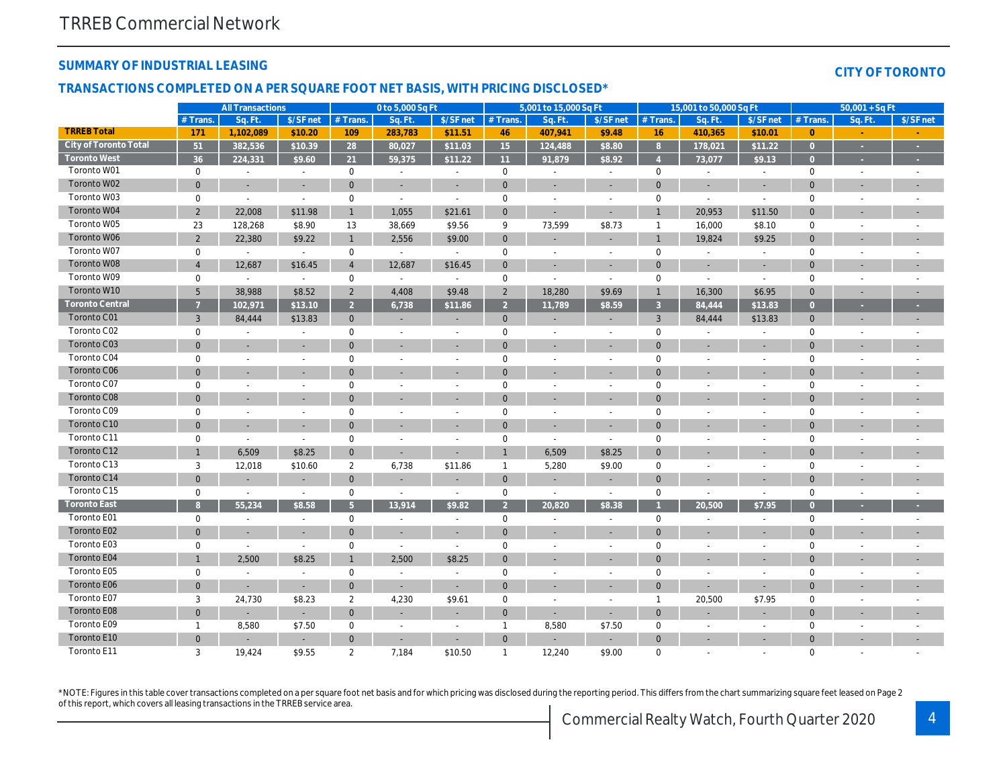#### **SUMMARY OF INDUSTRIAL LEASING**

#### **CITY OF TORONTO**

#### **TRANSACTIONS COMPLETED ON A PER SQUARE FOOT NET BASIS, WITH PRICING DISCLOSED\***

|                        |                | <b>All Transactions</b>  |                          |                     | 0 to 5,000 Sq Ft         |                          |                | 5,001 to 15,000 Sq Ft    |                          |                | 15,001 to 50,000 Sq Ft      |                          |                     | $50,001 + SqF$           |                          |
|------------------------|----------------|--------------------------|--------------------------|---------------------|--------------------------|--------------------------|----------------|--------------------------|--------------------------|----------------|-----------------------------|--------------------------|---------------------|--------------------------|--------------------------|
|                        | $#$ Trans.     | Sq. Ft.                  | \$/SF net                | $#$ Trans.          | Sq. Ft                   | \$/SF net                | $#$ Trans      | Sq. Ft                   | \$/SF net                | $#$ Trans.     | Sq. Ft                      | \$/SF net                | $#$ Trans           | Sq. Ft                   | \$/SF net                |
| <b>TRREB Total</b>     | 171            | 1,102,089                | \$10.20                  | 109                 | 283,783                  | \$11.51                  | 46             | 407,941                  | \$9.48                   | 16             | 410,365                     | \$10.01                  | $\overline{0}$      |                          |                          |
| City of Toronto Total  | 51             | 382,536                  | \$10.39                  | 28                  | 80,027                   | \$11.03                  | 15             | 124,488                  | \$8.80                   | 8              | 178,021                     | \$11.22                  | $\overline{0}$      |                          | $\sim$                   |
| <b>Toronto West</b>    | 36             | 224,331                  | \$9.60                   | 21                  | 59,375                   | \$11.22                  | 11             | 91,879                   | \$8.92                   |                | 73,077                      | \$9.13                   | $\overline{0}$      |                          |                          |
| Toronto W01            | $\mathbf 0$    | $\overline{\phantom{a}}$ | $\sim$                   | $\mathbf 0$         | $\overline{a}$           | $\overline{\phantom{a}}$ | $\mathbf 0$    | $\overline{\phantom{a}}$ | $\overline{a}$           | $\mathbf 0$    | $\overline{\phantom{a}}$    | $\overline{\phantom{a}}$ | $\mathbf 0$         | $\overline{\phantom{a}}$ | $\overline{\phantom{a}}$ |
| Toronto W02            | $\mathbf{0}$   | $\sim$                   | $\sim$                   | $\mathbf{0}$        | $\sim$                   | $\sim$                   | $\mathbf{0}$   |                          | $\sim$                   | $\overline{0}$ | ÷,                          | $\sim$                   | $\Omega$            |                          |                          |
| Toronto W03            | $\Omega$       | $\sim$                   | $\sim$                   | $\mathbf 0$         | $\sim$                   | $\overline{a}$           | $\overline{0}$ | $\overline{a}$           | $\overline{a}$           | $\mathbf 0$    | $\sim$                      | $\overline{\phantom{a}}$ | $\mathbf 0$         |                          |                          |
| Toronto W04            | $\overline{2}$ | 22,008                   | \$11.98                  | $\mathbf{1}$        | 1,055                    | \$21.61                  | $\overline{0}$ |                          | $\overline{a}$           | $\overline{1}$ | 20,953                      | \$11.50                  | $\Omega$            |                          |                          |
| Toronto W05            | 23             | 128,268                  | \$8.90                   | 13                  | 38,669                   | \$9.56                   | 9              | 73,599                   | \$8.73                   | $\mathbf{1}$   | 16,000                      | \$8.10                   | $\mathbf 0$         |                          |                          |
| Toronto W06            | 2              | 22,380                   | \$9.22                   | $\mathbf{1}$        | 2,556                    | \$9.00                   | $\mathbf{0}$   |                          | ÷                        | $\overline{1}$ | 19,824                      | \$9.25                   | $\overline{0}$      |                          |                          |
| Toronto W07            | $\mathbf 0$    | $\sim$                   | $\sim$                   | $\mathbf 0$         | $\mathbb{L}$             | $\sim$                   | $\mathbf 0$    | $\overline{a}$           | $\sim$                   | $\mathbf 0$    | $\mathcal{L}_{\mathcal{A}}$ | $\sim$                   | $\mathbf 0$         |                          |                          |
| Toronto W08            | $\overline{4}$ | 12,687                   | \$16.45                  | $\overline{4}$      | 12,687                   | \$16.45                  | $\mathbf{0}$   | $\overline{\phantom{a}}$ | $\overline{a}$           | $\overline{0}$ | ÷,                          |                          | $\mathbf{0}$        |                          |                          |
| Toronto W09            | $\mathbf 0$    | $\sim$                   | $\sim$                   | $\mathbf 0$         | $\mathbb{L}$             | $\sim$                   | $\mathbf 0$    | $\sim$                   | $\mathbb{L}$             | $\mathbf 0$    | $\sim$                      | $\sim$                   | $\mathbf 0$         | $\overline{a}$           |                          |
| Toronto W10            | 5              | 38,988                   | \$8.52                   | $\overline{2}$      | 4,408                    | \$9.48                   | $\overline{2}$ | 18,280                   | \$9.69                   | $\mathbf{1}$   | 16,300                      | \$6.95                   | $\mathbf{0}$        |                          |                          |
| <b>Toronto Central</b> |                | 102,971                  | \$13.10                  | $\overline{2}$      | 6,738                    | \$11.86                  | $\overline{2}$ | 11,789                   | \$8.59                   | $\overline{3}$ | 84,444                      | \$13.83                  | $\overline{0}$      |                          |                          |
| Toronto C01            | $\mathbf{3}$   | 84,444                   | \$13.83                  | $\mathbf{0}$        |                          |                          | $\mathbf{0}$   |                          | $\overline{\phantom{a}}$ | 3              | 84,444                      | \$13.83                  | $\mathbf{0}$        |                          |                          |
| Toronto C02            | $\mathbf 0$    | $\overline{a}$           | $\sim$                   | $\mathbf 0$         | $\sim$                   | $\sim$                   | $\mathbf 0$    | $\overline{a}$           | $\sim$                   | $\mathbf 0$    | $\sim$                      | $\sim$                   | $\mathbf 0$         |                          |                          |
| Toronto C03            | $\mathbf{0}$   |                          |                          | $\mathbf{0}$        |                          |                          | $\overline{0}$ |                          |                          | $\overline{0}$ |                             |                          | $\overline{0}$      |                          |                          |
| Toronto C04            | $\mathbf 0$    | $\overline{a}$           | $\sim$                   | $\mathbf 0$         | $\overline{a}$           | $\overline{a}$           | $\overline{0}$ | $\overline{a}$           | $\overline{a}$           | $\mathbf 0$    | $\overline{a}$              | $\overline{a}$           | $\mathbf 0$         |                          | $\overline{\phantom{a}}$ |
| Toronto C06            | $\mathbf{0}$   |                          |                          | $\mathbf{0}$        |                          |                          | $\overline{0}$ |                          | $\overline{a}$           | $\overline{0}$ |                             |                          | $\overline{0}$      |                          |                          |
| Toronto C07            | $\mathbf 0$    |                          | $\sim$                   | $\mathbf{0}$        | $\overline{a}$           | $\overline{a}$           | $\mathbf 0$    | $\overline{a}$           | $\overline{a}$           | $\mathbf 0$    | $\overline{a}$              | $\overline{a}$           | $\mathbf 0$         |                          |                          |
| Toronto C08            | $\mathbf{0}$   |                          |                          | $\mathbf{0}$        |                          |                          | $\overline{0}$ |                          | $\overline{a}$           | $\overline{0}$ |                             |                          | $\overline{0}$      |                          |                          |
| Toronto C09            | $\mathbf 0$    |                          | $\sim$                   | $\mathsf{O}\xspace$ |                          |                          | $\mathbf 0$    |                          | $\overline{a}$           | $\mathbf 0$    |                             |                          | $\mathsf{O}\xspace$ |                          |                          |
| Toronto C10            | $\Omega$       | $\overline{\phantom{a}}$ | $\overline{\phantom{a}}$ | $\Omega$            |                          | ÷                        | $\Omega$       | $\overline{\phantom{a}}$ | $\overline{\phantom{a}}$ | $\Omega$       |                             | $\overline{\phantom{a}}$ | $\Omega$            |                          |                          |
| Toronto C11            | $\mathbf 0$    | $\overline{a}$           | $\sim$                   | $\mathbf 0$         |                          |                          | $\mathbf 0$    | $\overline{a}$           | $\overline{a}$           | $\mathbf 0$    |                             |                          | $\mathbf 0$         |                          |                          |
| Toronto C12            |                | 6,509                    | \$8.25                   | $\mathbf{0}$        | $\overline{\phantom{a}}$ |                          |                | 6,509                    | \$8.25                   | $\overline{0}$ |                             |                          | $\Omega$            |                          |                          |
| Toronto C13            | 3              | 12,018                   | \$10.60                  | $\overline{2}$      | 6,738                    | \$11.86                  | $\mathbf{1}$   | 5,280                    | \$9.00                   | $\mathbf 0$    | $\overline{\phantom{a}}$    | $\overline{a}$           | $\mathbf 0$         | $\overline{\phantom{a}}$ |                          |
| Toronto C14            | $\Omega$       |                          |                          | $\mathbf{0}$        |                          | ÷                        | $\mathbf{0}$   |                          | $\overline{\phantom{a}}$ | $\mathbf{0}$   |                             |                          | $\overline{0}$      |                          |                          |
| Toronto C15            | $\mathbf 0$    | $\overline{\phantom{a}}$ | $\sim$                   | $\mathbf 0$         | $\overline{\phantom{a}}$ | $\sim$                   | $\mathbf 0$    | $\overline{\phantom{a}}$ | $\blacksquare$           | $\mathbf 0$    | $\overline{\phantom{a}}$    | $\overline{\phantom{a}}$ | $\mathbf 0$         |                          |                          |
| <b>Toronto East</b>    | 8              | 55,234                   | \$8.58                   | 5 <sup>5</sup>      | 13,914                   | \$9.82                   | $\mathcal{P}$  | 20.820                   | \$8.38                   |                | 20.500                      | \$7.95                   | $\Omega$            |                          |                          |
| Toronto E01            | $\mathbf 0$    | $\overline{a}$           | $\sim$                   | $\mathbf 0$         | $\sim$                   | $\sim$                   | $\mathbf 0$    | $\overline{a}$           | $\sim$                   | $\mathbf 0$    | $\sim$                      | $\overline{a}$           | $\mathsf{O}\xspace$ | $\sim$                   |                          |
| Toronto E02            | $\mathbf{0}$   |                          |                          | $\mathbf{0}$        |                          |                          | $\Omega$       |                          |                          | $\Omega$       |                             |                          | $\overline{0}$      |                          |                          |
| Toronto E03            | $\mathbf 0$    | $\sim$                   | $\sim$                   | $\mathbf 0$         | $\sim$                   | $\sim$                   | $\mathbf 0$    | $\overline{a}$           | $\overline{a}$           | $\mathbf 0$    | $\overline{a}$              | $\overline{\phantom{a}}$ | $\mathbf 0$         | $\overline{\phantom{a}}$ |                          |
| Toronto E04            |                | 2,500                    | \$8.25                   | $\mathbf{1}$        | 2,500                    | \$8.25                   | $\overline{0}$ |                          |                          | $\Omega$       | ٠                           |                          | $\Omega$            |                          |                          |
| Toronto E05            | $\mathbf 0$    |                          | $\overline{a}$           | $\mathbf 0$         | $\sim$                   | $\overline{\phantom{a}}$ | $\mathbf 0$    | $\overline{a}$           | $\overline{\phantom{a}}$ | $\mathbf 0$    | $\overline{a}$              |                          | $\mathbf 0$         |                          |                          |
| Toronto E06            | $\mathbf{0}$   |                          |                          | $\mathbf{0}$        |                          |                          | $\overline{0}$ |                          | ä,                       | $\overline{0}$ |                             |                          | $\Omega$            |                          |                          |
| Toronto E07            | 3              | 24,730                   | \$8.23                   | $\overline{2}$      | 4,230                    | \$9.61                   | $\mathbf 0$    | $\overline{a}$           | $\overline{\phantom{a}}$ | $\mathbf{1}$   | 20,500                      | \$7.95                   | $\mathbf 0$         |                          |                          |
| Toronto E08            | $\mathbf{0}$   | $\overline{\phantom{a}}$ | $\sim$                   | $\mathbf{0}$        |                          |                          | $\overline{0}$ | $\overline{\phantom{a}}$ | $\overline{\phantom{a}}$ | $\overline{0}$ |                             |                          | $\Omega$            |                          |                          |
| Toronto E09            | $\mathbf{1}$   | 8,580                    | \$7.50                   | $\mathbf 0$         |                          |                          | -1             | 8,580                    | \$7.50                   | $\mathbf 0$    |                             |                          | $\mathbf 0$         |                          |                          |
| Toronto E10            | $\Omega$       |                          | $\overline{\phantom{a}}$ | $\mathbf{0}$        |                          |                          | $\Omega$       |                          | ÷                        | $\Omega$       |                             |                          | $\Omega$            |                          |                          |
| Toronto E11            | 3              | 19,424                   | \$9.55                   | 2                   | 7,184                    | \$10.50                  | $\mathbf{1}$   | 12,240                   | \$9.00                   | $\Omega$       | $\overline{a}$              |                          | $\mathbf 0$         |                          |                          |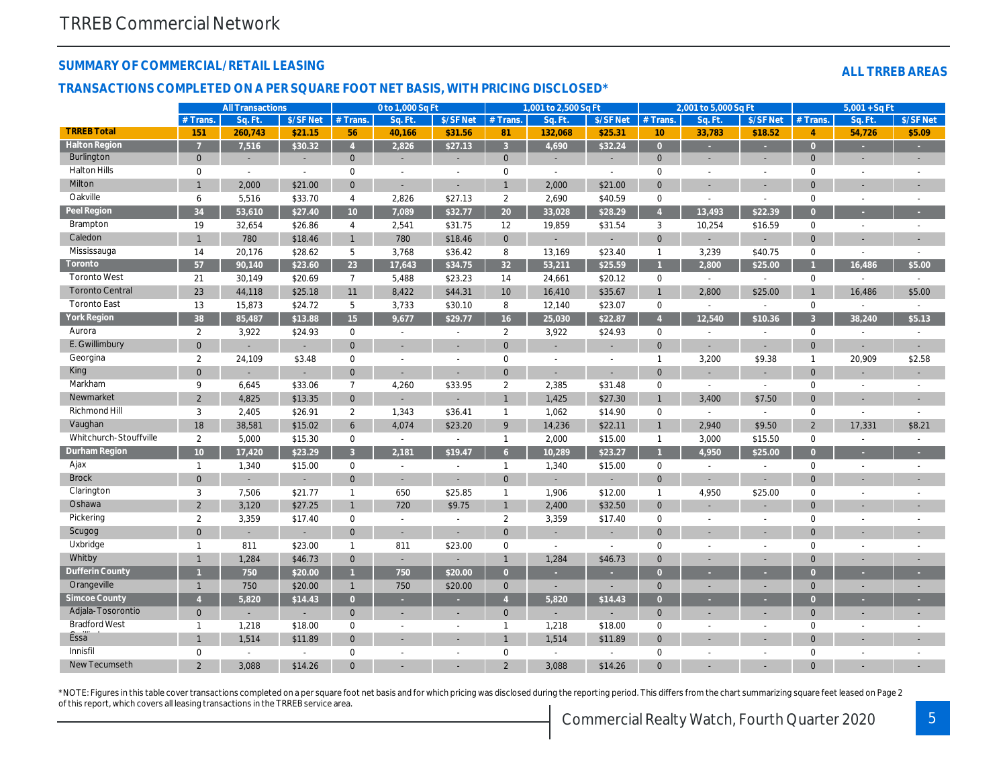#### **SUMMARY OF COMMERCIAL/RETAIL LEASING**

#### **ALL TRREB AREAS**

#### **TRANSACTIONS COMPLETED ON A PER SQUARE FOOT NET BASIS, WITH PRICING DISCLOSED\***

|                        |                 | <b>All Transactions</b> |                          |                    | 0 to 1,000 Sq Ft |                          |                           | 1,001 to 2,500 Sq Ft     |                          |                     | 2,001 to 5,000 Sq Ft |                          |                     | $5,001 + SqFt$ |                          |
|------------------------|-----------------|-------------------------|--------------------------|--------------------|------------------|--------------------------|---------------------------|--------------------------|--------------------------|---------------------|----------------------|--------------------------|---------------------|----------------|--------------------------|
|                        | #Trans          | Sq. Ft.                 | \$/SFNet                 | # Trans.           | Sq. Ft.          | \$/SF Net                | # Trans.                  | Sq. Ft.                  | \$/SF Net                | # Trans.            | Sq. Ft.              | \$/SF Net                | # Trans.            | Sq. Ft.        | \$/SF Net                |
| <b>TRREB Total</b>     | 151             | 260,743                 | \$21.15                  | 56                 | 40,166           | \$31.56                  | 81                        | 132,068                  | \$25.31                  | 10                  | 33,783               | \$18.52                  | $\overline{A}$      | 54,726         | \$5.09                   |
| <b>Halton Region</b>   |                 | 7,516                   | \$30.32                  | $\mathbf{\Lambda}$ | 2,826            | \$27.13                  | $\overline{3}$            | 4,690                    | \$32.24                  | $\overline{0}$      |                      |                          | $\overline{0}$      |                |                          |
| Burlington             | $\mathbf{0}$    | ÷.                      | $\overline{\phantom{a}}$ | $\mathbf{0}$       | н.               | $\overline{\phantom{a}}$ | $\mathbf{0}$              | $\overline{\phantom{a}}$ | $\overline{\phantom{a}}$ | $\overline{0}$      |                      |                          | $\overline{0}$      |                |                          |
| <b>Halton Hills</b>    | $\mathbf 0$     | $\overline{a}$          |                          | $\mathbf 0$        | $\overline{a}$   |                          | $\mathbf 0$               | $\overline{a}$           |                          | $\mathbf 0$         |                      |                          | $\Omega$            |                |                          |
| Milton                 |                 | 2,000                   | \$21.00                  | $\mathbf{0}$       | ÷.               |                          | $\mathbf{1}$              | 2,000                    | \$21.00                  | $\overline{0}$      | ÷,                   |                          | $\Omega$            |                |                          |
| Oakville               | 6               | 5,516                   | \$33.70                  | $\overline{4}$     | 2,826            | \$27.13                  | 2                         | 2,690                    | \$40.59                  | $\mathbf 0$         | $\overline{a}$       |                          | $\mathbf 0$         |                |                          |
| Peel Region            | 34              | 53,610                  | \$27.40                  | 10 <sup>°</sup>    | 7,089            | \$32.77                  | 20                        | 33,028                   | \$28.29                  | $\overline{4}$      | 13.493               | \$22.39                  | $\Omega$            |                |                          |
| Brampton               | 19              | 32,654                  | \$26.86                  | $\overline{4}$     | 2,541            | \$31.75                  | 12                        | 19,859                   | \$31.54                  | $\overline{3}$      | 10,254               | \$16.59                  | $\mathbf 0$         |                | $\overline{a}$           |
| Caledon                |                 | 780                     | \$18.46                  | $\mathbf{1}$       | 780              | \$18.46                  | $\mathbf{0}$              | ÷,                       | ÷,                       | $\overline{0}$      | L,                   |                          | $\Omega$            |                |                          |
| Mississauga            | 14              | 20,176                  | \$28.62                  | 5                  | 3,768            | \$36.42                  | 8                         | 13,169                   | \$23.40                  | $\mathbf{1}$        | 3,239                | \$40.75                  | $\mathbf 0$         |                |                          |
| Toronto                | 57              | 90,140                  | \$23.60                  | 23                 | 17,643           | \$34.75                  | 32                        | 53,211                   | \$25.59                  |                     | 2,800                | \$25.00                  |                     | 16,486         | \$5.00                   |
| <b>Toronto West</b>    | 21              | 30,149                  | \$20.69                  | $\overline{7}$     | 5,488            | \$23.23                  | 14                        | 24,661                   | \$20.12                  | $\mathsf{O}\xspace$ | $\sim$               | $\sim$                   | $\mathsf{O}\xspace$ |                | $\sim$                   |
| <b>Toronto Central</b> | 23              | 44,118                  | \$25.18                  | 11                 | 8,422            | \$44.31                  | 10                        | 16,410                   | \$35.67                  | $\overline{1}$      | 2,800                | \$25.00                  | $\overline{1}$      | 16,486         | \$5.00                   |
| <b>Toronto East</b>    | 13              | 15,873                  | \$24.72                  | 5                  | 3,733            | \$30.10                  | 8                         | 12,140                   | \$23.07                  | $\mathbf 0$         | $\sim$               | $\overline{a}$           | $\mathbf 0$         |                |                          |
| York Region            | 38              | 85,487                  | \$13.88                  | 15                 | 9,677            | \$29.77                  | 16                        | 25,030                   | \$22.87                  | $\overline{4}$      | 12,540               | \$10.36                  | $\overline{3}$      | 38,240         | \$5.13                   |
| Aurora                 | 2               | 3,922                   | \$24.93                  | $\mathbf 0$        | $\sim$           |                          | 2                         | 3,922                    | \$24.93                  | $\mathsf{O}\xspace$ | $\sim$               | $\overline{a}$           | $\mathbf 0$         |                | $\sim$                   |
| E. Gwillimbury         | $\Omega$        |                         |                          | $\Omega$           |                  |                          | $\mathbf{0}$              |                          |                          | $\Omega$            |                      |                          | $\Omega$            |                |                          |
| Georgina               | 2               | 24,109                  | \$3.48                   | $\mathbf 0$        |                  |                          | $\mathbf 0$               |                          | $\overline{a}$           | $\mathbf{1}$        | 3,200                | \$9.38                   | $\mathbf{1}$        | 20,909         | \$2.58                   |
| King                   | $\Omega$        |                         |                          | $\Omega$           |                  |                          | $\mathbf{0}$              | $\overline{a}$           | $\overline{a}$           | $\Omega$            |                      |                          | $\Omega$            |                |                          |
| Markham                | 9               | 6,645                   | \$33.06                  | $\overline{7}$     | 4,260            | \$33.95                  | $\overline{2}$            | 2,385                    | \$31.48                  | $\mathbf 0$         | $\sim$               |                          | 0                   |                |                          |
| Newmarket              | 2               | 4,825                   | \$13.35                  | $\mathbf{0}$       |                  |                          | $\mathbf{1}$              | 1,425                    | \$27.30                  | $\overline{1}$      | 3,400                | \$7.50                   | $\Omega$            |                |                          |
| Richmond Hill          | 3               | 2,405                   | \$26.91                  | $\overline{2}$     | 1,343            | \$36.41                  | $\overline{1}$            | 1,062                    | \$14.90                  | $\mathbf 0$         | $\sim$               | $\sim$                   | $\mathbf 0$         |                |                          |
| Vaughan                | 18              | 38,581                  | \$15.02                  | 6                  | 4,074            | \$23.20                  | 9                         | 14,236                   | \$22.11                  | $\mathbf{1}$        | 2,940                | \$9.50                   | $\overline{2}$      | 17,331         | \$8.21                   |
| Whitchurch-Stouffville | $\overline{2}$  | 5,000                   | \$15.30                  | $\mathbf 0$        | $\mathbb{L}$     | $\sim$                   | $\overline{1}$            | 2,000                    | \$15.00                  | $\mathbf{1}$        | 3,000                | \$15.50                  | $\mathsf{O}\xspace$ |                | $\overline{a}$           |
| <b>Durham Region</b>   | 10 <sup>1</sup> | 17,420                  | \$23.29                  | $\overline{3}$     | 2,181            | \$19.47                  | 6                         | 10,289                   | \$23.27                  |                     | 4,950                | \$25.00                  | $\overline{0}$      |                |                          |
| Ajax                   | $\mathbf{1}$    | 1,340                   | \$15.00                  | $\mathbf 0$        | $\overline{a}$   | $\overline{\phantom{a}}$ | $\overline{1}$            | 1,340                    | \$15.00                  | $\mathbf 0$         | $\overline{a}$       | $\overline{a}$           | $\mathbf 0$         |                | $\overline{\phantom{a}}$ |
| <b>Brock</b>           | $\Omega$        |                         |                          | $\mathbf{0}$       | ÷.               | $\overline{a}$           | $\mathbf{0}$              |                          |                          | $\mathbf{0}$        | ÷.                   |                          | $\Omega$            |                |                          |
| Clarington             | 3               | 7,506                   | \$21.77                  | $\mathbf{1}$       | 650              | \$25.85                  | $\overline{1}$            | 1,906                    | \$12.00                  | $\mathbf{1}$        | 4,950                | \$25.00                  | 0                   |                |                          |
| Oshawa                 | $\overline{2}$  | 3,120                   | \$27.25                  | $\mathbf{1}$       | 720              | \$9.75                   | $\mathbf{1}$              | 2,400                    | \$32.50                  | $\mathbf{0}$        | L.                   |                          | $\Omega$            |                |                          |
| Pickering              | 2               | 3,359                   | \$17.40                  | $\mathbf 0$        | $\sim$           | $\sim$                   | 2                         | 3,359                    | \$17.40                  | $\mathbf 0$         | $\overline{a}$       | $\overline{a}$           | $\mathbf 0$         |                |                          |
| Scugog                 | $\mathbf{0}$    |                         |                          | $\mathbf{0}$       | $\sim$           | $\overline{\phantom{a}}$ | $\mathbf{0}$              | $\overline{\phantom{a}}$ |                          | $\overline{0}$      | ä,                   |                          | $\Omega$            |                |                          |
| Uxbridge               | $\mathbf{1}$    | 811                     | \$23.00                  | $\overline{1}$     | 811              | \$23.00                  | $\mathbf 0$               | $\sim$                   | $\overline{\phantom{a}}$ | $\mathbf 0$         | $\overline{a}$       | $\overline{a}$           | $\mathbf{0}$        |                |                          |
| Whitby                 |                 | 1,284                   | \$46.73                  | $\mathbf{0}$       | ÷                | ÷                        | $\mathbf{1}$              | 1,284                    | \$46.73                  | $\overline{0}$      | ÷                    |                          | $\Omega$            |                |                          |
| Dufferin County        |                 | 750                     | \$20.00                  |                    | 750              | \$20.00                  | $\overline{0}$            |                          |                          | $\Omega$            |                      |                          | $\Omega$            |                |                          |
| Orangeville            | $\mathbf{1}$    | 750                     | \$20.00                  | $\mathbf{1}$       | 750              | \$20.00                  | $\overline{0}$            | $\sim$                   | $\overline{\phantom{a}}$ | $\mathbf{0}$        | ÷.                   | $\overline{\phantom{a}}$ | $\Omega$            |                |                          |
| Simcoe County          | $\mathbf{A}$    | 5,820                   | \$14.43                  | $\Omega$           | ÷.               | ٠                        | $\boldsymbol{\varLambda}$ | 5,820                    | \$14.43                  | $\Omega$            |                      |                          | $\overline{0}$      |                |                          |
| Adjala-Tosorontio      | $\mathbf{0}$    |                         |                          | $\mathbf{0}$       | $\sim$           | $\sim$                   | $\mathbf{0}$              |                          |                          | $\mathbf{0}$        | ÷                    |                          | $\Omega$            |                |                          |
| <b>Bradford West</b>   | $\mathbf{1}$    | 1,218                   | \$18.00                  | $\mathbf 0$        | $\overline{a}$   | $\sim$                   | $\overline{1}$            | 1,218                    | \$18.00                  | $\mathbf 0$         | $\overline{a}$       | $\overline{a}$           | $\mathbf 0$         | $\overline{a}$ | $\overline{\phantom{a}}$ |
| Essa <sup>"</sup>      |                 | 1,514                   | \$11.89                  | $\mathbf{0}$       |                  |                          |                           | 1,514                    | \$11.89                  | $\overline{0}$      |                      |                          | $\Omega$            |                |                          |
| Innisfil               | $\Omega$        | $\sim$                  | $\overline{a}$           | $\Omega$           | $\overline{a}$   | $\overline{a}$           | $\mathbf 0$               | $\overline{a}$           | $\overline{a}$           | $\Omega$            | $\overline{a}$       |                          | $\Omega$            |                |                          |
| New Tecumseth          |                 | 3.088                   | \$14.26                  | $\Omega$           |                  |                          |                           | 3.088                    | \$14.26                  | $\Omega$            |                      |                          | $\Omega$            |                |                          |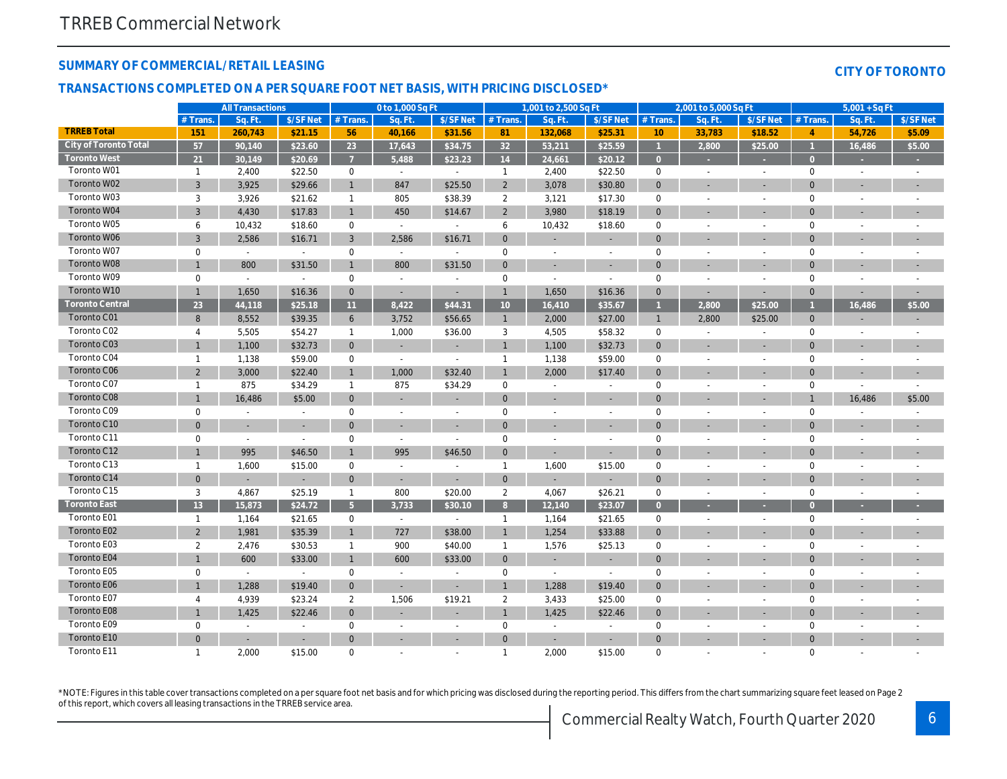#### **SUMMARY OF COMMERCIAL/RETAIL LEASING**

#### **CITY OF TORONTO**

#### **TRANSACTIONS COMPLETED ON A PER SQUARE FOOT NET BASIS, WITH PRICING DISCLOSED\***

|                        |                | <b>All Transactions</b>  |                |                | 0 to 1,000 Sq Ft |                          |                | 1,001 to 2,500 Sq Ft     |                          |                 | 2,001 to 5,000 Sq Ft     |                          |                | $5,001 + SqFt$           |           |
|------------------------|----------------|--------------------------|----------------|----------------|------------------|--------------------------|----------------|--------------------------|--------------------------|-----------------|--------------------------|--------------------------|----------------|--------------------------|-----------|
|                        | #Trans.        | Sq. Ft.                  | \$/SF Net      | $#$ Trans.     | Sq. Ft.          | \$/SF Net                | $#$ Trans.     | Sq. Ft.                  | \$/SF Net                | $#$ Trans.      | Sq. Ft.                  | \$/SF Net                | $#$ Trans.     | Sq. Ft.                  | \$/SF Net |
| <b>TRREB Total</b>     | 151            | 260,743                  | \$21.15        | 56             | 40,166           | \$31.56                  | 81             | 132,068                  | \$25.31                  | 10 <sup>°</sup> | 33,783                   | \$18.52                  | $\overline{4}$ | 54,726                   | \$5.09    |
| City of Toronto Total  | 57             | 90,140                   | \$23.60        | 23             | 17,643           | \$34.75                  | 32             | 53,211                   | \$25.59                  |                 | 2,800                    | \$25.00                  |                | 16,486                   | \$5.00    |
| <b>Toronto West</b>    | 21             | 30,149                   | \$20.69        | $\overline{7}$ | 5,488            | \$23.23                  | 14             | 24,661                   | \$20.12                  | $\overline{0}$  |                          |                          | $\Omega$       |                          |           |
| Toronto W01            | $\mathbf{1}$   | 2,400                    | \$22.50        | $\mathbf 0$    | $\sim$           | $\sim$                   | $\mathbf{1}$   | 2,400                    | \$22.50                  | $\mathbf 0$     | $\overline{a}$           | $\overline{a}$           | $\mathbf 0$    | $\overline{a}$           |           |
| Toronto W02            | $\mathbf{3}$   | 3,925                    | \$29.66        | $\mathbf{1}$   | 847              | \$25.50                  | $\overline{2}$ | 3,078                    | \$30.80                  | $\mathbf{0}$    | ÷                        |                          | $\overline{0}$ |                          |           |
| Toronto W03            | 3              | 3,926                    | \$21.62        | $\mathbf{1}$   | 805              | \$38.39                  | $\overline{2}$ | 3,121                    | \$17.30                  | $\mathbf 0$     | $\overline{a}$           | $\overline{a}$           | $\mathbf 0$    | $\overline{a}$           |           |
| Toronto W04            | $\overline{3}$ | 4,430                    | \$17.83        | $\mathbf{1}$   | 450              | \$14.67                  | $\overline{2}$ | 3,980                    | \$18.19                  | $\mathbf{0}$    |                          | ÷                        | $\Omega$       | ä,                       |           |
| Toronto W05            | 6              | 10,432                   | \$18.60        | $\mathbf 0$    | $\sim$           | $\sim$                   | 6              | 10,432                   | \$18.60                  | $\mathbf 0$     |                          | $\overline{a}$           | $\mathbf 0$    | ÷,                       |           |
| Toronto W06            | $\mathbf{3}$   | 2,586                    | \$16.71        | 3              | 2,586            | \$16.71                  | $\mathbf{0}$   |                          | ÷                        | $\overline{0}$  |                          |                          | $\Omega$       |                          |           |
| Toronto W07            | $\mathbf 0$    | $\sim$                   | $\sim$         | $\mathbf 0$    | $\sim$           | $\sim$                   | $\mathbf 0$    |                          | $\overline{\phantom{a}}$ | $\mathbf 0$     |                          |                          | $\mathbf 0$    |                          |           |
| Toronto W08            | $\mathbf{1}$   | 800                      | \$31.50        | $\mathbf{1}$   | 800              | \$31.50                  | $\mathbf{0}$   | $\sim$                   | ÷                        | $\Omega$        |                          | ÷                        | $\Omega$       | $\overline{\phantom{a}}$ |           |
| Toronto W09            | $\mathbf 0$    | $\overline{a}$           | $\sim$         | $\mathbf 0$    |                  | $\sim$                   | 0              | $\sim$                   | $\overline{a}$           | $\mathbf 0$     |                          | $\overline{a}$           | 0              | $\overline{\phantom{a}}$ |           |
| Toronto W10            | $\mathbf{1}$   | 1,650                    | \$16.36        | $\overline{0}$ | $\sim$           | $\sim$                   | $\mathbf{1}$   | 1,650                    | \$16.36                  | $\mathbf{0}$    | ÷.                       | ÷                        | $\overline{0}$ |                          |           |
| <b>Toronto Central</b> | 23             | 44,118                   | \$25.18        | 11             | 8,422            | \$44.31                  | 10             | 16,410                   | \$35.67                  |                 | 2,800                    | \$25.00                  |                | 16,486                   | \$5.00    |
| Toronto C01            | 8              | 8,552                    | \$39.35        | 6              | 3,752            | \$56.65                  | $\mathbf{1}$   | 2,000                    | \$27.00                  | $\overline{1}$  | 2.800                    | \$25.00                  | $\mathbf{0}$   |                          |           |
| Toronto C02            | $\overline{4}$ | 5,505                    | \$54.27        | $\mathbf{1}$   | 1,000            | \$36.00                  | 3              | 4,505                    | \$58.32                  | $\mathbf 0$     | $\overline{a}$           | $\overline{\phantom{a}}$ | $\mathbf 0$    |                          |           |
| Toronto C03            | $\mathbf{1}$   | 1,100                    | \$32.73        | $\overline{0}$ |                  |                          | $\mathbf{1}$   | 1,100                    | \$32.73                  | $\mathbf{0}$    |                          |                          | $\mathbf{0}$   |                          |           |
| Toronto C04            | $\mathbf{1}$   | 1,138                    | \$59.00        | $\mathbf 0$    | $\overline{a}$   | $\sim$                   | $\mathbf{1}$   | 1,138                    | \$59.00                  | $\mathbf 0$     |                          | $\overline{a}$           | $\mathbf 0$    | $\overline{a}$           |           |
| Toronto C06            | $\overline{2}$ | 3,000                    | \$22.40        | $\mathbf{1}$   | 1,000            | \$32.40                  | $\mathbf{1}$   | 2,000                    | \$17.40                  | $\Omega$        |                          |                          | $\mathbf 0$    |                          |           |
| Toronto C07            | $\mathbf{1}$   | 875                      | \$34.29        | $\mathbf{1}$   | 875              | \$34.29                  | $\mathbf 0$    | $\sim$                   | $\sim$                   | $\mathbf 0$     | $\overline{a}$           | $\overline{a}$           | $\mathbf 0$    | $\overline{a}$           |           |
| Toronto C08            | $\mathbf{1}$   | 16,486                   | \$5.00         | $\mathbf{0}$   | ÷                |                          | $\mathbf{0}$   |                          |                          | $\Omega$        |                          |                          |                | 16,486                   | \$5.00    |
| Toronto C09            | $\mathbf 0$    | $\overline{a}$           | $\sim$         | $\mathbf 0$    |                  | $\sim$                   | $\mathbf 0$    | $\overline{\phantom{a}}$ | $\overline{a}$           | $\mathbf 0$     |                          | ÷,                       | $\mathbf 0$    | ÷,                       |           |
| Toronto C10            | $\Omega$       | $\overline{\phantom{a}}$ |                | $\Omega$       |                  |                          | $\Omega$       |                          |                          | $\Omega$        |                          | $\overline{\phantom{a}}$ | $\Omega$       | $\overline{\phantom{a}}$ |           |
| Toronto C11            | $\mathbf 0$    | $\overline{a}$           |                | $\mathbf 0$    | $\sim$           |                          | $\mathbf 0$    |                          |                          | $\mathbf 0$     |                          |                          | $\mathbf 0$    |                          |           |
| Toronto C12            | $\mathbf{1}$   | 995                      | \$46.50        | $\mathbf{1}$   | 995              | \$46.50                  | $\mathbf{0}$   | $\sim$                   | ÷                        | $\Omega$        | ÷                        | ÷                        | $\Omega$       | ÷                        |           |
| Toronto C13            | $\mathbf{1}$   | 1,600                    | \$15.00        | $\mathbf 0$    | $\overline{a}$   |                          | $\mathbf{1}$   | 1,600                    | \$15.00                  | $\mathbf 0$     |                          | $\overline{a}$           | 0              | $\overline{\phantom{a}}$ |           |
| Toronto C14            | $\mathbf{0}$   | ÷,                       | $\sim$         | $\overline{0}$ | $\sim$           |                          | $\mathbf{0}$   |                          | $\sim$                   | $\mathbf{0}$    |                          | ÷                        | $\overline{0}$ |                          |           |
| Toronto C15            | 3              | 4,867                    | \$25.19        | $\mathbf{1}$   | 800              | \$20.00                  | $\overline{2}$ | 4,067                    | \$26.21                  | $\mathbf 0$     | $\overline{\phantom{a}}$ | $\overline{\phantom{a}}$ | $\mathbf 0$    | $\overline{\phantom{a}}$ |           |
| <b>Toronto East</b>    | 13             | 15,873                   | \$24.72        | 5 <sup>5</sup> | 3,733            | \$30.10                  | 8 <sup>°</sup> | 12,140                   | \$23.07                  | $\overline{0}$  |                          |                          | $\Omega$       |                          |           |
| Toronto E01            | $\mathbf{1}$   | 1,164                    | \$21.65        | $\mathbf 0$    | $\sim$           | $\sim$                   | $\mathbf{1}$   | 1,164                    | \$21.65                  | $\mathbf 0$     | $\overline{a}$           | $\overline{\phantom{a}}$ | $\mathbf 0$    | $\overline{a}$           |           |
| Toronto E02            | $\overline{2}$ | 1,981                    | \$35.39        | $\mathbf{1}$   | 727              | \$38.00                  | $\mathbf{1}$   | 1,254                    | \$33.88                  | $\mathbf{0}$    |                          |                          | $\mathbf{0}$   |                          |           |
| Toronto E03            | 2              | 2,476                    | \$30.53        | $\mathbf{1}$   | 900              | \$40.00                  | $\mathbf{1}$   | 1,576                    | \$25.13                  | $\mathbf 0$     |                          | $\overline{a}$           | $\mathbf 0$    | $\overline{a}$           |           |
| Toronto E04            |                | 600                      | \$33.00        | $\mathbf{1}$   | 600              | \$33.00                  | $\mathbf{0}$   |                          |                          | $\mathbf{0}$    |                          |                          | $\overline{0}$ |                          |           |
| Toronto E05            | $\mathbf 0$    | $\overline{a}$           | $\sim$         | $\mathbf 0$    | $\overline{a}$   |                          | $\mathbf 0$    | $\sim$                   | $\overline{a}$           | $\mathbf 0$     | $\overline{a}$           | $\overline{a}$           | $\mathbf 0$    | $\overline{a}$           |           |
| <b>Toronto E06</b>     | $\mathbf{1}$   | 1,288                    | \$19.40        | $\mathbf{0}$   | ÷                |                          |                | 1,288                    | \$19.40                  | $\Omega$        |                          | ÷                        | $\Omega$       |                          |           |
| Toronto E07            | $\overline{4}$ | 4,939                    | \$23.24        | $\overline{2}$ | 1,506            | \$19.21                  | $\overline{2}$ | 3,433                    | \$25.00                  | $\mathbf 0$     |                          | $\overline{a}$           | $\mathbf 0$    | ÷,                       |           |
| Toronto E08            | $\mathbf{1}$   | 1,425                    | \$22.46        | $\mathbf{0}$   |                  |                          |                | 1,425                    | \$22.46                  | $\overline{0}$  |                          |                          | $\Omega$       |                          |           |
| Toronto E09            | $\mathbf 0$    | $\overline{a}$           | $\overline{a}$ | $\mathbf 0$    |                  |                          | $\mathbf 0$    |                          | $\sim$                   | $\mathbf 0$     |                          |                          | $\mathbf 0$    |                          |           |
| Toronto E10            | $\Omega$       | ÷                        |                | $\Omega$       |                  |                          | $\Omega$       |                          |                          | $\Omega$        |                          |                          | $\Omega$       |                          |           |
| Toronto E11            | $\mathbf{1}$   | 2,000                    | \$15.00        | $\Omega$       |                  | $\overline{\phantom{a}}$ | $\mathbf 1$    | 2,000                    | \$15.00                  | $\Omega$        | $\overline{a}$           |                          | $\Omega$       |                          |           |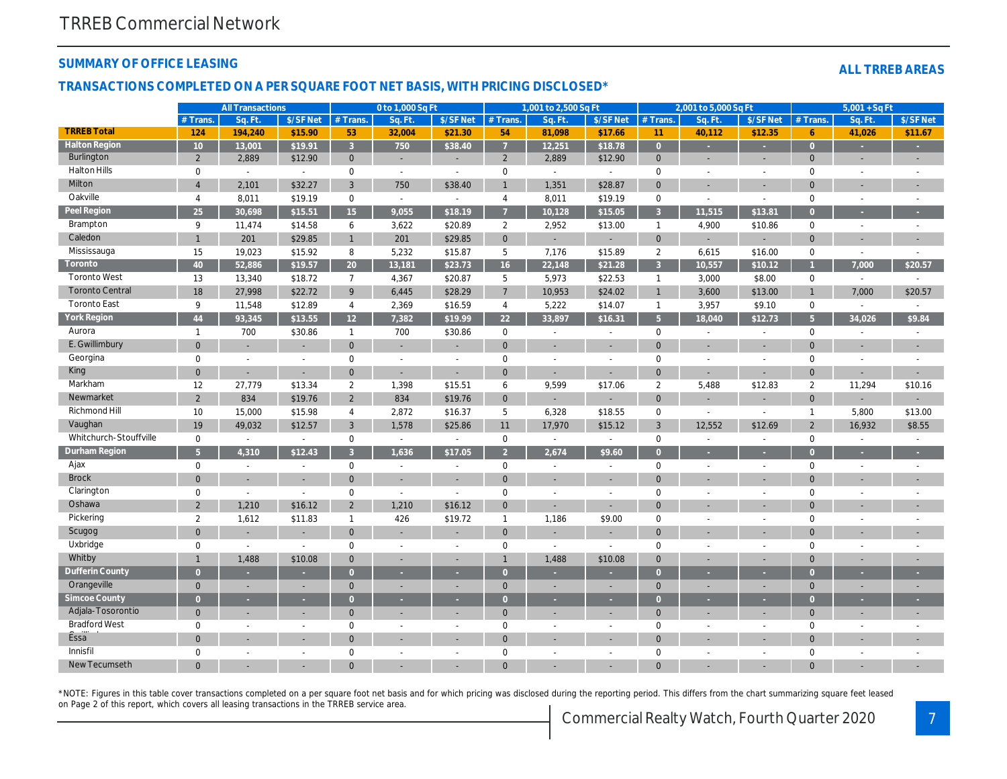#### **SUMMARY OF OFFICE LEASING**

#### **ALL TRREB AREAS**

#### **TRANSACTIONS COMPLETED ON A PER SQUARE FOOT NET BASIS, WITH PRICING DISCLOSED\***

|                        |                 | <b>All Transactions</b>  |                          |                | 0 to 1,000 Sq Ft         |                |                     | 1,001 to 2,500 Sq Ft     |                             |                | 2,001 to 5,000 Sq Ft |                          |                     | $5,001 + SqFt$           |                          |
|------------------------|-----------------|--------------------------|--------------------------|----------------|--------------------------|----------------|---------------------|--------------------------|-----------------------------|----------------|----------------------|--------------------------|---------------------|--------------------------|--------------------------|
|                        | # Trans.        | Sq. Ft                   | \$/SF Net                | # Trans.       | Sq. Ft.                  | \$/SFNet       | # Trans.            | Sq. Ft                   | \$/SF Net                   | # Trans.       | Sq. Ft               | \$/SF Net                | $#$ Trans           | Sq. Ft                   | \$/SF Net                |
| <b>TRREB Total</b>     | 124             | 194,240                  | \$15.90                  | 53             | 32,004                   | \$21.30        | 54                  | 81,098                   | \$17.66                     | 11             | 40,112               | \$12.35                  | $\ddot{\mathbf{6}}$ | 41,026                   | \$11.67                  |
| <b>Halton Region</b>   | 10 <sup>°</sup> | 13,001                   | \$19.91                  | $\overline{3}$ | 750                      | \$38.40        | $\overline{7}$      | 12,251                   | \$18.78                     | $\overline{0}$ | ×                    | ш                        | $\overline{0}$      |                          |                          |
| Burlington             | $\overline{2}$  | 2,889                    | \$12.90                  | $\mathbf{0}$   | ÷                        |                | $\overline{2}$      | 2,889                    | \$12.90                     | $\mathbf{0}$   |                      |                          | $\mathbf{0}$        |                          |                          |
| <b>Halton Hills</b>    | $\mathbf 0$     | $\sim$                   | $\overline{a}$           | $\mathbf 0$    | $\sim$                   | $\sim$         | $\mathbf 0$         | $\sim$                   | $\mathcal{L}_{\mathcal{A}}$ | $\mathbf 0$    | $\overline{a}$       | $\overline{a}$           | $\mathbf 0$         | $\overline{a}$           |                          |
| Milton                 | $\overline{4}$  | 2,101                    | \$32.27                  | $\overline{3}$ | 750                      | \$38.40        | $\overline{1}$      | 1,351                    | \$28.87                     | $\mathbf{0}$   | ÷.                   | L,                       | $\Omega$            |                          |                          |
| Oakville               | $\overline{4}$  | 8,011                    | \$19.19                  | $\mathbf{0}$   | $\sim$                   | $\blacksquare$ | $\overline{4}$      | 8,011                    | \$19.19                     | $\mathbf 0$    | $\sim$               | $\overline{\phantom{a}}$ | 0                   | $\overline{\phantom{a}}$ | $\overline{\phantom{a}}$ |
| Peel Region            | 25              | 30,698                   | \$15.51                  | 15             | 9,055                    | \$18.19        | $\overline{7}$      | 10,128                   | \$15.05                     | $\overline{3}$ | 11,515               | \$13.81                  | $\overline{0}$      | ٠                        |                          |
| Brampton               | 9               | 11,474                   | \$14.58                  | 6              | 3,622                    | \$20.89        | $\overline{a}$      | 2,952                    | \$13.00                     | $\overline{1}$ | 4,900                | \$10.86                  | $\mathbf 0$         | $\sim$                   |                          |
| Caledon                | $\mathbf{1}$    | 201                      | \$29.85                  | $\mathbf{1}$   | 201                      | \$29.85        | $\mathbf 0$         |                          |                             | $\mathbf{0}$   | ÷.                   |                          | $\mathbf 0$         |                          |                          |
| Mississauga            | 15              | 19,023                   | \$15.92                  | 8              | 5,232                    | \$15.87        | 5                   | 7,176                    | \$15.89                     | 2              | 6,615                | \$16.00                  | $\mathbf 0$         | $\sim$                   |                          |
| Toronto                | 40              | 52,886                   | \$19.57                  | 20             | 13,181                   | \$23.73        | 16                  | 22,148                   | \$21.28                     | $\overline{3}$ | 10,557               | \$10.12                  |                     | 7,000                    | \$20.57                  |
| <b>Toronto West</b>    | 13              | 13,340                   | \$18.72                  | $7^{\circ}$    | 4,367                    | \$20.87        | 5                   | 5,973                    | \$22.53                     | $\mathbf{1}$   | 3,000                | \$8.00                   | $\mathbf 0$         | $\overline{a}$           |                          |
| <b>Toronto Central</b> | 18              | 27,998                   | \$22.72                  | 9              | 6,445                    | \$28.29        | $\overline{7}$      | 10,953                   | \$24.02                     | $\overline{1}$ | 3,600                | \$13.00                  | $\mathbf{1}$        | 7,000                    | \$20.57                  |
| <b>Toronto East</b>    | 9               | 11,548                   | \$12.89                  | $\overline{4}$ | 2,369                    | \$16.59        | $\overline{4}$      | 5,222                    | \$14.07                     | $\mathbf{1}$   | 3,957                | \$9.10                   | $\mathbf 0$         | $\sim$                   |                          |
| York Region            | 44              | 93,345                   | \$13.55                  | 12             | 7,382                    | \$19.99        | 22                  | 33,897                   | \$16.31                     | 5 <sup>5</sup> | 18,040               | \$12.73                  | $5\phantom{1}$      | 34,026                   | \$9.84                   |
| Aurora                 | $\mathbf{1}$    | 700                      | \$30.86                  | $\mathbf{1}$   | 700                      | \$30.86        | $\mathbf 0$         | $\overline{a}$           | $\sim$                      | $\mathbf 0$    | $\overline{a}$       | $\sim$                   | $\mathbf 0$         | $\overline{a}$           |                          |
| E. Gwillimbury         | $\mathbf{0}$    | $\sim$                   | $\overline{\phantom{a}}$ | $\overline{0}$ | $\overline{\phantom{a}}$ | $\sim$         | $\Omega$            | $\sim$                   | ÷                           | $\Omega$       | ÷.                   | ÷,                       | $\Omega$            | ÷,                       |                          |
| Georgina               | $\mathbf 0$     | $\overline{a}$           | $\sim$                   | $\mathbf 0$    |                          | $\overline{a}$ | $\mathbf 0$         | $\overline{a}$           | $\overline{a}$              | $\mathbf 0$    |                      | $\overline{a}$           | $\mathbf 0$         | $\overline{a}$           |                          |
| King                   | $\overline{0}$  | ÷.                       | ÷.                       | $\Omega$       | $\overline{\phantom{a}}$ | ÷.             | $\Omega$            | ÷.                       | ÷                           | $\Omega$       | L,                   | ÷.                       | $\Omega$            |                          |                          |
| Markham                | 12              | 27,779                   | \$13.34                  | $\overline{2}$ | 1,398                    | \$15.51        | 6                   | 9,599                    | \$17.06                     | $\overline{2}$ | 5,488                | \$12.83                  | $\overline{2}$      | 11,294                   | \$10.16                  |
| Newmarket              | $\overline{2}$  | 834                      | \$19.76                  | $\overline{2}$ | 834                      | \$19.76        | $\mathbf{0}$        |                          | $\overline{a}$              | $\mathbf{0}$   | ÷.                   | ÷,                       | $\Omega$            |                          |                          |
| Richmond Hill          | 10              | 15,000                   | \$15.98                  | $\overline{4}$ | 2,872                    | \$16.37        | 5                   | 6,328                    | \$18.55                     | $\mathbf 0$    | $\overline{a}$       | $\overline{a}$           | $\mathbf 1$         | 5,800                    | \$13.00                  |
| Vaughan                | 19              | 49,032                   | \$12.57                  | $\overline{3}$ | 1,578                    | \$25.86        | 11                  | 17,970                   | \$15.12                     | $\overline{3}$ | 12,552               | \$12.69                  | $\overline{2}$      | 16,932                   | \$8.55                   |
| Whitchurch-Stouffville | $\mathbf 0$     | $\sim$                   | $\sim$                   | $\mathbf 0$    | $\sim$                   | $\sim$         | $\mathsf{O}\xspace$ | $\sim$                   | $\sim$                      | $\mathbf 0$    | $\sim$               | $\overline{a}$           | $\mathbf 0$         |                          |                          |
| Durham Region          | 5 <sup>1</sup>  | 4,310                    | \$12.43                  | $\mathbf{3}$   | 1,636                    | \$17.05        | $\overline{2}$      | 2,674                    | \$9.60                      | $\Omega$       |                      |                          | $\Omega$            |                          |                          |
| Ajax                   | $\mathbf 0$     | $\overline{a}$           | $\overline{a}$           | $\mathbf 0$    | $\overline{\phantom{a}}$ | $\overline{a}$ | $\mathbf 0$         | $\overline{a}$           | $\overline{a}$              | $\mathbf 0$    | $\overline{a}$       | $\overline{\phantom{a}}$ | $\mathbf 0$         |                          | $\overline{a}$           |
| <b>Brock</b>           | $\overline{0}$  | $\overline{a}$           |                          | $\overline{0}$ |                          |                | $\mathbf{0}$        | $\sim$                   | $\overline{a}$              | $\overline{0}$ |                      | ÷,                       | $\Omega$            |                          |                          |
| Clarington             | $\mathbf 0$     | $\overline{\phantom{a}}$ | $\overline{a}$           | $\mathbf 0$    | $\overline{a}$           | $\sim$         | $\mathbf 0$         |                          | $\overline{a}$              | $\mathbf 0$    |                      | ÷                        | $\mathbf 0$         |                          |                          |
| Oshawa                 | $\overline{2}$  | 1,210                    | \$16.12                  | $\overline{2}$ | 1,210                    | \$16.12        | $\mathbf{0}$        |                          |                             | $\Omega$       |                      |                          | $\Omega$            |                          |                          |
| Pickering              | $\overline{2}$  | 1,612                    | \$11.83                  | $\mathbf{1}$   | 426                      | \$19.72        | $\overline{1}$      | 1,186                    | \$9.00                      | $\mathbf 0$    | $\overline{a}$       | $\overline{a}$           | $\mathbf 0$         | $\overline{a}$           |                          |
| Scugog                 | $\overline{0}$  |                          |                          | $\overline{0}$ |                          |                | $\overline{0}$      |                          |                             | $\overline{0}$ |                      |                          | $\Omega$            |                          |                          |
| Uxbridge               | $\mathbf 0$     | $\overline{a}$           | $\sim$                   | $\Omega$       | $\overline{a}$           | $\overline{a}$ | $\mathbf 0$         | $\sim$                   | $\overline{a}$              | $\Omega$       | $\overline{a}$       | $\overline{a}$           | $\mathbf 0$         | $\overline{a}$           |                          |
| Whitby                 | $\mathbf{1}$    | 1,488                    | \$10.08                  | $\Omega$       |                          |                |                     | 1,488                    | \$10.08                     | $\Omega$       | L,                   | ÷,                       | $\Omega$            |                          |                          |
| Dufferin County        | $\overline{0}$  |                          |                          | $\Omega$       |                          |                | $\Omega$            |                          |                             | $\overline{0}$ |                      |                          | $\Omega$            |                          |                          |
| Orangeville            | $\mathbf{0}$    | $\overline{\phantom{a}}$ | ٠                        | $\mathbf{0}$   | $\sim$                   |                | $\overline{0}$      | $\overline{\phantom{a}}$ | $\overline{\phantom{a}}$    | $\overline{0}$ | ÷.                   | ÷,                       | $\mathbf 0$         |                          |                          |
| Simcoe County          | $\overline{0}$  | ×.                       | ×                        | $\Omega$       | $\sim$                   |                | $\Omega$            | ×                        | ×                           | $\overline{0}$ | u                    |                          | $\overline{0}$      |                          |                          |
| Adjala-Tosorontio      | $\mathbf{0}$    | $\overline{\phantom{a}}$ | ÷                        | $\mathbf{0}$   | ÷.                       |                | $\mathbf{0}$        | $\sim$                   | $\overline{\phantom{a}}$    | $\overline{0}$ | ÷.                   | ÷                        | $\mathbf 0$         | ÷.                       |                          |
| <b>Bradford West</b>   | $\mathbf 0$     | $\overline{a}$           | $\overline{\phantom{a}}$ | $\mathbf 0$    | $\overline{a}$           | $\sim$         | $\mathbf{0}$        | $\sim$                   | $\overline{a}$              | $\mathbf 0$    | $\sim$               | $\overline{a}$           | $\mathbf 0$         | $\overline{a}$           | $\overline{\phantom{a}}$ |
| Essa <sup>"</sup>      | $\overline{0}$  |                          |                          | $\Omega$       |                          |                | $\mathbf{0}$        |                          |                             | $\Omega$       |                      |                          | $\mathbf{0}$        |                          |                          |
| Innisfil               | $\Omega$        | $\overline{a}$           | $\overline{a}$           | $\Omega$       |                          | $\overline{a}$ | $\mathbf{0}$        | $\overline{a}$           | $\overline{a}$              | $\Omega$       | $\overline{a}$       | $\overline{\phantom{a}}$ | $\Omega$            | $\overline{a}$           |                          |
| New Tecumseth          | $\Omega$        |                          |                          |                |                          |                | $\Omega$            |                          |                             |                |                      |                          | $\Omega$            |                          |                          |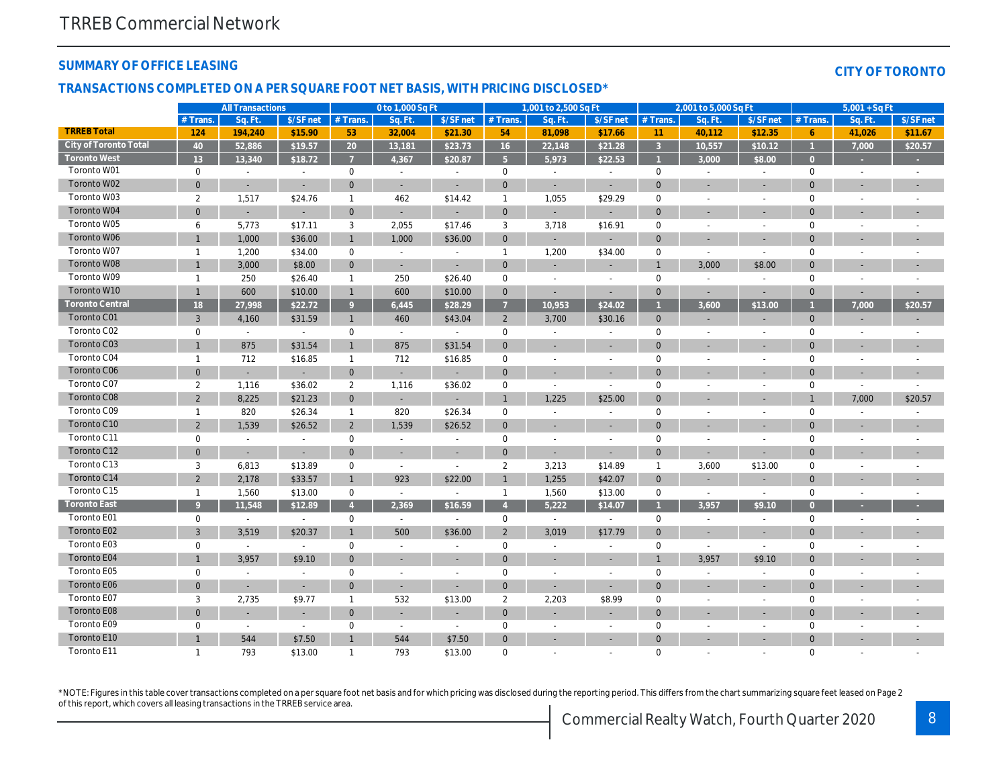#### **SUMMARY OF OFFICE LEASING**

#### **CITY OF TORONTO**

#### **TRANSACTIONS COMPLETED ON A PER SQUARE FOOT NET BASIS, WITH PRICING DISCLOSED\***

|                        |                | <b>All Transactions</b>  |                          |                | 0 to 1,000 Sq Ft         |                          |                | 1,001 to 2,500 Sq Ft     |                          |                | 2,001 to 5,000 Sq Ft     |                          |                | $5,001 + SqFt$           |           |
|------------------------|----------------|--------------------------|--------------------------|----------------|--------------------------|--------------------------|----------------|--------------------------|--------------------------|----------------|--------------------------|--------------------------|----------------|--------------------------|-----------|
|                        | $#$ Trans.     | Sq. Ft.                  | \$/SF net                | # Trans.       | Sq. Ft.                  | \$/SF net                | # Trans.       | Sq. Ft.                  | \$/SF net                | $#$ Trans.     | Sq. Ft                   | \$/SF net                | # Trans        | Sq. Ft                   | \$/SF net |
| <b>TRREB Total</b>     | 124            | 194,240                  | \$15.90                  | 53             | 32,004                   | \$21.30                  | 54             | 81,098                   | \$17.66                  | 11             | 40,112                   | \$12.35                  | 6              | 41,026                   | \$11.67   |
| City of Toronto Total  | 40             | 52.886                   | \$19.57                  | 20             | 13,181                   | \$23.73                  | 16             | 22,148                   | \$21.28                  | $\overline{3}$ | 10.557                   | \$10.12                  | $\overline{1}$ | 7,000                    | \$20.57   |
| <b>Toronto West</b>    | 13             | 13,340                   | \$18.72                  | $\overline{7}$ | 4,367                    | \$20.87                  | 5 <sup>5</sup> | 5,973                    | \$22.53                  |                | 3.000                    | \$8.00                   | $\overline{0}$ |                          |           |
| Toronto W01            | $\mathbf 0$    | $\overline{\phantom{a}}$ | $\overline{\phantom{a}}$ | $\mathbf 0$    | $\sim$                   | $\overline{\phantom{a}}$ | $\mathbf 0$    | $\overline{\phantom{a}}$ | $\overline{\phantom{a}}$ | $\mathbf 0$    |                          | $\overline{\phantom{a}}$ | $\mathbf 0$    | $\overline{\phantom{a}}$ |           |
| Toronto W02            | $\overline{0}$ | $\sim$                   | ÷.                       | $\mathbf{0}$   | $\sim$                   | $\sim$                   | $\mathbf{0}$   | $\sim$                   | $\overline{\phantom{a}}$ | $\overline{0}$ | L,                       | $\sim$                   | $\Omega$       |                          |           |
| Toronto W03            | 2              | 1,517                    | \$24.76                  | $\mathbf{1}$   | 462                      | \$14.42                  | $\overline{1}$ | 1,055                    | \$29.29                  | $\mathbf 0$    |                          |                          | $\Omega$       |                          |           |
| Toronto W04            | $\overline{0}$ | ÷.                       | $\sim$                   | $\mathbf{0}$   | $\overline{a}$           | $\sim$                   | $\mathbf{0}$   | ÷.                       | $\overline{\phantom{a}}$ | $\mathbf{0}$   | ÷,                       | ÷.                       | $\Omega$       | ÷                        |           |
| Toronto W05            | 6              | 5,773                    | \$17.11                  | 3              | 2,055                    | \$17.46                  | 3              | 3,718                    | \$16.91                  | $\mathbf 0$    | $\overline{a}$           | $\overline{\phantom{a}}$ | 0              |                          |           |
| Toronto W06            | $\mathbf{1}$   | 1,000                    | \$36.00                  | $\mathbf{1}$   | 1,000                    | \$36.00                  | $\mathbf{0}$   | $\overline{\phantom{a}}$ | $\sim$                   | $\overline{0}$ |                          | ÷.                       | $\Omega$       |                          |           |
| Toronto W07            | $\mathbf{1}$   | 1,200                    | \$34.00                  | $\mathbf 0$    | $\overline{\phantom{a}}$ | $\sim$                   | $\overline{1}$ | 1,200                    | \$34.00                  | $\mathbf 0$    | $\overline{\phantom{a}}$ | $\overline{\phantom{a}}$ | $\mathbf 0$    |                          |           |
| Toronto W08            | $\mathbf{1}$   | 3,000                    | \$8.00                   | $\mathbf{0}$   | $\sim$                   |                          | $\mathbf{0}$   |                          |                          | $\overline{1}$ | 3,000                    | \$8.00                   | $\Omega$       |                          |           |
| Toronto W09            | $\mathbf{1}$   | 250                      | \$26.40                  | $\mathbf{1}$   | 250                      | \$26.40                  | $\mathbf 0$    | $\overline{\phantom{a}}$ | $\overline{\phantom{a}}$ | $\mathbf 0$    | $\overline{\phantom{a}}$ | $\sim$                   | $\mathbf 0$    | $\overline{\phantom{a}}$ |           |
| Toronto W10            | $\mathbf{1}$   | 600                      | \$10.00                  | $\mathbf{1}$   | 600                      | \$10.00                  | $\mathbf{0}$   |                          |                          | $\mathbf 0$    |                          |                          | $\overline{0}$ |                          |           |
| <b>Toronto Central</b> | 18             | 27,998                   | \$22.72                  | 9              | 6,445                    | \$28.29                  | $\overline{7}$ | 10,953                   | \$24.02                  |                | 3,600                    | \$13.00                  |                | 7,000                    | \$20.57   |
| Toronto C01            | $\mathbf{3}$   | 4,160                    | \$31.59                  | $\mathbf{1}$   | 460                      | \$43.04                  | $\overline{2}$ | 3,700                    | \$30.16                  | $\overline{0}$ | ÷                        |                          | $\mathbf{0}$   |                          |           |
| Toronto C02            | $\mathbf 0$    | $\sim$                   | $\sim$                   | 0              | $\sim$                   | $\mathbb{L}$             | 0              | $\sim$                   | $\sim$                   | $\mathbf 0$    | ۰                        | $\overline{\phantom{a}}$ | 0              | $\overline{a}$           |           |
| Toronto C03            | $\mathbf{1}$   | 875                      | \$31.54                  | $\mathbf{1}$   | 875                      | \$31.54                  | $\mathbf{0}$   |                          | ÷,                       | $\Omega$       | ÷                        | ÷,                       | $\Omega$       |                          |           |
| Toronto C04            | $\mathbf{1}$   | 712                      | \$16.85                  | $\mathbf{1}$   | 712                      | \$16.85                  | 0              | $\sim$                   | $\overline{\phantom{a}}$ | $\mathbf 0$    | $\overline{a}$           | $\sim$                   | $\mathbf 0$    | $\overline{a}$           |           |
| Toronto C06            | $\overline{0}$ | ÷,                       |                          | $\overline{0}$ |                          |                          | $\mathbf{0}$   |                          |                          | $\Omega$       |                          |                          | $\Omega$       |                          |           |
| Toronto C07            | $\overline{2}$ | 1,116                    | \$36.02                  | $\overline{2}$ | 1,116                    | \$36.02                  | $\mathbf 0$    | $\overline{\phantom{a}}$ | ÷                        | $\mathbf 0$    |                          | $\overline{\phantom{a}}$ | $\mathbf 0$    | $\overline{a}$           |           |
| Toronto C08            | $\overline{2}$ | 8,225                    | \$21.23                  | $\mathbf{0}$   |                          |                          | $\mathbf{1}$   | 1,225                    | \$25.00                  | $\Omega$       |                          |                          |                | 7,000                    | \$20.57   |
| Toronto C09            | $\mathbf{1}$   | 820                      | \$26.34                  | $\mathbf{1}$   | 820                      | \$26.34                  | $\mathbf 0$    |                          |                          | $\mathbf 0$    |                          | $\overline{a}$           | $\mathbf 0$    |                          |           |
| Toronto C10            | $\overline{2}$ | 1,539                    | \$26.52                  | $\overline{2}$ | 1,539                    | \$26.52                  | $\mathbf{0}$   | $\sim$                   | ÷.                       | $\Omega$       |                          | ÷.                       | $\Omega$       | ÷                        |           |
| Toronto C11            | $\mathbf 0$    | $\overline{a}$           |                          | 0              |                          |                          | 0              |                          | $\overline{a}$           | $\overline{0}$ |                          |                          | $\mathbf 0$    |                          |           |
| Toronto C12            | $\mathbf{0}$   | $\sim$                   | $\sim$                   | $\mathbf{0}$   | $\sim$                   | $\sim$                   | $\mathbf{0}$   | $\sim$                   | ÷.                       | $\overline{0}$ | ÷.                       | ÷,                       | $\Omega$       |                          |           |
| Toronto C13            | 3              | 6,813                    | \$13.89                  | 0              | $\sim$                   | $\sim$                   | $\overline{2}$ | 3,213                    | \$14.89                  | $\overline{1}$ | 3,600                    | \$13.00                  | $\mathbf 0$    |                          |           |
| Toronto C14            | 2              | 2,178                    | \$33.57                  | $\mathbf{1}$   | 923                      | \$22.00                  | $\overline{1}$ | 1,255                    | \$42.07                  | $\mathbf{0}$   |                          | ÷.                       | $\Omega$       |                          |           |
| Toronto C15            | $\mathbf{1}$   | 1,560                    | \$13.00                  | $\mathbf 0$    | $\sim$                   | $\sim$                   | $\overline{1}$ | 1,560                    | \$13.00                  | $\mathbf 0$    | $\overline{a}$           | $\overline{\phantom{a}}$ | $\mathbf 0$    | $\overline{a}$           |           |
| <b>Toronto East</b>    | $\mathsf{Q}$   | 11,548                   | \$12.89                  | $\overline{A}$ | 2,369                    | \$16.59                  | $\overline{A}$ | 5.222                    | \$14.07                  |                | 3,957                    | \$9.10                   | $\Omega$       |                          |           |
| Toronto E01            | $\mathbf 0$    | $\sim$                   | $\sim$                   | $\mathbf 0$    | $\sim$                   | $\sim$                   | $\mathbf 0$    | $\sim$                   | $\sim$                   | $\mathbf 0$    | $\overline{\phantom{a}}$ | $\sim$                   | $\mathbf 0$    | $\overline{\phantom{a}}$ |           |
| Toronto E02            | 3              | 3,519                    | \$20.37                  |                | 500                      | \$36.00                  | $\overline{2}$ | 3,019                    | \$17.79                  | $\Omega$       |                          |                          | $\Omega$       |                          |           |
| Toronto E03            | $\mathbf 0$    | $\sim$                   | $\overline{\phantom{a}}$ | 0              | $\overline{\phantom{a}}$ | $\overline{\phantom{a}}$ | 0              | $\sim$                   | $\sim$                   | $\mathbf 0$    | $\overline{\phantom{a}}$ | $\overline{\phantom{a}}$ | 0              | $\overline{\phantom{a}}$ |           |
| Toronto E04            |                | 3,957                    | \$9.10                   | $\mathbf{0}$   |                          | $\sim$                   | $\mathbf{0}$   | $\sim$                   | ٠                        |                | 3,957                    | \$9.10                   | $\Omega$       |                          |           |
| Toronto E05            | $\mathbf 0$    | $\overline{\phantom{a}}$ |                          | $\mathbf 0$    | $\sim$                   | $\overline{\phantom{a}}$ | 0              | $\sim$                   | $\overline{\phantom{a}}$ | $\mathbf 0$    | $\overline{a}$           | $\overline{a}$           | $\mathbf 0$    | $\overline{a}$           |           |
| Toronto E06            | $\mathbf{0}$   |                          |                          | $\mathbf{0}$   |                          |                          | $\mathbf{0}$   |                          |                          | $\overline{0}$ |                          | ÷,                       | $\Omega$       |                          |           |
| Toronto E07            | 3              | 2,735                    | \$9.77                   | $\mathbf{1}$   | 532                      | \$13.00                  | $\overline{2}$ | 2,203                    | \$8.99                   | $\mathbf 0$    |                          | $\overline{\phantom{a}}$ | $\mathbf 0$    |                          |           |
| Toronto E08            | $\overline{0}$ | ÷.                       |                          | $\mathbf{0}$   |                          | $\sim$                   | $\mathbf{0}$   |                          | ÷                        | $\Omega$       |                          | $\overline{\phantom{a}}$ | $\Omega$       |                          |           |
| Toronto E09            | $\mathbf 0$    | $\overline{a}$           | $\sim$                   | $\mathbf 0$    | $\overline{a}$           | $\sim$                   | 0              |                          |                          | $\mathbf 0$    |                          | $\overline{a}$           | $\Omega$       |                          |           |
| Toronto E10            |                | 544                      | \$7.50                   |                | 544                      | \$7.50                   | $\mathbf{0}$   | $\overline{\phantom{a}}$ |                          | $\Omega$       |                          |                          | $\Omega$       |                          |           |
| Toronto E11            | $\mathbf{1}$   | 793                      | \$13.00                  | $\mathbf{1}$   | 793                      | \$13.00                  | $\Omega$       | $\overline{a}$           | $\overline{a}$           | $\mathbf 0$    | $\overline{a}$           |                          | $\Omega$       |                          |           |

\*NOTE: Figures in this table cover transactions completed on a per square foot net basis and for which pricing was disclosed during the reporting period. This differs from the chart summarizing square feet leased on Page 2 of this report, which covers all leasing transactions in the TRREB service area.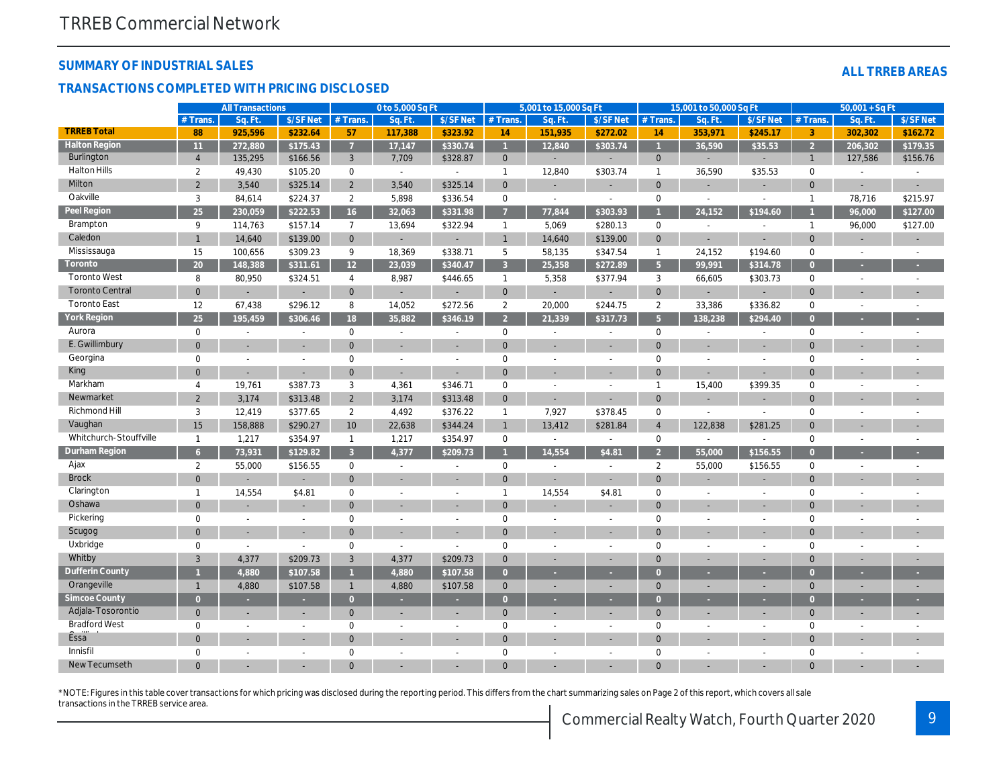#### **SUMMARY OF INDUSTRIAL SALES**

#### **TRANSACTIONS COMPLETED WITH PRICING DISCLOSED**

| <b>ALL TRREB AREAS</b> |  |  |
|------------------------|--|--|
|                        |  |  |
|                        |  |  |

|                        |                | <b>All Transactions</b>  |           |                | 0 to 5,000 Sq Ft         |                          |                | 5,001 to 15,000 Sq Ft    |                          |                | 15,001 to 50,000 Sq Ft |                          |                     | $50,001 + SqFt$          |                          |
|------------------------|----------------|--------------------------|-----------|----------------|--------------------------|--------------------------|----------------|--------------------------|--------------------------|----------------|------------------------|--------------------------|---------------------|--------------------------|--------------------------|
|                        | $#$ Trans      | Sq. Ft                   | \$/SF Net | $#$ Trans.     | Sa. Ft                   | \$/SF Net                | $#$ Trans.     | Sq. Ft                   | \$/SF Net                | $#$ Trans.     | Sq. Ft                 | \$/SF Net                | $#$ Trans.          | Sq. Ft                   | \$/SF Net                |
| <b>TRREB Total</b>     | 88             | 925,596                  | \$232.64  | 57             | 117,388                  | \$323.92                 | 14             | 151,935                  | \$272.02                 | 14             | 353,971                | \$245.17                 | $\overline{3}$      | 302,302                  | \$162.72                 |
| <b>Halton Region</b>   | 11             | 272,880                  | \$175.43  | $\overline{7}$ | 17,147                   | \$330.74                 |                | 12,840                   | \$303.74                 | $\overline{1}$ | 36,590                 | \$35.53                  | $\overline{2}$      | 206,302                  | \$179.35                 |
| Burlington             | $\overline{4}$ | 135,295                  | \$166.56  | $\mathbf{3}$   | 7,709                    | \$328.87                 | $\overline{0}$ | ÷.                       |                          | $\mathbf{0}$   | ÷.                     |                          | $\mathbf{1}$        | 127,586                  | \$156.76                 |
| <b>Halton Hills</b>    | $\overline{2}$ | 49,430                   | \$105.20  | $\mathbf 0$    | $\mathcal{L}$            |                          | $\overline{1}$ | 12,840                   | \$303.74                 | $\mathbf{1}$   | 36,590                 | \$35.53                  | $\mathbf 0$         |                          |                          |
| Milton                 | $\overline{2}$ | 3,540                    | \$325.14  | $\overline{2}$ | 3,540                    | \$325.14                 | $\mathbf{0}$   |                          |                          | $\mathbf{0}$   |                        |                          | $\Omega$            |                          |                          |
| Oakville               | $\mathbf{3}$   | 84,614                   | \$224.37  | $\overline{2}$ | 5,898                    | \$336.54                 | $\mathbf 0$    | $\overline{a}$           | $\sim$                   | $\mathbf 0$    | $\overline{a}$         | $\sim$                   | $\mathbf{1}$        | 78,716                   | \$215.97                 |
| Peel Region            | 25             | 230,059                  | \$222.53  | 16             | 32,063                   | \$331.98                 | $\overline{7}$ | 77,844                   | \$303.93                 | $\overline{1}$ | 24,152                 | \$194.60                 |                     | 96,000                   | \$127.00                 |
| Brampton               | 9              | 114,763                  | \$157.14  | $\overline{7}$ | 13,694                   | \$322.94                 | $\overline{1}$ | 5,069                    | \$280.13                 | $\mathbf 0$    | $\sim$                 | $\sim$                   | $\mathbf{1}$        | 96,000                   | \$127.00                 |
| Caledon                | $\mathbf{1}$   | 14,640                   | \$139.00  | $\mathbf{0}$   |                          |                          | $\overline{1}$ | 14,640                   | \$139.00                 | $\mathbf{0}$   |                        |                          | $\Omega$            |                          |                          |
| Mississauga            | 15             | 100,656                  | \$309.23  | 9              | 18,369                   | \$338.71                 | 5              | 58,135                   | \$347.54                 | $\mathbf{1}$   | 24,152                 | \$194.60                 | $\mathbf 0$         |                          |                          |
| Toronto                | 20             | 148,388                  | \$311.61  | 12             | 23,039                   | \$340.47                 | $\overline{3}$ | 25,358                   | \$272.89                 | 5 <sup>5</sup> | 99,991                 | \$314.78                 | $\overline{0}$      |                          |                          |
| <b>Toronto West</b>    | 8              | 80,950                   | \$324.51  | $\overline{4}$ | 8,987                    | \$446.65                 | $\overline{1}$ | 5,358                    | \$377.94                 | 3              | 66,605                 | \$303.73                 | $\mathbf 0$         |                          | $\overline{\phantom{a}}$ |
| <b>Toronto Central</b> | $\mathbf{0}$   |                          |           | $\overline{0}$ |                          |                          | $\mathbf{0}$   |                          |                          | $\mathbf{0}$   |                        |                          | $\Omega$            |                          |                          |
| <b>Toronto East</b>    | 12             | 67,438                   | \$296.12  | 8              | 14,052                   | \$272.56                 | $\overline{2}$ | 20,000                   | \$244.75                 | 2              | 33,386                 | \$336.82                 | $\mathbf 0$         |                          | $\overline{a}$           |
| York Region            | 25             | 195,459                  | \$306.46  | 18             | 35,882                   | \$346.19                 | $\overline{2}$ | 21,339                   | \$317.73                 | 5 <sup>5</sup> | 138,238                | \$294.40                 | $\overline{0}$      |                          |                          |
| Aurora                 | $\mathbf 0$    | $\sim$                   | $\sim$    | $\mathbf 0$    | $\sim$                   | $\overline{a}$           | $\mathbf 0$    | $\overline{a}$           | $\overline{\phantom{a}}$ | $\mathbf 0$    | $\overline{a}$         |                          | $\mathbf 0$         |                          |                          |
| E. Gwillimbury         | $\Omega$       |                          |           | $\Omega$       |                          |                          | $\Omega$       |                          |                          | $\Omega$       |                        |                          | $\Omega$            |                          |                          |
| Georgina               | $\mathbf 0$    | $\overline{a}$           | $\sim$    | $\mathbf 0$    | $\overline{a}$           | $\overline{a}$           | $\mathbf 0$    | $\overline{a}$           | $\sim$                   | $\mathbf 0$    | $\sim$                 |                          | $\mathbf 0$         |                          |                          |
| King                   | $\Omega$       |                          | $\sim$    | $\mathbf{0}$   | ÷.                       |                          | $\Omega$       |                          |                          | $\Omega$       | ÷.                     |                          | $\Omega$            |                          |                          |
| Markham                | $\overline{4}$ | 19,761                   | \$387.73  | 3              | 4,361                    | \$346.71                 | $\mathbf 0$    | $\overline{a}$           | $\overline{a}$           | $\mathbf{1}$   | 15,400                 | \$399.35                 | $\mathbf 0$         |                          |                          |
| Newmarket              | $\overline{2}$ | 3,174                    | \$313.48  | $\overline{2}$ | 3,174                    | \$313.48                 | $\mathbf{0}$   |                          |                          | $\mathbf{0}$   |                        |                          | $\Omega$            |                          |                          |
| Richmond Hill          | 3              | 12,419                   | \$377.65  | $\overline{2}$ | 4,492                    | \$376.22                 | $\overline{1}$ | 7,927                    | \$378.45                 | $\mathbf 0$    | $\sim$                 | $\sim$                   | $\mathbf 0$         |                          |                          |
| Vaughan                | 15             | 158,888                  | \$290.27  | 10             | 22,638                   | \$344.24                 | $\overline{1}$ | 13,412                   | \$281.84                 | $\overline{4}$ | 122,838                | \$281.25                 | $\Omega$            |                          |                          |
| Whitchurch-Stouffville | $\mathbf{1}$   | 1,217                    | \$354.97  | $\mathbf{1}$   | 1,217                    | \$354.97                 | $\mathbf 0$    | $\sim$                   | $\overline{\phantom{a}}$ | $\mathbf 0$    | $\sim$                 |                          | $\mathbf 0$         |                          |                          |
| Durham Region          | 6              | 73,931                   | \$129.82  | $\mathbf{3}$   | 4,377                    | \$209.73                 |                | 14,554                   | \$4.81                   | $\mathcal{P}$  | 55,000                 | \$156.55                 | $\overline{0}$      |                          |                          |
| Ajax                   | $\overline{2}$ | 55,000                   | \$156.55  | $\mathbf 0$    | $\sim$                   | $\overline{a}$           | $\mathbf 0$    | $\overline{a}$           | $\overline{a}$           | $\overline{2}$ | 55,000                 | \$156.55                 | $\mathsf{O}\xspace$ |                          |                          |
| <b>Brock</b>           | $\Omega$       |                          |           | $\Omega$       |                          |                          | $\Omega$       |                          |                          | $\mathbf{0}$   |                        |                          | $\Omega$            |                          |                          |
| Clarington             | $\mathbf{1}$   | 14,554                   | \$4.81    | $\mathbf 0$    | $\sim$                   | $\overline{a}$           | $\mathbf{1}$   | 14,554                   | \$4.81                   | $\mathbf 0$    | $\sim$                 | $\sim$                   | $\mathsf{O}\xspace$ |                          |                          |
| Oshawa                 | $\mathbf{0}$   |                          |           | $\Omega$       |                          |                          | $\Omega$       |                          |                          | $\Omega$       |                        |                          | $\overline{0}$      |                          |                          |
| Pickering              | $\mathbf{0}$   | $\sim$                   | $\sim$    | $\mathbf 0$    | $\sim$                   | $\overline{a}$           | $\mathbf 0$    | $\overline{a}$           | $\overline{a}$           | $\mathbf 0$    | $\overline{a}$         | $\sim$                   | $\mathbf 0$         |                          |                          |
| Scugog                 | $\mathbf{0}$   |                          |           | $\Omega$       |                          |                          | $\Omega$       |                          |                          | $\Omega$       |                        |                          | $\Omega$            |                          |                          |
| Uxbridge               | $\mathbf 0$    | $\overline{a}$           | $\sim$    | $\mathbf 0$    | $\sim$                   | $\overline{a}$           | $\mathbf 0$    | $\overline{a}$           | $\overline{a}$           | $\mathbf 0$    | $\overline{a}$         |                          | $\mathbf 0$         |                          |                          |
| Whitby                 | 3              | 4,377                    | \$209.73  | 3              | 4,377                    | \$209.73                 | $\overline{0}$ |                          |                          | $\Omega$       |                        |                          | $\Omega$            |                          |                          |
| Dufferin County        |                | 4,880                    | \$107.58  |                | 4,880                    | \$107.58                 | $\overline{0}$ |                          |                          | $\Omega$       |                        |                          | $\overline{0}$      |                          |                          |
| Orangeville            | $\mathbf{1}$   | 4,880                    | \$107.58  | $\mathbf{1}$   | 4,880                    | \$107.58                 | $\mathbf{0}$   | ÷                        | $\overline{\phantom{a}}$ | $\mathbf{0}$   | ÷.                     |                          | $\mathbf 0$         |                          |                          |
| Simcoe County          | $\overline{0}$ | ×                        |           | $\overline{0}$ | ×.                       |                          | $\overline{0}$ | ÷.                       |                          | $\Omega$       |                        |                          | $\mathbf{0}$        |                          |                          |
| Adjala-Tosorontio      | $\mathbf{0}$   |                          |           | $\mathbf{0}$   |                          | $\overline{\phantom{a}}$ | $\overline{0}$ |                          | ÷.                       | $\mathbf{0}$   | ÷                      |                          | $\mathbf 0$         |                          | $\overline{\phantom{a}}$ |
| <b>Bradford West</b>   | $\mathbf{0}$   | $\sim$                   | $\sim$    | $\mathbf 0$    | $\overline{\phantom{a}}$ | $\overline{a}$           | 0              | $\overline{a}$           | $\overline{\phantom{a}}$ | $\mathbf 0$    | $\sim$                 | $\overline{\phantom{a}}$ | $\mathbf 0$         | $\overline{\phantom{a}}$ |                          |
| <b>Essa</b>            | $\Omega$       |                          |           | $\Omega$       |                          |                          | $\overline{0}$ |                          |                          | $\mathbf{0}$   |                        |                          | $\overline{0}$      |                          |                          |
| Innisfil               | $\Omega$       | $\overline{\phantom{a}}$ |           | $\mathbf 0$    |                          | $\overline{\phantom{a}}$ | $\mathbf 0$    | $\overline{\phantom{a}}$ | $\overline{\phantom{a}}$ | $\mathbf 0$    |                        |                          | $\mathbf 0$         |                          |                          |
| New Tecumseth          |                |                          |           |                |                          |                          |                |                          |                          |                |                        |                          | $\Omega$            |                          |                          |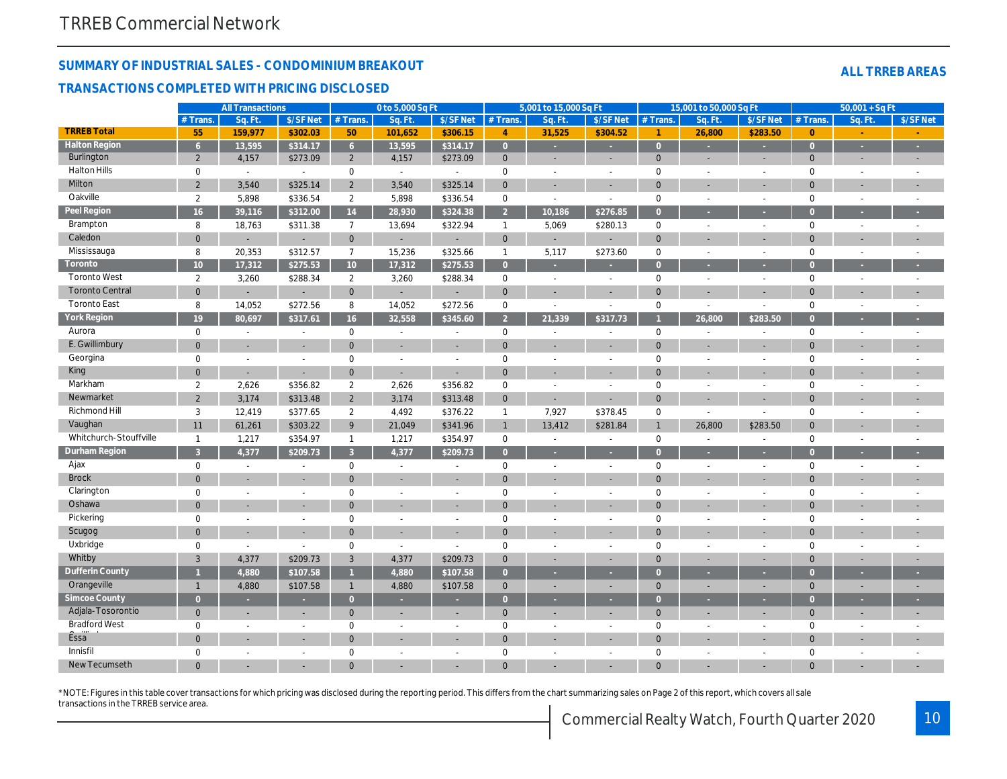**TRI** 

**Peel Region**

**Toronto**

**York Region**

New Tecumseth

#### **SUMMARY OF INDUSTRIAL SALES - CONDOMINIUM BREAKOUT**

#### **TRANSACTIONS COMPLETED WITH PRICING DISCLOSED**

|                        | $#$ Trans.      | Sq. Ft                   | \$/SF Net                | # Trans.            | Sq. Ft.                  | \$/SF Net                | # Trans             | Sq. Ft | \$/SF Net      | $#$ Trans      | Sq. Ft         | \$/SF Net                | $#$ Trans.     | Sq. Ft                   | \$/SF Net |
|------------------------|-----------------|--------------------------|--------------------------|---------------------|--------------------------|--------------------------|---------------------|--------|----------------|----------------|----------------|--------------------------|----------------|--------------------------|-----------|
| <b>TRREB Total</b>     | 55              | 159,977                  | \$302.03                 | 50                  | 101,652                  | \$306.15                 | $\overline{4}$      | 31,525 | \$304.52       | $\overline{1}$ | 26,800         | \$283.50                 | $\overline{0}$ |                          |           |
| <b>Halton Region</b>   | 6 <sup>1</sup>  | 13,595                   | \$314.17                 | 6 <sup>1</sup>      | $\overline{13,595}$      | \$314.17                 | $\overline{0}$      |        |                | $\Omega$       |                |                          | $\Omega$       |                          |           |
| Burlington             | 2               | 4,157                    | \$273.09                 | $\overline{2}$      | 4,157                    | \$273.09                 | $\mathbf{0}$        |        |                | $\mathbf{0}$   |                | ÷,                       | $\overline{0}$ |                          |           |
| <b>Halton Hills</b>    | 0               | $\overline{\phantom{a}}$ |                          | $\mathsf{O}$        | $\overline{\phantom{a}}$ | $\overline{a}$           | $\mathbf 0$         |        |                | $\mathbf 0$    |                |                          | $\mathbf 0$    |                          |           |
| Milton                 | $\overline{2}$  | 3,540                    | \$325.14                 | $\overline{2}$      | 3,540                    | \$325.14                 | $\mathsf{O}\xspace$ |        |                | $\Omega$       |                |                          | $\Omega$       |                          |           |
| Oakville               | $\overline{2}$  | 5,898                    | \$336.54                 | $\overline{2}$      | 5,898                    | \$336.54                 | $\mathsf{O}\xspace$ | $\sim$ | $\overline{a}$ | $\mathbf 0$    | $\sim$         | $\overline{\phantom{a}}$ | $\mathbf 0$    | $\sim$                   |           |
| Peel Region            | 16              | 39,116                   | \$312.00                 | 14                  | 28,930                   | \$324.38                 | $\overline{2}$      | 10,186 | \$276.85       | $\Omega$       |                |                          | $\Omega$       |                          |           |
| Brampton               | 8               | 18,763                   | \$311.38                 | $\overline{7}$      | 13,694                   | \$322.94                 | $\overline{1}$      | 5,069  | \$280.13       | $\mathbf 0$    | $\sim$         | $\overline{a}$           | $\mathbf 0$    | $\sim$                   |           |
| Caledon                | $\overline{0}$  | $\overline{\phantom{a}}$ | $\sim$                   | $\overline{0}$      | $\overline{\phantom{a}}$ | $\overline{\phantom{a}}$ | $\mathbf{0}$        |        | $\sim$         | $\overline{0}$ |                |                          | $\Omega$       |                          |           |
| Mississauga            | 8               | 20,353                   | \$312.57                 | $\overline{7}$      | 15,236                   | \$325.66                 | $\mathbf{1}$        | 5,117  | \$273.60       | $\mathbf 0$    | $\overline{a}$ | $\sim$                   | $\mathbf 0$    | $\overline{\phantom{a}}$ |           |
| Toronto                | 10 <sup>°</sup> | 17,312                   | \$275.53                 | 10                  | 17,312                   | \$275.53                 | $\overline{0}$      |        |                | $\Omega$       |                |                          | $\Omega$       |                          |           |
| <b>Toronto West</b>    | $\overline{2}$  | 3,260                    | \$288.34                 | $\overline{2}$      | 3,260                    | \$288.34                 | $\mathbf 0$         |        | $\sim$         | $\mathbf 0$    | $\overline{a}$ | $\overline{a}$           | $\mathbf 0$    |                          |           |
| <b>Toronto Central</b> | $\mathbf 0$     |                          |                          | $\mathbf{0}$        |                          |                          | $\mathsf{O}\xspace$ |        |                | $\Omega$       |                |                          | $\Omega$       |                          |           |
| <b>Toronto East</b>    | 8               | 14,052                   | \$272.56                 | 8                   | 14,052                   | \$272.56                 | $\mathbf{0}$        |        |                | $\mathbf 0$    | $\overline{a}$ | ÷                        | $\Omega$       |                          |           |
| <b>York Region</b>     | 19              | 80,697                   | \$317.61                 | 16                  | 32,558                   | \$345.60                 | $\overline{2}$      | 21,339 | \$317.73       |                | 26,800         | \$283.50                 | $\Omega$       |                          |           |
| Aurora                 | 0               |                          |                          | $\mathsf{O}$        | $\overline{a}$           | $\overline{a}$           | $\mathsf{O}$        |        |                | $\mathbf 0$    |                | ÷,                       | $\mathbf 0$    |                          |           |
| E. Gwillimbury         | $\overline{0}$  |                          | $\sim$                   | $\mathsf{O}\xspace$ | $\sim$                   | $\sim$                   | $\mathbf{0}$        |        | $\sim$         | $\Omega$       |                | $\overline{\phantom{a}}$ | $\Omega$       |                          |           |
| Georgina               | 0               |                          |                          | $\mathbf 0$         | $\overline{a}$           |                          | $\mathbf 0$         |        |                | $\mathbf 0$    |                | $\overline{\phantom{a}}$ | $\mathbf 0$    |                          |           |
| King                   | $\overline{0}$  |                          |                          | $\mathsf{O}\xspace$ |                          |                          | $\mathbf{0}$        |        |                | $\Omega$       |                |                          | $\Omega$       |                          |           |
| Markham                | $\overline{2}$  | 2,626                    | \$356.82                 | $\overline{2}$      | 2,626                    | \$356.82                 | $\mathbf 0$         |        | $\sim$         | $\mathbf 0$    | $\overline{a}$ | $\overline{a}$           | $\mathbf 0$    |                          |           |
| Newmarket              | $\overline{2}$  | 3,174                    | \$313.48                 | $\overline{2}$      | 3,174                    | \$313.48                 | $\mathbf 0$         |        |                | $\Omega$       |                |                          | $\Omega$       |                          |           |
| Richmond Hill          | 3               | 12,419                   | \$377.65                 | $\overline{2}$      | 4,492                    | \$376.22                 | $\overline{1}$      | 7,927  | \$378.45       | $\mathbf 0$    | $\overline{a}$ |                          | $\mathbf 0$    |                          |           |
| Vaughan                | 11              | 61,261                   | \$303.22                 | 9                   | 21,049                   | \$341.96                 | $\mathbf{1}$        | 13,412 | \$281.84       | $\mathbf{1}$   | 26,800         | \$283.50                 | $\Omega$       |                          |           |
| Whitchurch-Stouffville | $\mathbf{1}$    | 1,217                    | \$354.97                 | $\mathbf{1}$        | 1,217                    | \$354.97                 | $\mathbf 0$         | $\sim$ | $\sim$         | $\mathbf 0$    | $\sim$         | $\sim$                   | $\mathbf 0$    | $\overline{\phantom{a}}$ |           |
| Durham Region          | $\overline{3}$  | 4,377                    | \$209.73                 | $\overline{3}$      | 4,377                    | \$209.73                 | $\overline{0}$      |        |                | $\Omega$       |                |                          | $\Omega$       |                          |           |
| Ajax                   | $\mathbf 0$     | $\sim$                   |                          | $\mathsf{O}$        | $\overline{a}$           | $\overline{a}$           | $\mathbf 0$         |        | $\sim$         | $\mathbf 0$    | $\overline{a}$ | $\overline{a}$           | $\mathbf 0$    |                          |           |
| <b>Brock</b>           | $\overline{0}$  |                          |                          | $\overline{0}$      |                          |                          | $\overline{0}$      |        |                | $\Omega$       |                |                          | $\Omega$       |                          |           |
| Clarington             | $\mathbf 0$     |                          | $\overline{\phantom{a}}$ | $\mathsf{O}\xspace$ | ÷                        | $\overline{a}$           | $\mathbf 0$         |        | $\sim$         | $\mathbf 0$    |                | $\overline{\phantom{m}}$ | $\mathbf 0$    |                          |           |
| Oshawa                 | $\mathbf{0}$    |                          |                          | $\mathbf{0}$        |                          | ÷,                       | $\mathbf 0$         |        |                | $\Omega$       |                |                          | $\overline{0}$ |                          |           |
| Pickering              | $\mathbf 0$     |                          | $\overline{\phantom{a}}$ | $\boldsymbol{0}$    | $\overline{a}$           | L                        | $\mathbf 0$         |        | $\sim$         | $\mathbf 0$    |                | $\overline{\phantom{a}}$ | $\mathbf 0$    |                          |           |
| Scugog                 | $\Omega$        |                          | ÷.                       | $\mathbf{0}$        | ÷,                       |                          | $\overline{0}$      |        |                | $\Omega$       |                | $\overline{\phantom{a}}$ | $\Omega$       |                          |           |
| Uxbridge               | $\mathbf{0}$    | $\overline{\phantom{a}}$ |                          | $\mathsf{O}\xspace$ | $\overline{\phantom{a}}$ | $\overline{a}$           | $\mathbf 0$         |        | $\sim$         | $\mathbf 0$    |                | $\overline{\phantom{a}}$ | $\Omega$       |                          |           |
| Whitby                 | $\overline{3}$  | 4,377                    | \$209.73                 | $\sqrt{3}$          | 4,377                    | \$209.73                 | $\mathbf 0$         |        |                | $\Omega$       |                |                          | $\overline{0}$ |                          |           |
| Dufferin County        |                 | 4,880                    | \$107.58                 | $\mathbf{1}$        | 4,880                    | \$107.58                 | $\overline{0}$      |        |                | $\Omega$       |                |                          | $\mathbf{0}$   |                          |           |
| Orangeville            | $\mathbf{1}$    | 4,880                    | \$107.58                 | $\mathbf{1}$        | 4,880                    | \$107.58                 | $\mathbf{0}$        |        |                | $\mathbf{0}$   |                |                          | $\overline{0}$ |                          |           |
| Simcoe County          | $\Omega$        |                          |                          | $\overline{0}$      |                          |                          | $\overline{0}$      |        |                | $\Omega$       |                |                          | $\Omega$       |                          |           |
| Adjala-Tosorontio      | $\mathbf{0}$    |                          |                          | $\overline{0}$      |                          |                          | $\mathbf{0}$        |        |                | $\mathbf 0$    |                |                          | $\mathbf{0}$   |                          |           |
| <b>Bradford West</b>   | $\mathbf 0$     |                          | $\overline{a}$           | $\mathbf 0$         | $\overline{a}$           | $\overline{a}$           | $\mathbf 0$         |        | $\overline{a}$ | $\mathbf 0$    |                | $\overline{a}$           | $\mathbf 0$    | $\overline{a}$           |           |
| Essa <sup>"</sup>      | $\overline{0}$  |                          | ÷.                       | $\mathbf{0}$        |                          | ÷                        | $\overline{0}$      |        |                | $\Omega$       |                | ÷                        | $\Omega$       |                          |           |
| Innisfil               | $\cap$          |                          |                          | $\Omega$            |                          |                          | $\cap$              |        |                | $\cap$         |                |                          | $\Omega$       |                          |           |

0 - - - 0 - - 0 - - 0 - - 0 - - 0 - - - 0 - - - - 0 - - - - 0 - - - - 0 - - - - 0 0 - - 0 - - 0 - - 0 - - 0 - -

**All Transactions 0 to 5,000 Sq Ft 5,001 to 15,000 Sq Ft 15,001 to 50,000 Sq Ft 50,001 + Sq Ft**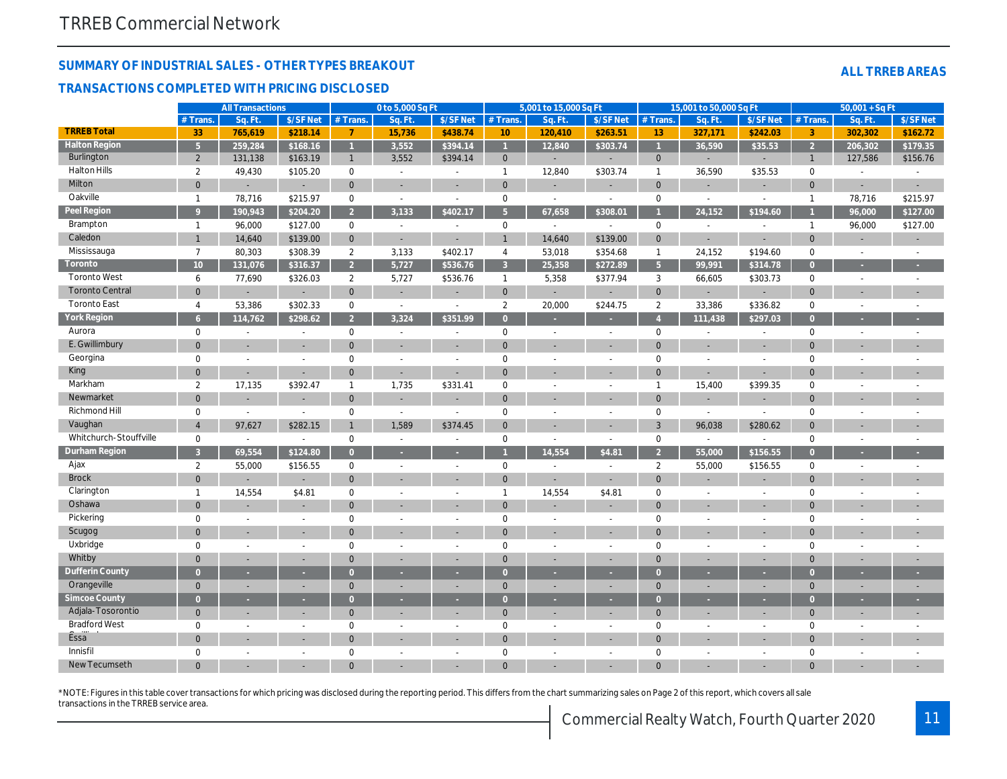#### **SUMMARY OF INDUSTRIAL SALES - OTHER TYPES BREAKOUT**

#### **TRANSACTIONS COMPLETED WITH PRICING DISCLOSED**

|                        |                 | <b>All Transactions</b> |                          |                | 0 to 5,000 Sq Ft         |                |                 | 5,001 to 15,000 Sq Ft    |                          |                | 15,001 to 50,000 Sq Ft   |                          |                | $50,001 + SqFt$ |                          |
|------------------------|-----------------|-------------------------|--------------------------|----------------|--------------------------|----------------|-----------------|--------------------------|--------------------------|----------------|--------------------------|--------------------------|----------------|-----------------|--------------------------|
|                        | # Trans         | Sq. Ft.                 | \$/SFNet                 | $#$ Trans.     | Sq. Ft.                  | \$/SFNet       | # Trans.        | Sq. Ft                   | \$/SFNet                 | $#$ Trans.     | Sq. Ft.                  | \$/SF Net                | # Trans.       | Sq. Ft          | \$/SFNet                 |
| <b>TRREB Total</b>     | 33              | 765,619                 | \$218.14                 | $\overline{7}$ | 15,736                   | \$438.74       | 10 <sup>°</sup> | 120,410                  | \$263.51                 | 13             | 327,171                  | \$242.03                 | 3              | 302,302         | \$162.72                 |
| <b>Halton Region</b>   | 5 <sup>1</sup>  | 259,284                 | \$168.16                 | $\mathbf{1}$   | 3,552                    | \$394.14       | $\mathbf{1}$    | 12,840                   | \$303.74                 |                | 36,590                   | \$35.53                  | $\overline{2}$ | 206,302         | \$179.35                 |
| Burlington             | $\overline{2}$  | 131,138                 | \$163.19                 | $\mathbf{1}$   | 3,552                    | \$394.14       | $\mathbf{0}$    | $\sim$                   | $\overline{\phantom{a}}$ | $\overline{0}$ | ÷.                       | ÷,                       | $\mathbf{1}$   | 127,586         | \$156.76                 |
| <b>Halton Hills</b>    | 2               | 49,430                  | \$105.20                 | $\mathbf 0$    | $\sim$                   | $\sim$         | $\overline{1}$  | 12,840                   | \$303.74                 | $\mathbf{1}$   | 36,590                   | \$35.53                  | $\mathbf 0$    | $\overline{a}$  |                          |
| Milton                 | $\mathbf{0}$    |                         |                          | $\mathbf{0}$   | $\sim$                   |                | $\mathbf{0}$    |                          | $\sim$                   | $\overline{0}$ | ÷.                       | ÷,                       | $\overline{0}$ |                 |                          |
| Oakville               | $\mathbf{1}$    | 78,716                  | \$215.97                 | $\mathbf 0$    | $\sim$                   | $\sim$         | $\mathbf 0$     | $\sim$                   | $\sim$                   | $\mathbf 0$    | $\sim$                   | $\overline{\phantom{a}}$ | $\mathbf{1}$   | 78,716          | \$215.97                 |
| Peel Region            | $\mathsf{Q}$    | 190,943                 | \$204.20                 | $\overline{2}$ | 3,133                    | \$402.17       | 5 <sup>5</sup>  | 67,658                   | \$308.01                 |                | 24,152                   | \$194.60                 |                | 96,000          | \$127.00                 |
| Brampton               | $\mathbf{1}$    | 96,000                  | \$127.00                 | $\mathbf 0$    | $\mathbb{L}$             | $\sim$         | $\mathbf 0$     | $\sim$                   | $\sim$                   | $\mathbf 0$    | $\mathbb{L}$             | $\overline{\phantom{a}}$ | $\mathbf{1}$   | 96,000          | \$127.00                 |
| Caledon                | $\mathbf{1}$    | 14,640                  | \$139.00                 | $\mathbf{0}$   | $\sim$                   |                |                 | 14,640                   | \$139.00                 | $\mathbf{0}$   | ÷.                       | L,                       | $\mathbf 0$    |                 |                          |
| Mississauga            | $\overline{7}$  | 80,303                  | \$308.39                 | $\overline{2}$ | 3,133                    | \$402.17       | 4               | 53,018                   | \$354.68                 | $\overline{1}$ | 24,152                   | \$194.60                 | $\mathbf 0$    | $\sim$          | $\overline{\phantom{a}}$ |
| Toronto                | 10 <sup>°</sup> | 131,076                 | \$316.37                 | $\overline{2}$ | 5,727                    | \$536.76       | $\mathbf{3}$    | 25,358                   | \$272.89                 | 5 <sup>5</sup> | 99,991                   | \$314.78                 | $\overline{0}$ |                 |                          |
| <b>Toronto West</b>    | 6               | 77,690                  | \$326.03                 | $\overline{2}$ | 5,727                    | \$536.76       | $\overline{1}$  | 5,358                    | \$377.94                 | $\mathbf{3}$   | 66,605                   | \$303.73                 | $\mathbf 0$    | $\sim$          | $\sim$                   |
| <b>Toronto Central</b> | $\mathbf{0}$    |                         |                          | $\mathbf{0}$   | ÷                        |                | $\mathbf{0}$    |                          | $\overline{\phantom{a}}$ | $\mathbf{0}$   | ÷.                       | ÷,                       | $\Omega$       |                 |                          |
| <b>Toronto East</b>    | $\overline{4}$  | 53,386                  | \$302.33                 | $\mathbf 0$    | $\sim$                   | $\sim$         | $\overline{a}$  | 20,000                   | \$244.75                 | $\overline{2}$ | 33,386                   | \$336.82                 | $\mathbf 0$    | $\sim$          | $\sim$                   |
| York Region            | 6               | 114,762                 | \$298.62                 | $\overline{2}$ | 3,324                    | \$351.99       | $\Omega$        |                          |                          | $\overline{A}$ | 111,438                  | \$297.03                 | $\overline{0}$ |                 |                          |
| Aurora                 | $\mathbf 0$     | $\overline{a}$          | $\sim$                   | $\mathbf 0$    | $\sim$                   | $\sim$         | 0               | $\sim$                   | $\sim$                   | $\mathbf 0$    | $\overline{\phantom{a}}$ | $\overline{a}$           | $\mathbf 0$    | $\sim$          | $\overline{a}$           |
| E. Gwillimbury         | $\overline{0}$  |                         | ÷                        | $\Omega$       |                          |                | $\mathbf{0}$    |                          | ÷                        | $\Omega$       | ÷.                       | ÷                        | $\Omega$       |                 |                          |
| Georgina               | $\mathbf 0$     | $\overline{a}$          | $\overline{\phantom{a}}$ | $\mathbf 0$    | $\overline{a}$           | $\overline{a}$ | $\mathbf 0$     | $\overline{\phantom{a}}$ | $\overline{a}$           | $\mathbf 0$    | $\sim$                   | $\overline{a}$           | $\mathbf 0$    | $\overline{a}$  |                          |
| King                   | $\mathbf{0}$    | ÷                       |                          | $\mathbf{0}$   | ÷.                       |                | $\mathbf{0}$    |                          |                          | $\Omega$       | ÷.                       | ÷,                       | $\Omega$       |                 |                          |
| Markham                | 2               | 17,135                  | \$392.47                 | $\mathbf{1}$   | 1,735                    | \$331.41       | $\mathbf 0$     | $\sim$                   | $\overline{a}$           | $\mathbf{1}$   | 15,400                   | \$399.35                 | $\mathbf 0$    | $\overline{a}$  |                          |
| Newmarket              | $\mathbf{0}$    |                         | ÷                        | $\mathbf{0}$   |                          |                | $\mathbf{0}$    |                          |                          | $\Omega$       | ÷.                       | ÷                        | $\Omega$       |                 |                          |
| Richmond Hill          | $\mathbf 0$     | $\overline{a}$          | $\sim$                   | $\mathbf 0$    | $\sim$                   | $\sim$         | $\mathbf 0$     | $\overline{a}$           | $\sim$                   | $\mathbf 0$    | $\sim$                   | $\overline{\phantom{a}}$ | $\mathbf 0$    | $\overline{a}$  | $\overline{\phantom{a}}$ |
| Vaughan                | $\overline{4}$  | 97,627                  | \$282.15                 |                | 1,589                    | \$374.45       | $\mathbf{0}$    |                          |                          | 3              | 96,038                   | \$280.62                 | $\mathbf{0}$   |                 |                          |
| Whitchurch-Stouffville | $\mathbf 0$     | $\mathbb{L}$            | $\sim$                   | $\mathbf 0$    | $\sim$                   | $\sim$         | $\mathbf 0$     | $\sim$                   | $\overline{a}$           | $\mathbf 0$    | $\mathbb{L}$             | $\overline{a}$           | $\mathbf 0$    | $\sim$          | $\overline{\phantom{a}}$ |
| Durham Region          | $\overline{3}$  | 69,554                  | \$124.80                 | $\Omega$       |                          |                |                 | 14,554                   | \$4.81                   | $\overline{2}$ | 55,000                   | \$156.55                 | $\overline{0}$ |                 |                          |
| Ajax                   | $\overline{2}$  | 55,000                  | \$156.55                 | $\mathbf 0$    | $\overline{\phantom{a}}$ | $\sim$         | $\mathbf 0$     | $\overline{\phantom{a}}$ | $\overline{a}$           | 2              | 55,000                   | \$156.55                 | $\mathbf 0$    | $\overline{a}$  | $\overline{a}$           |
| <b>Brock</b>           | $\overline{0}$  |                         |                          | $\mathbf{0}$   |                          |                | $\mathbf{0}$    |                          | ÷                        | $\Omega$       |                          | ٠                        | $\mathbf{0}$   |                 |                          |
| Clarington             | $\mathbf{1}$    | 14,554                  | \$4.81                   | $\mathbf{0}$   | $\overline{a}$           | $\sim$         | $\overline{1}$  | 14,554                   | \$4.81                   | $\mathbf 0$    | $\sim$                   | $\overline{a}$           | $\mathbf 0$    | $\overline{a}$  |                          |
| Oshawa                 | $\mathbf{0}$    |                         |                          | $\Omega$       |                          |                | $\Omega$        |                          |                          | $\Omega$       |                          | $\overline{a}$           | $\Omega$       |                 |                          |
| Pickering              | $\mathbf 0$     | $\overline{a}$          | $\overline{\phantom{a}}$ | $\mathbf 0$    | $\overline{a}$           | $\sim$         | $\mathbf{0}$    | $\overline{a}$           | $\sim$                   | $\mathbf 0$    | $\sim$                   | $\overline{a}$           | $\mathbf 0$    | $\overline{a}$  |                          |
| Scugog                 | $\mathbf{0}$    |                         |                          | $\Omega$       |                          |                | $\mathbf{0}$    |                          | ÷                        | $\Omega$       |                          |                          | $\Omega$       |                 |                          |
| Uxbridge               | $\mathbf 0$     | $\overline{a}$          | $\overline{a}$           | $\Omega$       | $\overline{a}$           | $\overline{a}$ | $\mathbf{0}$    | $\sim$                   | $\overline{a}$           | $\Omega$       | $\sim$                   | $\overline{a}$           | $\mathbf 0$    | $\overline{a}$  |                          |
| Whitby                 | $\mathbf{0}$    | L                       |                          | $\Omega$       |                          |                | $\mathbf{0}$    |                          | ÷                        | $\Omega$       | ٠                        |                          | $\Omega$       |                 |                          |
| Dufferin County        | $\Omega$        | ٠                       |                          | $\Omega$       | ٠                        | ٠              | $\Omega$        | ٠                        | ٠                        | $\Omega$       | ٠                        |                          | $\Omega$       |                 |                          |
| Orangeville            | $\mathbf{0}$    | $\overline{a}$          | ÷                        | $\Omega$       | ÷                        | ÷.             | $\mathbf{0}$    | $\overline{\phantom{a}}$ | $\sim$                   | $\Omega$       | ÷                        | ÷,                       | $\mathbf{0}$   |                 |                          |
| Simcoe County          | $\Omega$        | ×.                      | ×.                       | $\Omega$       | $\sim$                   | ٠              | $\Omega$        | $\sim$                   | ٠                        | $\Omega$       | ×                        |                          | $\Omega$       |                 |                          |
| Adjala-Tosorontio      | $\overline{0}$  | ÷                       | ÷                        | $\mathbf{0}$   |                          |                | $\mathbf{0}$    | ÷                        | ÷                        | $\Omega$       | ÷                        | ٠                        | $\mathbf{0}$   | ÷               |                          |
| <b>Bradford West</b>   | $\mathbf 0$     | $\overline{a}$          | $\overline{\phantom{a}}$ | $\mathbf 0$    | $\overline{a}$           | $\overline{a}$ | $\mathbf{0}$    | $\overline{a}$           | $\overline{a}$           | $\mathbf 0$    | $\sim$                   | $\overline{a}$           | $\mathbf 0$    | $\overline{a}$  |                          |
| Essa <sup>"</sup>      | $\mathbf{0}$    |                         |                          | $\Omega$       |                          |                | $\mathbf{0}$    |                          |                          | $\Omega$       |                          |                          | $\Omega$       |                 |                          |
| Innisfil               | $\Omega$        | $\overline{a}$          | $\overline{a}$           | $\Omega$       |                          | $\overline{a}$ | $\mathbf{0}$    | $\overline{a}$           | $\overline{a}$           | $\Omega$       | $\overline{a}$           | $\overline{a}$           | $\Omega$       | $\sim$          |                          |
| New Tecumseth          | $\Omega$        |                         |                          |                |                          |                | $\Omega$        |                          |                          |                |                          |                          | $\Omega$       |                 |                          |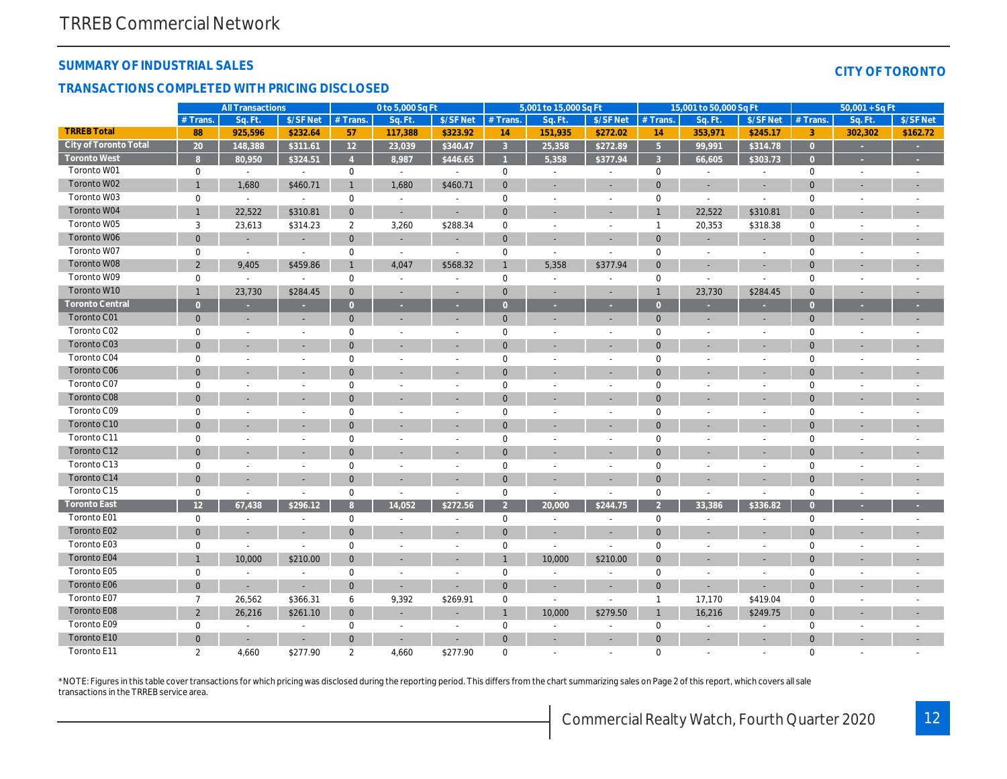#### **SUMMARY OF INDUSTRIAL SALES**

#### **TRANSACTIONS COMPLETED WITH PRICING DISCLOSED**

|  | CITY OF TORONTO |  |
|--|-----------------|--|
|  |                 |  |

|                        |                     | <b>All Transactions</b>  |                          |                | 0 to 5,000 Sq Ft         |                          |                | 5,001 to 15,000 Sq Ft    |                          |                     | 15,001 to 50,000 Sq Ft   |                          |                | $50,001 + SqFt$ |                          |
|------------------------|---------------------|--------------------------|--------------------------|----------------|--------------------------|--------------------------|----------------|--------------------------|--------------------------|---------------------|--------------------------|--------------------------|----------------|-----------------|--------------------------|
|                        | $#$ Trans.          | Sq. Ft.                  | \$/SF Net                | $#$ Trans.     | Sq. Ft.                  | \$/SFNet                 | # Trans.       | Sq. Ft.                  | \$/SF Net                | $#$ Trans.          | Sq. Ft.                  | \$/SF Net                | $#$ Trans.     | Sq. Ft.         | \$/SF Net                |
| <b>TRREB Total</b>     | 88                  | 925,596                  | \$232.64                 | 57             | 117,388                  | \$323.92                 | 14             | 151,935                  | \$272.02                 | 14                  | 353,971                  | \$245.17                 | $\overline{3}$ | 302,302         | \$162.72                 |
| City of Toronto Total  | 20                  | 148,388                  | \$311.61                 | 12             | 23,039                   | \$340.47                 | $\overline{3}$ | 25,358                   | \$272.89                 | $\overline{5}$      | 99,991                   | \$314.78                 | $\overline{0}$ |                 |                          |
| <b>Toronto West</b>    | $\mathbf{R}$        | 80,950                   | \$324.51                 |                | 8,987                    | \$446.65                 |                | 5,358                    | \$377.94                 | $\overline{3}$      | 66,605                   | \$303.73                 | $\Omega$       |                 |                          |
| Toronto W01            | $\mathbf 0$         | $\overline{\phantom{a}}$ | $\overline{\phantom{a}}$ | $\mathbf 0$    | $\sim$                   | $\overline{\phantom{a}}$ | $\bf 0$        | $\overline{a}$           |                          | $\boldsymbol{0}$    |                          |                          | $\mathbf 0$    |                 |                          |
| Toronto W02            | $\overline{1}$      | 1,680                    | \$460.71                 | $\mathbf{1}$   | 1,680                    | \$460.71                 | $\overline{0}$ |                          | $\sim$                   | $\overline{0}$      |                          | ÷,                       | $\overline{0}$ |                 |                          |
| Toronto W03            | $\mathbf 0$         | $\sim$                   |                          | $\mathbf 0$    | $\overline{a}$           | $\overline{\phantom{a}}$ | $\overline{0}$ | $\overline{\phantom{a}}$ | $\overline{\phantom{a}}$ | $\mathbf{0}$        | $\sim$                   | $\overline{\phantom{a}}$ | $\mathbf 0$    |                 |                          |
| Toronto W04            |                     | 22,522                   | \$310.81                 | $\mathbf 0$    |                          |                          | $\mathbf{0}$   |                          |                          | $\mathbf{1}$        | 22,522                   | \$310.81                 | $\mathbf{0}$   |                 | $\overline{\phantom{a}}$ |
| Toronto W05            | 3                   | 23,613                   | \$314.23                 | $\overline{2}$ | 3,260                    | \$288.34                 | $\mathbf 0$    | $\overline{a}$           | $\overline{a}$           | $\mathbf{1}$        | 20,353                   | \$318.38                 | $\mathbf 0$    |                 |                          |
| Toronto W06            | $\mathbf 0$         |                          |                          | $\mathbf{0}$   | ÷.                       |                          | $\mathbf 0$    |                          |                          | $\mathbf 0$         |                          |                          | $\mathbf 0$    |                 |                          |
| Toronto W07            | $\mathbf 0$         | $\sim$                   | $\sim$                   | $\mathbf 0$    | $\overline{\phantom{a}}$ | $\overline{\phantom{a}}$ | $\mathbf 0$    | $\overline{\phantom{a}}$ |                          | $\mathsf{O}\xspace$ |                          | $\overline{a}$           | $\mathbf 0$    |                 |                          |
| Toronto W08            | 2                   | 9,405                    | \$459.86                 | $\mathbf{1}$   | 4,047                    | \$568.32                 | $\mathbf{1}$   | 5,358                    | \$377.94                 | $\mathbf{0}$        |                          |                          | $\mathbf{0}$   |                 |                          |
| Toronto W09            | $\mathbf 0$         | $\sim$                   | $\sim$                   | $\mathbf 0$    | ÷,                       | $\overline{\phantom{a}}$ | $\mathbf 0$    | $\overline{\phantom{a}}$ |                          | $\mathbf 0$         | $\sim$                   | $\overline{\phantom{a}}$ | $\mathbf 0$    |                 |                          |
| Toronto W10            |                     | 23,730                   | \$284.45                 | $\mathbf{0}$   | $\overline{a}$           | $\overline{\phantom{a}}$ | $\overline{0}$ | ÷,                       | $\sim$                   | $\overline{1}$      | 23,730                   | \$284.45                 | $\mathbf{0}$   |                 |                          |
| <b>Toronto Central</b> | $\Omega$            |                          |                          | $\Omega$       |                          |                          | $\Omega$       |                          |                          | $\Omega$            |                          |                          | $\overline{0}$ |                 |                          |
| Toronto C01            | $\mathbf{0}$        | $\sim$                   | $\overline{\phantom{a}}$ | $\mathbf{0}$   | $\overline{\phantom{a}}$ | $\overline{\phantom{a}}$ | $\mathbf 0$    | ÷.                       | $\overline{\phantom{a}}$ | $\mathbf 0$         | $\sim$                   | $\overline{\phantom{a}}$ | $\mathbf{0}$   | ÷.              | $\overline{\phantom{a}}$ |
| Toronto C02            | $\mathbf 0$         |                          | $\overline{\phantom{a}}$ | $\mathbf 0$    | $\overline{a}$           | $\overline{a}$           | $\mathbf 0$    | $\overline{\phantom{a}}$ | $\overline{\phantom{a}}$ | $\mathbf 0$         |                          | $\overline{\phantom{a}}$ | $\mathbf 0$    |                 |                          |
| Toronto C03            | $\Omega$            |                          | <b>.</b>                 | $\Omega$       |                          |                          | $\overline{0}$ |                          |                          | $\Omega$            |                          | $\overline{\phantom{a}}$ | $\mathbf{0}$   |                 |                          |
| Toronto C04            | $\mathbf 0$         |                          | $\overline{\phantom{a}}$ | $\mathbf 0$    | ÷                        | $\overline{\phantom{a}}$ | $\mathbf 0$    | ÷                        | $\overline{\phantom{a}}$ | $\mathbf 0$         |                          | $\sim$                   | $\mathbf 0$    |                 |                          |
| Toronto C06            | $\Omega$            |                          |                          | $\Omega$       |                          |                          | $\overline{0}$ |                          |                          | $\overline{0}$      |                          |                          | $\overline{0}$ |                 |                          |
| Toronto C07            | $\Omega$            |                          | $\overline{\phantom{a}}$ | $\Omega$       | $\overline{\phantom{a}}$ | $\overline{\phantom{a}}$ | $\mathbf 0$    | $\overline{\phantom{0}}$ | $\overline{\phantom{a}}$ | $\mathbf 0$         |                          | $\overline{\phantom{a}}$ | $\mathbf 0$    |                 |                          |
| Toronto C08            | $\Omega$            |                          |                          | $\Omega$       |                          |                          | $\overline{0}$ |                          |                          | $\Omega$            |                          |                          | $\mathbf{0}$   |                 |                          |
| Toronto C09            | $\mathbf 0$         |                          | $\sim$                   | 0              | $\overline{a}$           | $\overline{a}$           | $\mathbf 0$    | $\overline{a}$           | $\overline{\phantom{a}}$ | $\mathsf{O}\xspace$ |                          | $\overline{\phantom{a}}$ | $\mathbf 0$    |                 |                          |
| Toronto C10            | $\Omega$            |                          |                          | $\Omega$       |                          |                          | $\mathbf{0}$   |                          |                          | $\mathbf{0}$        |                          | $\overline{\phantom{a}}$ | $\mathbf 0$    |                 |                          |
| Toronto C11            | $\mathbf 0$         |                          | $\overline{\phantom{a}}$ | $\mathbf 0$    | ÷,                       | $\overline{\phantom{a}}$ | $\mathbf 0$    | $\overline{a}$           |                          | $\mathbf 0$         |                          | $\overline{\phantom{a}}$ | $\mathbf 0$    |                 |                          |
| Toronto C12            | $\mathbf{0}$        |                          |                          | $\mathbf{0}$   |                          |                          | $\overline{0}$ |                          |                          | $\Omega$            |                          | $\sim$                   | $\mathbf{0}$   |                 | $\overline{\phantom{a}}$ |
| Toronto C13            | $\mathbf 0$         |                          | $\overline{\phantom{a}}$ | $\mathbf 0$    |                          |                          | $\mathbf 0$    | $\overline{\phantom{a}}$ | $\overline{\phantom{a}}$ | $\mathsf{O}\xspace$ |                          | $\overline{\phantom{a}}$ | $\mathbf 0$    |                 |                          |
| Toronto C14            | $\mathbf{0}$        |                          | $\overline{\phantom{a}}$ | $\mathbf{0}$   |                          | ÷                        | $\overline{0}$ | ÷,                       | $\sim$                   | $\Omega$            |                          | ÷.                       | $\mathbf{0}$   |                 | $\overline{\phantom{a}}$ |
| Toronto C15            | $\mathbf 0$         | $\overline{\phantom{a}}$ | $\overline{\phantom{a}}$ | $\mathbf 0$    | $\overline{a}$           | $\sim$                   | $\mathbf 0$    | $\overline{\phantom{a}}$ | $\overline{\phantom{a}}$ | $\mathbf{0}$        | $\overline{\phantom{a}}$ | $\sim$                   | $\mathbf 0$    |                 |                          |
| <b>Toronto East</b>    | 12                  | 67,438                   | \$296.12                 | 8              | 14,052                   | \$272.56                 | $\overline{2}$ | 20,000                   | \$244.75                 | $\overline{2}$      | 33,386                   | \$336.82                 | $\overline{0}$ |                 | ı.                       |
| Toronto E01            | $\mathsf{O}\xspace$ | $\sim$                   | $\overline{\phantom{a}}$ | $\mathbf 0$    | ÷,                       | $\overline{\phantom{a}}$ | $\mathbf 0$    | $\overline{\phantom{a}}$ | $\overline{\phantom{a}}$ | $\mathsf{O}\xspace$ |                          | $\overline{\phantom{a}}$ | $\mathbf 0$    | $\overline{a}$  |                          |
| Toronto E02            | $\mathbf{0}$        |                          |                          | $\Omega$       |                          |                          | $\overline{0}$ |                          |                          | $\mathbf{0}$        |                          |                          | $\mathbf{0}$   |                 |                          |
| Toronto E03            | $\mathsf{O}\xspace$ | $\sim$                   | $\overline{\phantom{a}}$ | $\mathbf 0$    |                          | $\overline{a}$           | $\mathbf 0$    | $\sim$                   | $\overline{a}$           | $\mathsf{O}\xspace$ |                          | $\overline{a}$           | $\mathbf 0$    |                 |                          |
| Toronto E04            |                     | 10,000                   | \$210.00                 | $\mathbf{0}$   |                          |                          |                | 10,000                   | \$210.00                 | $\mathbf{0}$        |                          | $\overline{\phantom{a}}$ | $\overline{0}$ |                 |                          |
| Toronto E05            | $\mathbf 0$         | $\sim$                   | $\overline{a}$           | $\mathbf 0$    | $\overline{a}$           | $\overline{\phantom{a}}$ | $\mathbf 0$    | $\overline{a}$           | $\overline{a}$           | $\mathbf{0}$        | $\overline{\phantom{a}}$ | $\overline{\phantom{a}}$ | $\mathbf 0$    |                 |                          |
| Toronto E06            | $\mathbf 0$         |                          | $\sim$                   | $\mathbf{0}$   | ÷                        | ÷                        | $\overline{0}$ | ä,                       | ÷                        | $\mathbf 0$         |                          |                          | $\mathbf{0}$   |                 |                          |
| Toronto E07            | $\overline{7}$      | 26,562                   | \$366.31                 | 6              | 9,392                    | \$269.91                 | $\mathbf 0$    | $\overline{a}$           | $\overline{a}$           | $\mathbf{1}$        | 17,170                   | \$419.04                 | $\mathbf 0$    | ٠               |                          |
| Toronto E08            | $\overline{2}$      | 26,216                   | \$261.10                 | $\mathbf{0}$   |                          | $\overline{\phantom{a}}$ | $\mathbf{1}$   | 10,000                   | \$279.50                 | $\mathbf{1}$        | 16,216                   | \$249.75                 | $\mathbf{0}$   |                 |                          |
| Toronto E09            | $\mathbf 0$         |                          | $\sim$                   | $\mathbf 0$    |                          |                          | $\mathbf 0$    | $\overline{a}$           |                          | $\mathsf{O}\xspace$ |                          |                          | $\mathbf 0$    |                 |                          |
| Toronto E10            | $\Omega$            |                          | $\overline{\phantom{a}}$ | $\mathbf{0}$   |                          |                          | $\overline{0}$ | ÷                        |                          | $\Omega$            |                          | ÷.                       | $\Omega$       |                 |                          |
| Toronto E11            | $\overline{2}$      | 4,660                    | \$277.90                 | 2              | 4,660                    | \$277.90                 | $\Omega$       | $\overline{a}$           |                          | $\mathbf{0}$        | $\overline{a}$           | $\sim$                   | $\mathbf 0$    |                 |                          |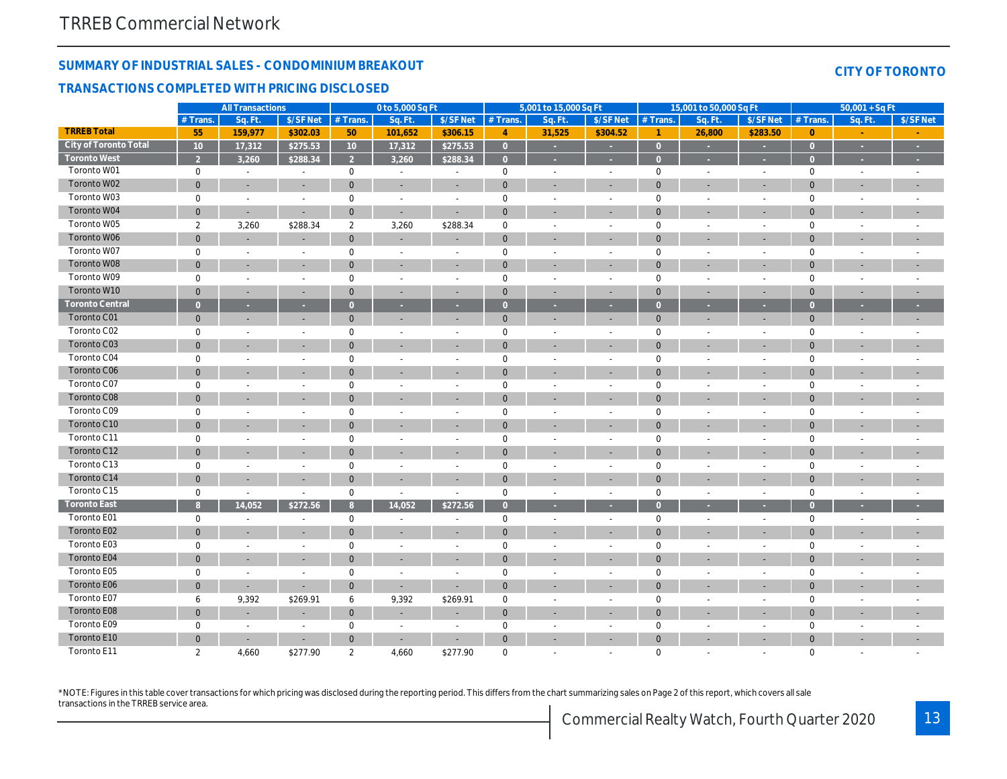**TRREB Total City of Toronto Total Toronto West** Toronto W01

#### **SUMMARY OF INDUSTRIAL SALES - CONDOMINIUM BREAKOUT**

#### **TRANSACTIONS COMPLETED WITH PRICING DISCLOSED**

| 3,260 | \$288.34 | 3.260 | \$288.34 |  |  |  |  |  |
|-------|----------|-------|----------|--|--|--|--|--|
|       |          |       |          |  |  |  |  |  |
|       |          |       |          |  |  |  |  |  |

**All Transactions 0 to 5,000 Sq Ft 5,001 to 15,000 Sq Ft 15,001 to 50,000 Sq Ft 50,001 + Sq Ft** #Trans. | Sq.Ft. |\$/SFNet |#Trans. | Sq.Ft. |\$/SFNet |#Trans. | Sq.Ft. |\$/SFNet |#Trans. | Sq.Ft. |\$/SFNet |#Trans. | Sq.Ft. |\$/SFNet

**55 159,977 \$302.03 50 101,652 \$306.15 4 31,525 \$304.52 1 26,800 \$283.50 0 - - 10 17,312 \$275.53 10 17,312 \$275.53 0 - - 0 - - 0 - -**

| Toronto W02            | $\mathbf{0}$   |                          |                          | $\mathbf{0}$        |        |                          | $\overline{0}$ |                          |                          | $\overline{0}$ |                          |                          | $\mathbf{0}$        |   |
|------------------------|----------------|--------------------------|--------------------------|---------------------|--------|--------------------------|----------------|--------------------------|--------------------------|----------------|--------------------------|--------------------------|---------------------|---|
| Toronto W03            | $\mathbf 0$    |                          |                          | $\mathsf{O}\xspace$ |        | $\overline{\phantom{a}}$ | $\mathbf 0$    |                          | $\overline{\phantom{a}}$ | $\mathbf 0$    |                          |                          | $\mathsf{O}\xspace$ |   |
| Toronto W04            | $\overline{0}$ |                          |                          | $\mathbf{0}$        |        |                          | $\overline{0}$ |                          |                          | $\overline{0}$ |                          |                          | $\mathbf{0}$        |   |
| Toronto W05            | $\overline{2}$ | 3,260                    | \$288.34                 | 2                   | 3,260  | \$288.34                 | $\mathbf 0$    |                          | $\overline{\phantom{a}}$ | $\mathbf 0$    |                          |                          | $\mathbf 0$         |   |
| Toronto W06            | $\overline{0}$ | ÷                        |                          | $\mathbf{0}$        |        | $\overline{\phantom{a}}$ | $\mathbf{0}$   |                          | $\overline{\phantom{a}}$ | $\mathbf{0}$   |                          |                          | $\mathbf 0$         |   |
| Toronto W07            | $\mathbf 0$    | $\overline{a}$           |                          | $\mathbf 0$         |        | $\overline{a}$           | $\mathbf 0$    |                          | $\overline{\phantom{a}}$ | $\mathbf 0$    |                          |                          | $\mathbf{0}$        |   |
| Toronto W08            | $\overline{0}$ | $\overline{\phantom{a}}$ |                          | $\mathbf{0}$        |        | $\overline{\phantom{a}}$ | $\mathbf 0$    |                          | ÷                        | $\mathbf{0}$   |                          |                          | $\mathbf 0$         |   |
| Toronto W09            | $\Omega$       |                          |                          | $\mathbf 0$         |        | $\overline{a}$           | $\mathbf 0$    |                          | $\overline{a}$           | $\mathbf 0$    |                          |                          | $\mathbf 0$         |   |
| Toronto W10            | $\mathbf{0}$   | ÷.                       |                          | $\mathbf{0}$        |        | $\overline{\phantom{a}}$ | $\overline{0}$ | $\overline{\phantom{a}}$ | $\overline{\phantom{a}}$ | $\mathbf{0}$   |                          |                          | $\mathbf 0$         |   |
| <b>Toronto Central</b> | $\overline{0}$ | ٠                        | ٠                        | $\Omega$            | $\sim$ | $\sim$                   | $\overline{0}$ | ٠                        | ٠                        | $\overline{0}$ |                          | ÷                        | $\overline{0}$      |   |
| Toronto C01            | $\mathbf{0}$   | $\overline{\phantom{a}}$ |                          | $\mathbf{0}$        |        | $\overline{\phantom{a}}$ | $\mathbf 0$    | ÷                        | $\overline{\phantom{a}}$ | $\overline{0}$ | ÷                        | $\sim$                   | $\mathbf{0}$        | ÷ |
| Toronto C02            | $\mathbf 0$    | $\overline{a}$           |                          | $\mathbf 0$         |        | $\overline{\phantom{a}}$ | $\mathbf 0$    |                          | $\overline{a}$           | $\mathbf 0$    |                          |                          | $\mathbf{0}$        |   |
| Toronto C03            | $\overline{0}$ | ٠                        |                          | $\mathbf{0}$        |        |                          | $\overline{0}$ |                          | ÷                        | $\mathbf{0}$   |                          |                          | $\mathbf 0$         |   |
| Toronto C04            | $\mathbf 0$    |                          |                          | $\mathbf 0$         |        |                          | $\mathbf 0$    |                          |                          | $\mathbf 0$    |                          |                          | $\mathbf 0$         |   |
| Toronto C06            | $\mathbf{0}$   | ۰                        |                          | $\mathbf{0}$        |        | $\overline{\phantom{a}}$ | $\Omega$       |                          | ÷                        | $\mathbf{0}$   |                          | $\sim$                   | $\mathbf{0}$        |   |
| Toronto C07            | $\mathbf 0$    |                          |                          | $\mathbf 0$         |        | $\overline{\phantom{a}}$ | $\mathbf 0$    |                          | $\overline{\phantom{a}}$ | $\mathbf 0$    |                          |                          | $\mathbf{0}$        |   |
| Toronto C08            | $\overline{0}$ |                          |                          | $\mathbf{0}$        |        |                          | $\Omega$       |                          |                          | $\overline{0}$ |                          |                          | $\mathbf{0}$        |   |
| Toronto C09            | $\mathbf 0$    |                          |                          | $\mathbf 0$         |        |                          | $\mathbf 0$    |                          | $\overline{a}$           | $\mathbf 0$    |                          |                          | $\mathbf{0}$        |   |
| Toronto C10            | $\mathbf{0}$   |                          |                          | $\Omega$            |        |                          | $\Omega$       |                          |                          | $\overline{0}$ |                          |                          | $\mathbf{0}$        |   |
| Toronto C11            | $\mathbf 0$    | $\overline{\phantom{a}}$ | $\overline{\phantom{a}}$ | $\mathbf 0$         |        | $\overline{\phantom{a}}$ | $\mathbf 0$    |                          | $\overline{\phantom{a}}$ | $\mathbf 0$    | ۰                        | $\overline{\phantom{a}}$ | $\mathbf 0$         |   |
| Toronto C12            | $\mathbf{0}$   | $\overline{\phantom{a}}$ | ÷.                       | $\Omega$            | $\sim$ | $\sim$                   | $\Omega$       | $\overline{\phantom{a}}$ | $\overline{\phantom{a}}$ | $\overline{0}$ | ٠                        | $\overline{\phantom{a}}$ | $\overline{0}$      |   |
| Toronto C13            | $\mathbf 0$    | $\overline{\phantom{a}}$ | $\overline{\phantom{a}}$ | 0                   |        | $\overline{\phantom{a}}$ | 0              | $\overline{\phantom{a}}$ | $\overline{\phantom{a}}$ | $\mathbf 0$    | $\overline{\phantom{a}}$ | $\overline{\phantom{a}}$ | $\mathbf 0$         |   |
| Toronto C14            | $\mathbf{0}$   | $\sim$                   | $\sim$                   | $\mathbf{0}$        |        | $\sim$                   | $\overline{0}$ |                          | $\sim$                   | $\overline{0}$ |                          | $\sim$                   | $\mathbf{0}$        |   |
| Toronto C15            | $\mathbf 0$    | $\overline{a}$           |                          | $\mathbf 0$         |        | $\overline{\phantom{a}}$ | $\mathbf 0$    |                          | $\overline{a}$           | $\mathbf 0$    |                          |                          | $\mathsf{O}\xspace$ |   |
| <b>Toronto East</b>    | 8 <sup>°</sup> | 14,052                   | \$272.56                 | 8                   | 14,052 | \$272.56                 | $\Omega$       |                          |                          | $\Omega$       |                          |                          | $\Omega$            |   |
| Toronto E01            | $\mathbf 0$    | $\overline{\phantom{a}}$ |                          | $\mathbf 0$         |        |                          | $\mathbf 0$    | $\overline{a}$           | $\overline{\phantom{a}}$ | $\mathbf 0$    |                          |                          | $\mathbf 0$         |   |
| Toronto E02            | $\mathbf{0}$   | $\overline{\phantom{a}}$ | $\overline{\phantom{a}}$ | $\mathbf{0}$        |        | $\overline{\phantom{a}}$ | $\Omega$       |                          | $\overline{\phantom{a}}$ | $\overline{0}$ |                          |                          | $\overline{0}$      |   |
| Toronto E03            | $\mathbf 0$    | $\overline{\phantom{a}}$ |                          | $\mathbf 0$         |        | $\overline{\phantom{a}}$ | $\mathbf 0$    |                          | $\overline{\phantom{a}}$ | $\mathbf 0$    |                          |                          | $\mathbf{0}$        |   |
| Toronto E04            | $\overline{0}$ | ÷.                       |                          | $\mathbf{0}$        |        | ÷.                       | $\mathbf{0}$   |                          | ÷                        | $\overline{0}$ |                          |                          | $\overline{0}$      |   |
| Toronto E05            | $\mathbf 0$    | $\overline{a}$           | $\overline{a}$           | $\mathsf{O}\xspace$ |        | $\overline{\phantom{a}}$ | $\mathbf 0$    |                          | $\overline{a}$           | $\mathbf 0$    |                          |                          | $\mathbf 0$         |   |
| Toronto E06            | $\overline{0}$ | ÷                        |                          | $\mathbf{0}$        | $\sim$ |                          | $\overline{0}$ | $\overline{\phantom{a}}$ | $\overline{\phantom{a}}$ | $\overline{0}$ | ÷                        | $\sim$                   | $\mathbf{0}$        |   |
| Toronto E07            | 6              | 9,392                    | \$269.91                 | 6                   | 9,392  | \$269.91                 | $\mathbf 0$    | $\overline{a}$           | $\overline{\phantom{a}}$ | $\mathbf 0$    | $\overline{a}$           |                          | $\mathbf 0$         |   |
| Toronto E08            | $\mathbf{0}$   | $\sim$                   | $\sim$                   | $\mathbf{0}$        |        | $\sim$                   | $\overline{0}$ |                          | $\sim$                   | $\overline{0}$ |                          | $\sim$                   | $\mathbf{0}$        |   |
| Toronto E09            | $\mathbf 0$    | $\overline{a}$           |                          | $\mathbf 0$         |        | $\overline{\phantom{a}}$ | $\mathbf 0$    |                          | $\overline{\phantom{a}}$ | $\mathbf 0$    |                          |                          | $\mathbf 0$         |   |
| Toronto E10            | $\overline{0}$ | ÷                        |                          | $\mathbf{0}$        |        |                          | $\mathbf{0}$   |                          | <b>-</b>                 | $\mathbf{0}$   |                          |                          | $\mathbf{0}$        |   |
| Toronto E11            | $\overline{2}$ | 4,660                    | \$277.90                 | $\overline{2}$      | 4,660  | \$277.90                 | $\Omega$       |                          |                          | $\Omega$       |                          |                          | $\mathbf{0}$        |   |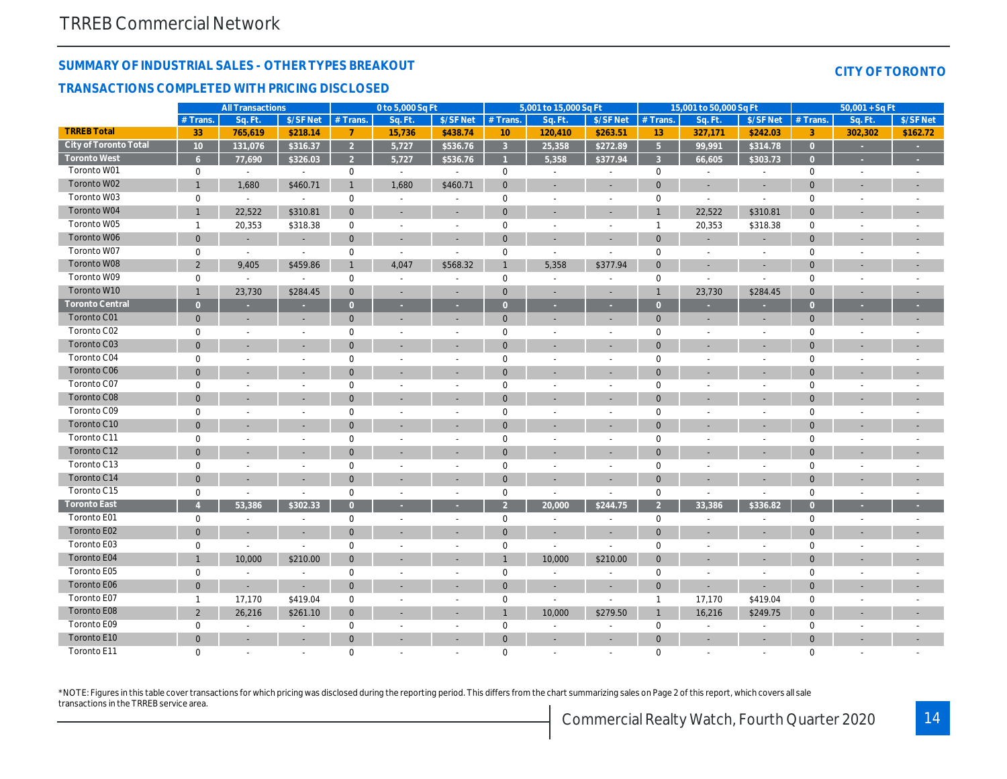**TRREB Total City of Toronto Total Toronto West** Toronto W01 Toronto W02 Toronto W03 Toronto W04 Toronto W05 Toronto W06 Toronto W07 Toronto W08 Toronto W09 Toronto W10 **Toronto Central** Toronto C01 Toronto C02 Toronto C03 Toronto C04 Toronto C06 Toronto C07 Toronto C08 Toronto C09 Toronto C10 Toronto C11 Toronto C12 Toronto C13 Toronto C14 Toronto C15 **Toronto East** Toronto E01 Toronto E02 Toronto E03 Toronto E04 Toronto E05 Toronto E06 Toronto E07 Toronto E08 Toronto E09 Toronto E10 Toronto E11

#### **SUMMARY OF INDUSTRIAL SALES - OTHER TYPES BREAKOUT**

#### **TRANSACTIONS COMPLETED WITH PRICING DISCLOSED**

| 33             | 765,619                  | \$218.14 |                  | 15,736 | \$438.74                 | 10             | 120,410 | \$263.51                 | 13             | 327,171 | \$242.03                 |                | 302,302 | \$162.72 |
|----------------|--------------------------|----------|------------------|--------|--------------------------|----------------|---------|--------------------------|----------------|---------|--------------------------|----------------|---------|----------|
| 10             | 131,076                  | \$316.37 | $\overline{2}$   | 5,727  | \$536.76                 | २              | 25,358  | \$272.89                 | 5 <sup>1</sup> | 99,991  | \$314.78                 | $\Omega$       | ÷       |          |
| 6 <sup>6</sup> | 77,690                   | \$326.03 | $\overline{2}$   | 5,727  | \$536.76                 |                | 5,358   | \$377.94                 | $\overline{3}$ | 66,605  | \$303.73                 | $\Omega$       |         |          |
| 0              | $\sim$                   | $\sim$   | $\mathbf 0$      |        |                          | 0              |         | $\overline{\phantom{a}}$ | $\mathbf 0$    |         | $\overline{\phantom{a}}$ | $\mathbf 0$    |         |          |
|                | 1,680                    | \$460.71 |                  | 1,680  | \$460.71                 | $\overline{0}$ |         |                          | $\overline{0}$ |         | $\sim$                   | $\Omega$       |         |          |
| 0              | $\sim$                   | $\sim$   | $\mathbf 0$      |        |                          | 0              |         |                          | 0              |         | $\sim$                   | $\Omega$       |         |          |
|                | 22,522                   | \$310.81 | $\overline{0}$   |        | $\sim$                   | $\overline{0}$ |         |                          |                | 22,522  | \$310.81                 | $\Omega$       |         |          |
|                | 20,353                   | \$318.38 | $\mathbf 0$      |        | $\overline{\phantom{a}}$ | 0              |         |                          |                | 20,353  | \$318.38                 | $\mathbf 0$    |         |          |
| $\overline{0}$ | $\sim$                   |          | $\mathbf{0}$     |        |                          | $\overline{0}$ |         |                          | $\mathbf{0}$   |         | $\sim$                   | $\Omega$       |         |          |
| 0              | $\sim$                   |          | $\mathbf 0$      |        |                          | 0              |         |                          | $\mathbf 0$    |         | $\overline{\phantom{a}}$ | $\mathbf 0$    |         |          |
| $\overline{2}$ | 9,405                    | \$459.86 | $\mathbf{1}$     | 4,047  | \$568.32                 |                | 5,358   | \$377.94                 | $\mathbf{0}$   |         | $\sim$                   | $\Omega$       |         |          |
| 0              |                          |          | $\mathbf 0$      |        |                          | 0              |         |                          | $\mathbf 0$    |         | $\overline{\phantom{a}}$ | $\Omega$       |         |          |
|                | 23,730                   | \$284.45 | $\mathbf{0}$     |        | $\sim$                   | $\overline{0}$ |         | н.                       |                | 23,730  | \$284.45                 | $\mathbf{0}$   |         |          |
| $\overline{0}$ | ÷.                       |          | $\overline{0}$   |        | ÷                        | $\overline{0}$ |         |                          | $\overline{0}$ |         | ×.                       | $\mathbf{0}$   |         |          |
| $\mathbf{0}$   |                          |          | $\mathbf 0$      |        |                          | $\overline{0}$ |         |                          | $\mathbf{0}$   |         |                          | $\mathbf{0}$   |         |          |
| 0              | $\overline{\phantom{a}}$ |          | $\boldsymbol{0}$ |        | $\overline{\phantom{a}}$ | 0              |         |                          | $\mathbf 0$    |         | $\sim$                   | 0              |         |          |
| $\overline{0}$ |                          |          | $\mathbf{0}$     |        |                          | $\overline{0}$ |         |                          | $\mathbf{0}$   |         |                          | $\overline{0}$ |         |          |
| 0              |                          |          | $\mathbf 0$      |        |                          | 0              |         |                          | $\mathbf 0$    |         |                          | $\mathbf 0$    |         |          |
| $\overline{0}$ |                          |          | $\mathbf{0}$     |        |                          | $\overline{0}$ |         |                          | $\mathbf{0}$   |         |                          | $\Omega$       |         |          |
| 0              |                          |          | $\mathbf 0$      |        |                          | 0              |         |                          | $\mathbf 0$    |         |                          | $\Omega$       |         |          |
| $\overline{0}$ |                          |          | $\mathbf{0}$     |        |                          | $\overline{0}$ |         |                          | $\overline{0}$ |         |                          | $\Omega$       |         |          |
| 0              |                          |          | 0                |        |                          | 0              |         |                          | $\mathbf 0$    |         |                          | $\mathbf 0$    |         |          |
| $\overline{0}$ |                          |          | $\mathbf{0}$     |        |                          | $\overline{0}$ |         |                          | $\mathbf{0}$   |         |                          | $\Omega$       |         |          |
| $\mathbf 0$    |                          |          | 0                |        |                          | 0              |         |                          | $\mathbf 0$    |         |                          | $\Omega$       |         |          |
| $\overline{0}$ |                          |          | $\mathbf{0}$     |        |                          | $\overline{0}$ |         |                          | $\mathbf{0}$   |         |                          | $\overline{0}$ |         |          |
| $\mathbf{0}$   |                          |          | 0                |        |                          | 0              |         |                          | $\mathbf 0$    |         |                          | $\mathbf 0$    |         |          |
| $\overline{0}$ |                          |          | $\mathbf{0}$     |        |                          | $\overline{0}$ |         |                          | $\mathbf{0}$   |         |                          | $\Omega$       |         |          |
| $\Omega$       |                          |          | 0                |        |                          | 0              |         |                          | $\mathbf 0$    |         |                          | $\mathbf 0$    |         |          |
|                | 53,386                   | \$302.33 | $\Omega$         |        |                          |                | 20,000  | \$244.75                 |                | 33,386  | \$336.82                 |                |         |          |

0 - - - 0 - - 0 - - 0 - - 0 - - 0 - - - 0 - - - - 0 - - - - 0 - - - - 0 - - - - 0 0 - - 0 - - 0 - - 0 - - 0 - - 0 - - - 0 - - 0 - - 0 - - 0 - - 0 - - - 0 - - - - 0 - - - - 0 - - - - 0 - - - - 0 1 10,000 \$210.00 0 - - 1 10,000 \$210.00 0 - -0 - - - 0 - - 0 - - 0 - - 0 - - 0 - - - 0 - - - - 0 - - - - 0 - - - - 0 - - - - 0 0 - - 0 - - 0 - - 0 - - 0 - - 1 17,170 \$419.04 0 - - - 0 - - - 1 17,170 \$419.04 0 - - -2 26,216 \$261.10 0 - | - | 1 10,000 \$279.50 1 16,216 \$249.75 0 | - | -0 - - - 0 - - 0 - - 0 - - 0 - - 0 - - - 0 - - - - 0 - - - - 0 - - - - 0 - - - - 0 0 - - 0 - - 0 - - 0 - - 0 - - 0 - - - 0 - - 0 - - 0 - - 0 - - 0 - - - 0 - - - - 0 - - - - 0 - - - - 0 - - - - 0

**All Transactions 0 to 5,000 Sq Ft 5,001 to 15,000 Sq Ft 15,001 to 50,000 Sq Ft 50,001 + Sq Ft** #Trans. | Sq.Ft. |\$/SFNet |#Trans. | Sq.Ft. |\$/SFNet |#Trans. | Sq.Ft. |\$/SFNet |#Trans. | Sq.Ft. |\$/SFNet |#Trans. | Sq.Ft. |\$/SFNet

\*NOTE: Figures in this table cover transactions for which pricing was disclosed during the reporting period. This differs from the chart summarizing sales on Page 2 of this report, which covers all sale transactions in the TRREB service area.

#### **CITY OF TORONTO**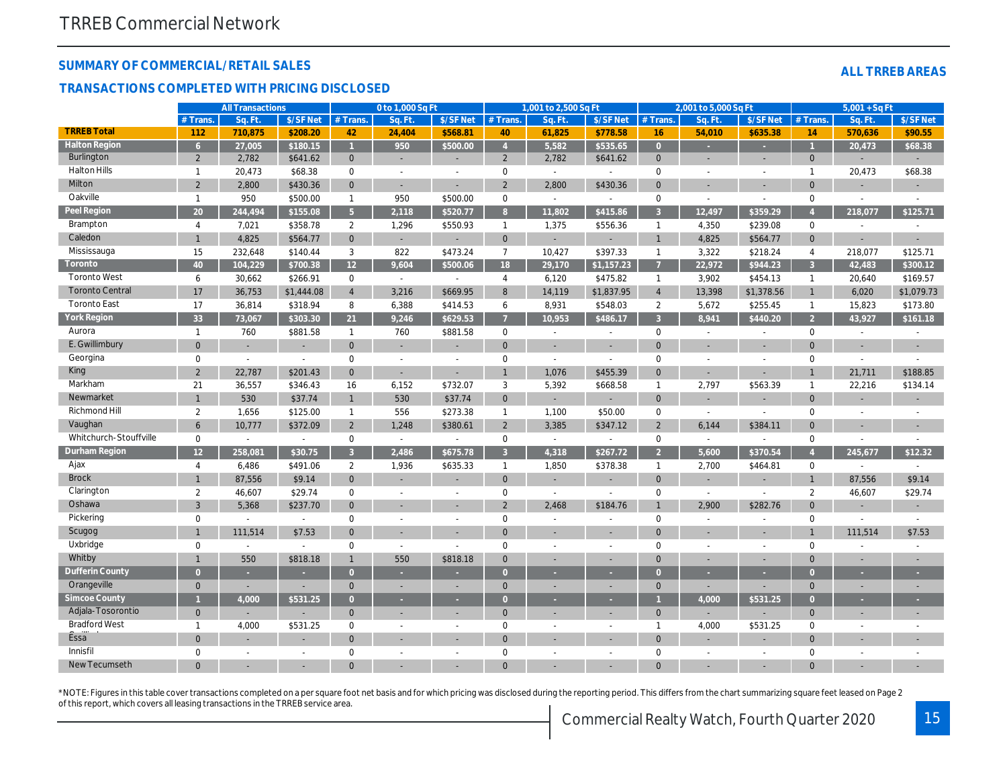#### **SUMMARY OF COMMERCIAL/RETAIL SALES**

#### **TRANSACTIONS COMPLETED WITH PRICING DISCLOSED**

|  | ALL TRREB AREAS |
|--|-----------------|
|  |                 |

|                        |                 | <b>All Transactions</b>  |                |                 | 0 to 1,000 Sq Ft |                             |                | 1,001 to 2,500 Sq Ft |                          |                | 2,001 to 5,000 Sq Ft        |                          |                | $5,001 + SqFt$           |                          |
|------------------------|-----------------|--------------------------|----------------|-----------------|------------------|-----------------------------|----------------|----------------------|--------------------------|----------------|-----------------------------|--------------------------|----------------|--------------------------|--------------------------|
|                        | # Trans.        | Sq. Ft.                  | \$/SF Net      | # Trans.        | Sq. Ft.          | \$/SF Net                   | # Trans.       | Sq. Ft               | \$/SF Net                | # Trans.       | Sq. Ft                      | \$/SF Net                | # Trans.       | Sq. Ft.                  | \$/SF Net                |
| <b>TRREB Total</b>     | 112             | 710,875                  | \$208.20       | 42              | 24,404           | \$568.81                    | 40             | 61,825               | \$778.58                 | 16             | 54,010                      | \$635.38                 | 14             | 570,636                  | \$90.55                  |
| <b>Halton Region</b>   | 6 <sup>1</sup>  | 27,005                   | \$180.15       |                 | 950              | \$500.00                    | $\overline{4}$ | 5,582                | \$535.65                 | $\overline{0}$ |                             |                          |                | 20,473                   | \$68.38                  |
| Burlington             | $\overline{2}$  | 2,782                    | \$641.62       | $\mathbf{0}$    |                  |                             | $\overline{2}$ | 2,782                | \$641.62                 | $\mathbf{0}$   |                             |                          | $\mathbf{0}$   |                          |                          |
| Halton Hills           | $\mathbf{1}$    | 20,473                   | \$68.38        | $\mathbf 0$     | $\sim$           |                             | $\mathbf 0$    | $\sim$               | $\overline{a}$           | $\mathbf 0$    | $\overline{a}$              | $\overline{a}$           | $\mathbf{1}$   | 20,473                   | \$68.38                  |
| Milton                 | $\overline{2}$  | 2,800                    | \$430.36       | $\mathbf{0}$    |                  |                             | $\overline{2}$ | 2,800                | \$430.36                 | $\mathbf{0}$   |                             |                          | $\Omega$       |                          |                          |
| Oakville               | $\mathbf{1}$    | 950                      | \$500.00       | $\mathbf{1}$    | 950              | \$500.00                    | $\mathbf 0$    | $\sim$               | $\sim$                   | $\mathbf 0$    | $\sim$                      | $\sim$                   | $\mathbf 0$    | $\overline{\phantom{a}}$ | $\sim$                   |
| Peel Region            | 20              | 244,494                  | \$155.08       | 5 <sup>1</sup>  | 2,118            | \$520.77                    | 8              | 11,802               | \$415.86                 | $\overline{3}$ | 12,497                      | \$359.29                 |                | 218,077                  | \$125.71                 |
| Brampton               | $\overline{4}$  | 7,021                    | \$358.78       | $\overline{2}$  | 1,296            | \$550.93                    | $\overline{1}$ | 1,375                | \$556.36                 | $\overline{1}$ | 4,350                       | \$239.08                 | $\mathbf 0$    | $\sim$                   |                          |
| Caledon                | $\mathbf{1}$    | 4,825                    | \$564.77       | $\overline{0}$  | $\overline{a}$   |                             | $\mathbf{0}$   |                      |                          | $\mathbf{1}$   | 4,825                       | \$564.77                 | $\mathbf{0}$   |                          |                          |
| Mississauga            | 15              | 232,648                  | \$140.44       | 3               | 822              | \$473.24                    | $\overline{7}$ | 10,427               | \$397.33                 | $\overline{1}$ | 3,322                       | \$218.24                 | $\overline{4}$ | 218,077                  | \$125.71                 |
| Toronto                | 40              | 104,229                  | \$700.38       | 12 <sup>2</sup> | 9,604            | \$500.06                    | 18             | 29,170               | \$1,157.23               |                | 22,972                      | \$944.23                 | $\overline{3}$ | 42,483                   | \$300.12                 |
| <b>Toronto West</b>    | 6               | 30,662                   | \$266.91       | $\mathbf 0$     | $\sim$           | $\mathcal{L}_{\mathcal{A}}$ | $\overline{4}$ | 6,120                | \$475.82                 | $\mathbf{1}$   | 3,902                       | \$454.13                 | $\mathbf{1}$   | 20,640                   | \$169.57                 |
| <b>Toronto Central</b> | 17              | 36,753                   | \$1,444.08     | $\overline{4}$  | 3,216            | \$669.95                    | 8              | 14,119               | \$1,837.95               | $\overline{4}$ | 13,398                      | \$1,378.56               | $\mathbf{1}$   | 6,020                    | \$1,079.73               |
| <b>Toronto East</b>    | 17              | 36,814                   | \$318.94       | 8               | 6,388            | \$414.53                    | 6              | 8,931                | \$548.03                 | 2              | 5,672                       | \$255.45                 | $\mathbf{1}$   | 15,823                   | \$173.80                 |
| <b>York Region</b>     | 33              | 73,067                   | \$303.30       | 21              | 9,246            | \$629.53                    |                | 10,953               | \$486.17                 | $\overline{3}$ | 8,941                       | \$440.20                 | $\overline{2}$ | 43,927                   | \$161.18                 |
| Aurora                 | $\mathbf{1}$    | 760                      | \$881.58       | $\mathbf{1}$    | 760              | \$881.58                    | $\mathbf 0$    | $\sim$               | $\sim$                   | $\mathbf 0$    | $\overline{\phantom{a}}$    | $\overline{a}$           | $\mathbf 0$    | $\sim$                   | $\overline{a}$           |
| E. Gwillimbury         | $\overline{0}$  | L,                       | ÷.             | $\Omega$        | $\overline{a}$   |                             | $\Omega$       |                      |                          | $\Omega$       |                             |                          | $\Omega$       |                          |                          |
| Georgina               | $\mathbf 0$     | $\overline{a}$           | $\sim$         | $\mathbf 0$     | $\overline{a}$   | $\sim$                      | 0              | $\sim$               | $\overline{a}$           | $\mathbf 0$    | $\overline{a}$              | $\overline{a}$           | $\mathbf 0$    | $\sim$                   |                          |
| King                   | $\overline{2}$  | 22,787                   | \$201.43       | $\Omega$        | $\overline{a}$   |                             | $\overline{1}$ | 1,076                | \$455.39                 | $\overline{0}$ | ÷.                          |                          | $\mathbf{1}$   | 21,711                   | \$188.85                 |
| Markham                | 21              | 36,557                   | \$346.43       | 16              | 6,152            | \$732.07                    | 3              | 5,392                | \$668.58                 | $\mathbf{1}$   | 2,797                       | \$563.39                 | $\mathbf{1}$   | 22,216                   | \$134.14                 |
| Newmarket              | $\mathbf{1}$    | 530                      | \$37.74        | $\mathbf{1}$    | 530              | \$37.74                     | $\mathbf{0}$   |                      |                          | $\mathbf{0}$   | $\overline{\phantom{a}}$    | ÷,                       | $\mathbf{0}$   |                          |                          |
| Richmond Hill          | $\overline{2}$  | 1,656                    | \$125.00       | $\mathbf{1}$    | 556              | \$273.38                    | $\mathbf{1}$   | 1,100                | \$50.00                  | $\mathbf 0$    | $\sim$                      | $\overline{\phantom{a}}$ | $\mathbf 0$    | $\sim$                   | $\overline{\phantom{a}}$ |
| Vaughan                | 6               | 10,777                   | \$372.09       | $\overline{2}$  | 1,248            | \$380.61                    | $\overline{2}$ | 3,385                | \$347.12                 | $\overline{2}$ | 6,144                       | \$384.11                 | $\overline{0}$ |                          |                          |
| Whitchurch-Stouffville | $\mathbf 0$     | $\mathbb{L}$             | $\sim$         | $\mathbf 0$     | $\mathcal{L}$    | $\sim$                      | 0              | $\sim$               | $\sim$                   | $\mathbf 0$    | $\sim$                      | $\overline{a}$           | $\mathbf 0$    | $\overline{a}$           |                          |
| Durham Region          | 12 <sup>2</sup> | 258,081                  | \$30.75        | $\mathcal{R}$   | 2,486            | \$675.78                    | $\overline{3}$ | 4,318                | \$267.72                 | $\overline{2}$ | 5,600                       | \$370.54                 |                | 245,677                  | \$12.32                  |
| Ajax                   | 4               | 6,486                    | \$491.06       | 2               | 1,936            | \$635.33                    | $\overline{1}$ | 1,850                | \$378.38                 | $\mathbf{1}$   | 2,700                       | \$464.81                 | $\mathbf 0$    | $\sim$                   | $\sim$                   |
| <b>Brock</b>           | $\mathbf{1}$    | 87,556                   | \$9.14         | $\mathbf{0}$    |                  |                             | $\mathbf{0}$   |                      |                          | $\mathbf{0}$   | ÷.                          | ÷,                       | $\mathbf{1}$   | 87,556                   | \$9.14                   |
| Clarington             | $\overline{2}$  | 46,607                   | \$29.74        | $\mathbf 0$     | $\sim$           | $\sim$                      | $\mathbf{0}$   | $\sim$               |                          | $\mathbf 0$    | $\mathcal{L}_{\mathcal{A}}$ |                          | $\overline{2}$ | 46,607                   | \$29.74                  |
| Oshawa                 | 3               | 5,368                    | \$237.70       | $\mathbf{0}$    |                  |                             | $\overline{2}$ | 2,468                | \$184.76                 |                | 2,900                       | \$282.76                 | $\mathbf{0}$   |                          |                          |
| Pickering              | $\mathbf 0$     | $\overline{\phantom{a}}$ | $\sim$         | $\mathbf 0$     | $\overline{a}$   | $\sim$                      | $\mathbf 0$    | $\sim$               | $\overline{a}$           | $\mathbf 0$    | $\sim$                      | $\overline{a}$           | $\mathbf 0$    | $\sim$                   | $\sim$                   |
| Scugog                 | $\mathbf{1}$    | 111,514                  | \$7.53         | $\mathbf{0}$    |                  |                             | $\mathbf{0}$   |                      |                          | $\Omega$       | ÷                           |                          | $\mathbf{1}$   | 111,514                  | \$7.53                   |
| Uxbridge               | $\mathbf 0$     | $\sim$                   | $\sim$         | $\mathbf{0}$    | $\sim$           | $\sim$                      | $\mathbf 0$    | $\sim$               | $\overline{a}$           | $\Omega$       | $\overline{a}$              | $\overline{a}$           | $\mathbf 0$    | $\overline{a}$           | $\overline{a}$           |
| Whitby                 | 1               | 550                      | \$818.18       |                 | 550              | \$818.18                    | $\Omega$       |                      | ÷                        | $\Omega$       | ٠                           |                          | $\Omega$       |                          |                          |
| Dufferin County        | $\Omega$        | ٠                        |                | $\Omega$        |                  |                             | $\Omega$       |                      |                          | $\bullet$      | ٠                           |                          | $\Omega$       |                          |                          |
| Orangeville            | $\mathbf{0}$    | $\overline{a}$           |                | $\Omega$        | ÷.               |                             | $\mathbf{0}$   |                      | $\overline{\phantom{a}}$ | $\mathbf{0}$   | $\blacksquare$              |                          | $\mathbf{0}$   |                          |                          |
| Simcoe County          |                 | 4,000                    | \$531.25       | $\Omega$        | ×.               |                             | $\Omega$       | ÷.                   | ٠                        |                | 4,000                       | \$531.25                 | $\Omega$       |                          |                          |
| Adjala-Tosorontio      | $\overline{0}$  | L                        |                | $\Omega$        |                  |                             | $\mathbf{0}$   |                      | ÷                        | $\overline{0}$ | ÷.                          |                          | $\mathbf{0}$   | L.                       |                          |
| <b>Bradford West</b>   | $\mathbf{1}$    | 4,000                    | \$531.25       | $\mathbf 0$     | $\overline{a}$   | $\overline{a}$              | $\mathbf{0}$   | $\overline{a}$       | $\overline{a}$           | $\mathbf{1}$   | 4,000                       | \$531.25                 | $\mathbf 0$    | $\overline{a}$           |                          |
| Essa                   | $\overline{0}$  |                          |                | $\Omega$        |                  |                             | $\mathbf{0}$   |                      |                          | $\Omega$       |                             |                          | $\Omega$       |                          |                          |
| Innisfil               | $\Omega$        | $\overline{a}$           | $\overline{a}$ | $\Omega$        |                  | $\overline{a}$              | $\Omega$       | $\overline{a}$       | $\overline{a}$           | $\Omega$       | $\overline{a}$              | $\overline{a}$           | $\Omega$       | $\overline{a}$           |                          |
| <b>New Tecumseth</b>   | $\Omega$        |                          |                |                 |                  |                             | $\Omega$       |                      |                          |                |                             |                          | $\Omega$       |                          |                          |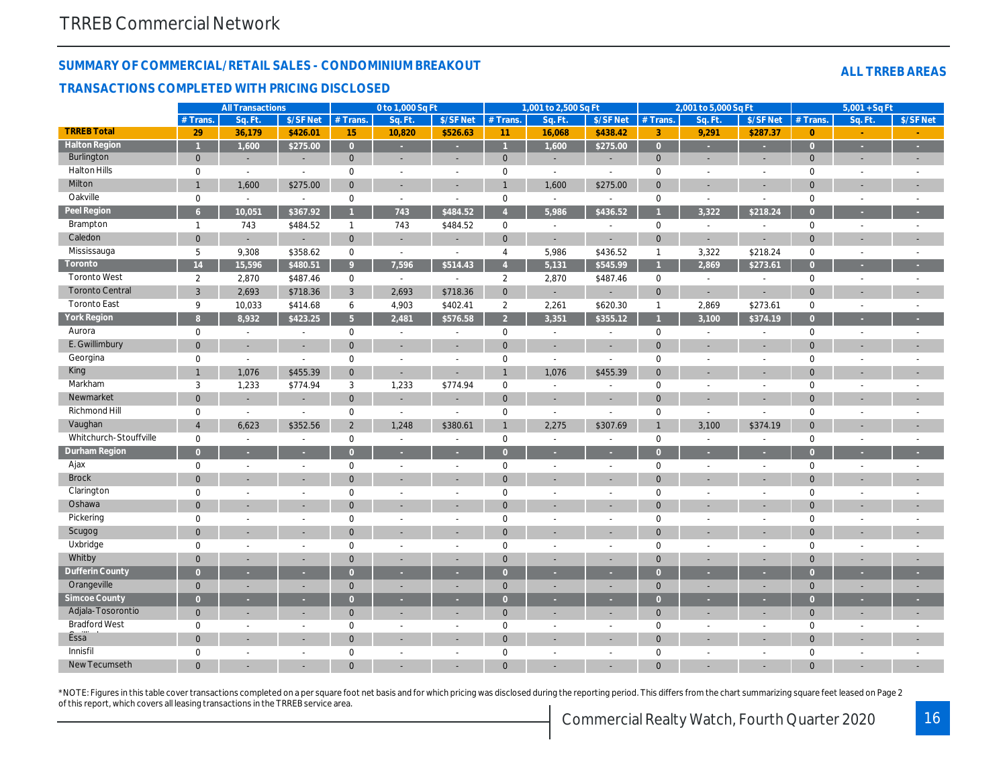#### **SUMMARY OF COMMERCIAL/RETAIL SALES - CONDOMINIUM BREAKOUT**

#### **TRANSACTIONS COMPLETED WITH PRICING DISCLOSED**

|  | <b>ALL TRREB AREAS</b> |
|--|------------------------|
|  |                        |

|                        |                | <b>All Transactions</b>  |                          |                | 0 to 1,000 Sq Ft         |                          |                     | 1,001 to 2,500 Sq Ft |                          |                | 2,001 to 5,000 Sq Ft     |                          |                | $5,001 + SqFt$           |                          |
|------------------------|----------------|--------------------------|--------------------------|----------------|--------------------------|--------------------------|---------------------|----------------------|--------------------------|----------------|--------------------------|--------------------------|----------------|--------------------------|--------------------------|
|                        | # Trans        | Sq. Ft                   | \$/SF Net                | # Trans.       | Sq. Ft.                  | \$/SF Net                | # Trans.            | Sq. Ft.              | \$/SF Net                | # Trans.       | Sq. Ft.                  | \$/SF Net                | # Trans        | Sq. Ft.                  | \$/SF Net                |
| <b>TRREB Total</b>     | 29             | 36,179                   | \$426.01                 | 15             | 10,820                   | \$526.63                 | 11                  | 16,068               | \$438.42                 | 3              | 9,291                    | \$287.37                 | $\overline{0}$ |                          |                          |
| <b>Halton Region</b>   |                | 1,600                    | \$275.00                 | $\overline{0}$ |                          |                          |                     | 1,600                | \$275.00                 | $\bullet$      | u                        |                          | $\Omega$       |                          |                          |
| Burlington             | $\mathbf{0}$   | $\sim$                   | $\sim$                   | $\overline{0}$ | ÷                        | $\sim$                   | $\mathbf 0$         | $\sim$               | $\sim$                   | $\mathbf{0}$   | ÷.                       | $\overline{\phantom{a}}$ | $\mathbf{0}$   | ÷.                       |                          |
| <b>Halton Hills</b>    | $\mathbf 0$    | $\overline{a}$           | $\overline{a}$           | $\mathbf 0$    | $\overline{a}$           | $\sim$                   | $\mathbf 0$         | $\overline{a}$       | $\overline{a}$           | $\mathbf 0$    | $\overline{a}$           | $\overline{a}$           | $\mathbf 0$    | $\sim$                   |                          |
| Milton                 | $\mathbf{1}$   | 1,600                    | \$275.00                 | $\overline{0}$ | ÷.                       | $\overline{\phantom{a}}$ |                     | 1,600                | \$275.00                 | $\mathbf{0}$   | ÷.                       | $\overline{a}$           | $\Omega$       | ÷                        |                          |
| Oakville               | 0              | $\sim$                   | $\sim$                   | $\mathbf 0$    | $\sim$                   | $\sim$                   | $\mathsf{O}\xspace$ | $\sim$               | $\sim$                   | $\mathbf 0$    | $\sim$                   | $\sim$                   | $\mathbf 0$    | $\sim$                   |                          |
| Peel Region            | 6 <sup>1</sup> | 10,051                   | \$367.92                 | $\overline{1}$ | 743                      | \$484.52                 | $\overline{4}$      | 5,986                | \$436.52                 |                | 3,322                    | \$218.24                 | $\Omega$       | ٠                        |                          |
| Brampton               | $\mathbf{1}$   | 743                      | \$484.52                 | $\mathbf{1}$   | 743                      | $\overline{$484.52}$     | $\mathbf 0$         | $\overline{a}$       | $\mathbb{L}$             | $\mathbf 0$    | $\sim$                   | $\overline{a}$           | $\mathbf 0$    | $\overline{a}$           |                          |
| Caledon                | $\mathbf 0$    | $\sim$                   | $\sim$                   | $\mathbf{0}$   | ÷,                       | $\sim$                   | $\mathbf 0$         | $\sim$               |                          | $\mathbf 0$    | ÷                        | $\overline{a}$           | $\mathbf{0}$   | ÷.                       |                          |
| Mississauga            | 5              | 9,308                    | \$358.62                 | $\mathbf 0$    | $\sim$                   | $\sim$                   | 4                   | 5,986                | \$436.52                 | $\mathbf{1}$   | 3,322                    | \$218.24                 | $\mathbf 0$    | $\sim$                   |                          |
| Toronto                | 14             | 15,596                   | \$480.51                 | 9              | 7,596                    | \$514.43                 | $\overline{4}$      | 5,131                | \$545.99                 |                | 2,869                    | \$273.61                 | $\overline{0}$ |                          |                          |
| <b>Toronto West</b>    | $\overline{2}$ | 2,870                    | \$487.46                 | $\mathbf 0$    | $\sim$                   | $\sim$                   | $\overline{2}$      | 2,870                | \$487.46                 | $\mathbf 0$    | $\sim$                   | $\sim$                   | $\mathbf 0$    | $\sim$                   |                          |
| <b>Toronto Central</b> | $\overline{3}$ | 2,693                    | \$718.36                 | $\mathbf{3}$   | 2,693                    | \$718.36                 | $\mathbf 0$         |                      | $\sim$                   | $\mathbf{0}$   | $\overline{\phantom{a}}$ | $\overline{a}$           | $\overline{0}$ | ÷.                       |                          |
| <b>Toronto East</b>    | 9              | 10,033                   | \$414.68                 | 6              | 4,903                    | \$402.41                 | $\overline{2}$      | 2,261                | \$620.30                 | $\mathbf{1}$   | 2,869                    | \$273.61                 | $\mathbf 0$    | $\sim$                   |                          |
| York Region            | $\overline{8}$ | 8,932                    | \$423.25                 | 5 <sup>5</sup> | 2,481                    | \$576.58                 | $\overline{2}$      | 3,351                | \$355.12                 |                | 3,100                    | \$374.19                 | $\overline{0}$ |                          |                          |
| Aurora                 | 0              | $\mathbb{L}$             | $\sim$                   | $\mathbf 0$    | $\overline{\phantom{a}}$ | $\overline{a}$           | $\mathbf 0$         | $\overline{a}$       | $\mathbb{L}$             | $\mathbf 0$    | $\sim$                   | $\sim$                   | $\mathbf 0$    | $\sim$                   |                          |
| E. Gwillimbury         | $\overline{0}$ | $\sim$                   | $\sim$                   | $\overline{0}$ | $\overline{a}$           | $\sim$                   | $\Omega$            | $\sim$               | $\sim$                   | $\overline{0}$ |                          | $\overline{a}$           | $\overline{0}$ |                          |                          |
| Georgina               | 0              | $\overline{a}$           | $\overline{\phantom{a}}$ | $\mathbf 0$    | $\overline{a}$           | $\overline{a}$           | $\mathbf 0$         | $\overline{a}$       | $\overline{\phantom{a}}$ | $\mathbf 0$    | $\overline{a}$           | $\overline{a}$           | $\mathbf 0$    | $\overline{a}$           |                          |
| King                   | $\mathbf{1}$   | 1,076                    | \$455.39                 | $\overline{0}$ | $\sim$                   |                          |                     | 1,076                | \$455.39                 | $\mathbf{0}$   | $\overline{a}$           | $\overline{a}$           | $\Omega$       |                          |                          |
| Markham                | 3              | 1,233                    | \$774.94                 | 3              | 1,233                    | \$774.94                 | $\mathsf{O}\xspace$ |                      | $\sim$                   | $\mathbf 0$    | $\overline{a}$           | $\overline{a}$           | $\mathbf 0$    |                          |                          |
| Newmarket              | $\mathbf 0$    | $\sim$                   | ÷.                       | $\mathbf{0}$   | ÷,                       |                          | $\mathbf{0}$        |                      |                          | $\mathbf{0}$   |                          | L,                       | $\overline{0}$ |                          |                          |
| Richmond Hill          | 0              | $\sim$                   | $\sim$                   | $\mathbf 0$    | $\sim$                   | $\overline{a}$           | $\mathbf 0$         | $\sim$               | $\sim$                   | $\mathbf 0$    | $\sim$                   | $\overline{a}$           | $\mathbf 0$    | $\overline{\phantom{a}}$ |                          |
| Vaughan                | $\overline{4}$ | 6,623                    | \$352.56                 | $\overline{2}$ | 1,248                    | \$380.61                 |                     | 2,275                | \$307.69                 | $\overline{1}$ | 3,100                    | \$374.19                 | $\overline{0}$ |                          |                          |
| Whitchurch-Stouffville | $\mathbf 0$    | $\sim$                   | $\sim$                   | $\mathbf 0$    | $\sim$                   | $\sim$                   | $\mathbf 0$         | $\sim$               | $\sim$                   | $\mathbf 0$    | $\overline{\phantom{a}}$ | $\overline{a}$           | $\mathbf 0$    | $\overline{a}$           |                          |
| Durham Region          | $\overline{0}$ |                          |                          | $\overline{0}$ |                          |                          | $\Omega$            |                      |                          | $\overline{0}$ |                          |                          | $\Omega$       |                          |                          |
| Ajax                   | $\mathbf 0$    | $\sim$                   | $\overline{a}$           | $\mathbf 0$    | $\overline{a}$           | $\sim$                   | $\mathbf 0$         | $\sim$               | $\sim$                   | $\mathbf 0$    | $\overline{a}$           | $\overline{\phantom{a}}$ | $\mathbf 0$    | ÷                        |                          |
| <b>Brock</b>           | $\overline{0}$ | $\sim$                   | ÷.                       | $\overline{0}$ | $\overline{a}$           | L.                       | $\mathbf{0}$        |                      | $\sim$                   | $\mathbf{0}$   | $\overline{\phantom{a}}$ | $\overline{a}$           | $\overline{0}$ |                          |                          |
| Clarington             | $\mathbf 0$    | $\sim$                   | $\overline{a}$           | $\mathbf 0$    | $\overline{a}$           | $\overline{a}$           | $\mathbf 0$         | $\overline{a}$       | $\sim$                   | $\mathbf 0$    | $\overline{a}$           | $\overline{a}$           | $\mathbf 0$    | $\overline{a}$           |                          |
| Oshawa                 | $\overline{0}$ | ÷.                       | ÷.                       | $\overline{0}$ | $\overline{a}$           |                          | $\Omega$            |                      |                          | $\Omega$       |                          | L,                       | $\overline{0}$ | L.                       |                          |
| Pickering              | $\mathbf 0$    | $\sim$                   | $\sim$                   | $\mathbf 0$    | $\overline{a}$           | $\sim$                   | $\mathbf 0$         | $\overline{a}$       | $\sim$                   | $\mathbf 0$    | $\overline{a}$           | $\overline{a}$           | $\mathbf 0$    | $\sim$                   | $\sim$                   |
| Scugog                 | $\mathbf 0$    | $\sim$                   | ÷.                       | $\overline{0}$ | $\overline{\phantom{a}}$ |                          | $\mathbf{0}$        |                      |                          | $\overline{0}$ | $\overline{\phantom{a}}$ | $\overline{a}$           | $\mathbf{0}$   |                          |                          |
| Uxbridge               | 0              | $\sim$                   | $\sim$                   | $\mathbf 0$    | $\sim$                   | $\sim$                   | $\mathbf 0$         | $\sim$               | $\sim$                   | $\mathbf 0$    | $\overline{\phantom{a}}$ | $\overline{a}$           | $\mathbf 0$    | $\overline{\phantom{a}}$ |                          |
| Whitby                 | $\mathbf 0$    | $\sim$                   | ÷.                       | $\overline{0}$ | ÷                        | ä,                       | $\Omega$            |                      | $\sim$                   | $\Omega$       | $\overline{\phantom{a}}$ | ÷,                       | $\overline{0}$ | ٠                        |                          |
| Dufferin County        | $\overline{0}$ | ٠                        | ×.                       | $\overline{0}$ | ÷                        |                          | $\Omega$            | ×.                   | ×.                       | $\Omega$       | ٠                        | ٠                        | $\Omega$       |                          |                          |
| Orangeville            | $\mathbf{0}$   | $\overline{\phantom{a}}$ | $\sim$                   | $\mathbf{0}$   | $\overline{\phantom{a}}$ | ä,                       | $\mathbf{0}$        |                      | $\sim$                   | $\mathbf{0}$   | ÷.                       | $\overline{\phantom{a}}$ | $\overline{0}$ | ÷.                       |                          |
| Simcoe County          | $\overline{0}$ | $\sim$                   | z.                       | $\overline{0}$ | z.                       |                          | $\Omega$            | ×.                   | ×.                       | $\Omega$       | u,                       | u                        | $\overline{0}$ |                          |                          |
| Adjala-Tosorontio      | $\mathbf{0}$   | $\sim$                   | ÷.                       | $\overline{0}$ | $\overline{\phantom{a}}$ | ÷                        | $\mathbf{0}$        | $\sim$               | $\sim$                   | $\mathbf{0}$   | $\overline{\phantom{a}}$ | ÷                        | $\mathbf{0}$   | ÷.                       |                          |
| <b>Bradford West</b>   | $\mathbf 0$    | $\sim$                   | $\sim$                   | $\mathbf 0$    | $\sim$                   | $\overline{a}$           | $\mathbf 0$         | $\overline{a}$       | $\sim$                   | $\mathbf 0$    | $\sim$                   | $\overline{a}$           | $\mathbf 0$    | $\sim$                   | $\overline{\phantom{a}}$ |
| Essa <sup>"</sup>      | $\overline{0}$ | $\sim$                   | ÷.                       | $\overline{0}$ | ÷                        |                          | $\mathbf{0}$        |                      |                          | $\mathbf{0}$   |                          | L,                       | $\overline{0}$ |                          |                          |
| Innisfil               | $\mathbf 0$    | $\sim$                   | $\sim$                   | $\mathbf 0$    | $\overline{a}$           | $\overline{a}$           | $\Omega$            | $\sim$               | $\sim$                   | $\mathbf 0$    | $\overline{a}$           | $\overline{a}$           | $\mathbf 0$    | $\sim$                   |                          |
| New Tecumseth          | $\Omega$       |                          |                          | $\Omega$       |                          |                          |                     |                      |                          |                |                          |                          | $\Omega$       |                          |                          |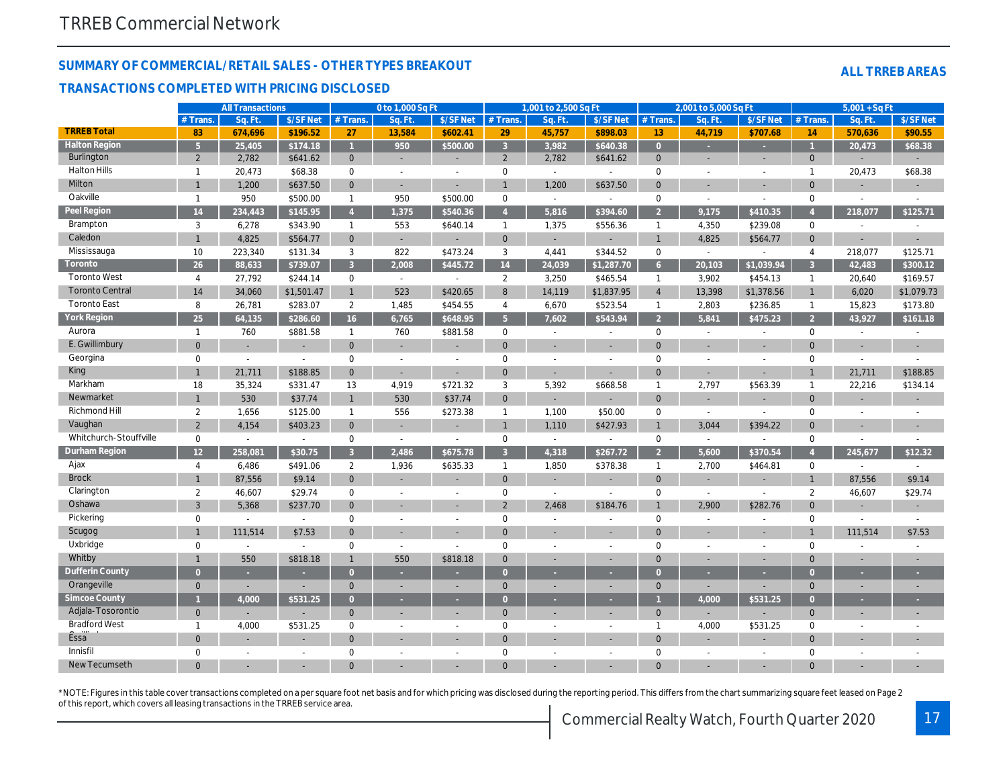#### **SUMMARY OF COMMERCIAL/RETAIL SALES - OTHER TYPES BREAKOUT**

#### **TRANSACTIONS COMPLETED WITH PRICING DISCLOSED**

| <b>ALL TRREB AREAS</b> |
|------------------------|
|                        |

|                        |                 | <b>All Transactions</b>  |                          |                | 0 to 1,000 Sq Ft         |                          |                | 1,001 to 2,500 Sq Ft     |                          |                 | 2,001 to 5,000 Sq Ft     |                          |                | $5,001 + SqFt$ |                          |
|------------------------|-----------------|--------------------------|--------------------------|----------------|--------------------------|--------------------------|----------------|--------------------------|--------------------------|-----------------|--------------------------|--------------------------|----------------|----------------|--------------------------|
|                        | $#$ Trans.      | Sq. Ft                   | \$/SF Net                | #Trans         | Sq. Ft.                  | \$/SF Net                | $#$ Trans.     | Sq. Ft                   | \$/SF Net                | # Trans.        | Sq. Ft                   | \$/SF Net                | $#$ Trans      | Sq. Ft         | \$/SF Net                |
| <b>TRREB Total</b>     | 83              | 674,696                  | \$196.52                 | 27             | 13,584                   | \$602.41                 | 29             | 45,757                   | \$898.03                 | 13 <sup>°</sup> | 44,719                   | \$707.68                 | 14             | 570,636        | \$90.55                  |
| <b>Halton Region</b>   | 5 <sup>1</sup>  | 25,405                   | \$174.18                 | $\overline{1}$ | 950                      | \$500.00                 | $\overline{3}$ | 3,982                    | \$640.38                 | $\Omega$        |                          |                          |                | 20,473         | \$68.38                  |
| Burlington             | $\overline{2}$  | 2,782                    | \$641.62                 | $\overline{0}$ | $\sim$                   |                          | 2              | 2,782                    | \$641.62                 | $\mathbf{0}$    | $\sim$                   | ÷                        | $\mathbf{0}$   |                |                          |
| <b>Halton Hills</b>    | $\mathbf{1}$    | 20,473                   | \$68.38                  | $\mathbf 0$    | $\overline{a}$           | $\overline{a}$           | $\mathbf 0$    | $\mathbb{L}$             | $\sim$                   | $\mathbf 0$     | $\overline{a}$           | $\sim$                   | $\overline{1}$ | 20,473         | \$68.38                  |
| Milton                 | $\mathbf{1}$    | 1,200                    | \$637.50                 | $\overline{0}$ |                          |                          |                | 1,200                    | \$637.50                 | $\mathbf{0}$    |                          |                          | $\mathbf{0}$   | ÷.             |                          |
| Oakville               | $\mathbf{1}$    | 950                      | \$500.00                 | $\mathbf{1}$   | 950                      | \$500.00                 | $\mathbf 0$    | $\sim$                   | $\sim$                   | $\mathbf 0$     | $\overline{\phantom{a}}$ |                          | $\mathbf 0$    |                |                          |
| Peel Region            | 14              | 234,443                  | \$145.95                 | $\overline{4}$ | 1,375                    | \$540.36                 |                | 5,816                    | \$394.60                 | $\overline{2}$  | 9,175                    | \$410.35                 |                | 218,077        | \$125.71                 |
| Brampton               | 3               | 6,278                    | \$343.90                 | $\mathbf{1}$   | 553                      | \$640.14                 | $\mathbf{1}$   | 1,375                    | \$556.36                 | $\mathbf{1}$    | 4,350                    | \$239.08                 | $\mathbf 0$    | $\sim$         |                          |
| Caledon                | $\mathbf{1}$    | 4,825                    | \$564.77                 | $\overline{0}$ | $\blacksquare$           | $\sim$                   | $\mathbf{0}$   |                          | $\sim$                   | $\mathbf{1}$    | 4,825                    | \$564.77                 | $\mathbf{0}$   | $\sim$         | $\sim$                   |
| Mississauga            | 10              | 223,340                  | \$131.34                 | 3              | 822                      | \$473.24                 | $\mathbf{3}$   | 4,441                    | \$344.52                 | $\mathbf 0$     | $\sim$                   |                          | $\overline{4}$ | 218,077        | \$125.71                 |
| Toronto                | 26              | 88,633                   | \$739.07                 | $\overline{3}$ | 2.008                    | \$445.72                 | 14             | 24,039                   | \$1,287.70               | 6 <sup>1</sup>  | 20,103                   | \$1,039.94               | $\overline{3}$ | 42,483         | \$300.12                 |
| <b>Toronto West</b>    | $\overline{4}$  | 27,792                   | \$244.14                 | $\mathbf 0$    | $\sim$                   |                          | $\overline{2}$ | 3,250                    | \$465.54                 | $\mathbf{1}$    | 3,902                    | \$454.13                 | $\mathbf{1}$   | 20,640         | \$169.57                 |
| <b>Toronto Central</b> | 14              | 34,060                   | \$1,501.47               | $\mathbf{1}$   | 523                      | \$420.65                 | 8              | 14,119                   | \$1,837.95               | $\overline{4}$  | 13,398                   | \$1,378.56               | $\overline{1}$ | 6,020          | \$1,079.73               |
| <b>Toronto East</b>    | 8               | 26,781                   | \$283.07                 | $\overline{2}$ | 1,485                    | \$454.55                 | 4              | 6,670                    | \$523.54                 | $\mathbf{1}$    | 2,803                    | \$236.85                 | $\mathbf{1}$   | 15,823         | \$173.80                 |
| York Region            | 25              | 64,135                   | \$286.60                 | 16             | 6,765                    | \$648.95                 | 5 <sup>1</sup> | 7,602                    | \$543.94                 | $\overline{2}$  | 5,841                    | \$475.23                 | $\overline{2}$ | 43,927         | \$161.18                 |
| Aurora                 | $\mathbf{1}$    | 760                      | \$881.58                 | $\mathbf{1}$   | 760                      | \$881.58                 | $\mathbf 0$    |                          |                          | $\mathbf 0$     |                          |                          | $\mathbf 0$    |                |                          |
| E. Gwillimbury         | $\Omega$        | ÷,                       |                          | $\overline{0}$ |                          | $\sim$                   | $\Omega$       |                          | $\overline{\phantom{a}}$ | $\Omega$        |                          | ÷.                       | $\Omega$       | ÷.             | ÷.                       |
| Georgina               | $\mathbf 0$     | $\overline{a}$           |                          | $\mathbf 0$    |                          |                          | $\mathbf 0$    |                          |                          | $\mathbf 0$     |                          |                          | $\overline{0}$ |                |                          |
| King                   | 1               | 21,711                   | \$188.85                 | $\mathbf 0$    | $\sim$                   |                          | $\Omega$       |                          |                          | $\Omega$        |                          |                          |                | 21,711         | \$188.85                 |
| Markham                | 18              | 35,324                   | \$331.47                 | 13             | 4,919                    | \$721.32                 | 3              | 5,392                    | \$668.58                 | $\mathbf{1}$    | 2,797                    | \$563.39                 | $\mathbf{1}$   | 22,216         | \$134.14                 |
| Newmarket              | $\overline{1}$  | 530                      | \$37.74                  |                | 530                      | \$37.74                  | $\overline{0}$ |                          | $\sim$                   | $\Omega$        | ÷.                       | $\overline{\phantom{a}}$ | $\overline{0}$ |                | $\overline{\phantom{a}}$ |
| <b>Richmond Hill</b>   | $\overline{2}$  | 1,656                    | \$125.00                 | $\mathbf{1}$   | 556                      | \$273.38                 | $\mathbf{1}$   | 1,100                    | \$50.00                  | $\mathbf 0$     | $\mathbb{L}$             | $\overline{a}$           | $\mathbf 0$    |                |                          |
| Vaughan                | $\overline{2}$  | 4,154                    | \$403.23                 | $\overline{0}$ | ÷                        |                          | $\mathbf{1}$   | 1,110                    | \$427.93                 | $\overline{1}$  | 3,044                    | \$394.22                 | $\mathbf{0}$   | ÷,             |                          |
| Whitchurch-Stouffville | $\mathbf 0$     | $\overline{\phantom{a}}$ | $\mathbb{L}$             | $\mathbf 0$    | $\mathbb{L}$             | $\sim$                   | $\mathbf 0$    | $\sim$                   | $\sim$                   | $\mathbf 0$     | $\mathbb{L}$             |                          | $\mathbf 0$    | $\overline{a}$ |                          |
| Durham Region          | 12 <sup>2</sup> | 258,081                  | \$30.75                  | $\mathbf{3}$   | 2,486                    | \$675.78                 | $\overline{3}$ | 4,318                    | \$267.72                 | $\mathcal{P}$   | 5,600                    | \$370.54                 | $\Lambda$      | 245,677        | \$12.32                  |
| Ajax                   | $\overline{4}$  | 6,486                    | \$491.06                 | $\overline{2}$ | 1,936                    | \$635.33                 | $\mathbf{1}$   | 1,850                    | \$378.38                 | $\overline{1}$  | 2,700                    | \$464.81                 | $\mathbf 0$    | $\sim$         |                          |
| <b>Brock</b>           | $\mathbf{1}$    | 87,556                   | \$9.14                   | $\overline{0}$ |                          |                          | $\mathbf 0$    |                          |                          | $\mathbf{0}$    |                          |                          | $\overline{1}$ | 87,556         | \$9.14                   |
| Clarington             | $\overline{2}$  | 46,607                   | \$29.74                  | $\mathbf 0$    | $\overline{\phantom{a}}$ | $\sim$                   | $\mathbf 0$    | $\overline{\phantom{a}}$ | $\sim$                   | $\mathbf 0$     | $\sim$                   |                          | $\overline{2}$ | 46,607         | \$29.74                  |
| Oshawa                 | $\overline{3}$  | 5,368                    | \$237.70                 | $\overline{0}$ |                          |                          | $\overline{2}$ | 2,468                    | \$184.76                 | $\overline{1}$  | 2,900                    | \$282.76                 | $\mathbf 0$    |                | $\sim$                   |
| Pickering              | $\mathbf 0$     | $\overline{\phantom{a}}$ | $\sim$                   | $\mathbf 0$    | $\overline{\phantom{a}}$ | $\overline{\phantom{a}}$ | $\mathbf 0$    |                          | $\overline{\phantom{a}}$ | $\mathbf 0$     | $\overline{\phantom{a}}$ |                          | $\mathbf 0$    |                |                          |
| Scugog                 | $\mathbf{1}$    | 111,514                  | \$7.53                   | $\Omega$       | ÷.                       |                          | $\Omega$       |                          |                          | $\Omega$        |                          |                          |                | 111,514        | \$7.53                   |
| Uxbridge               | $\mathbf 0$     | $\sim$                   | $\overline{a}$           | $\Omega$       | $\sim$                   | $\sim$                   | $\Omega$       | $\sim$                   | $\sim$                   | $\Omega$        | $\overline{a}$           | $\overline{a}$           | $\mathbf 0$    | $\overline{a}$ |                          |
| Whitby                 | $\mathbf{1}$    | 550                      | \$818.18                 | $\mathbf{1}$   | 550                      | \$818.18                 | $\Omega$       |                          |                          | $\Omega$        |                          |                          | $\Omega$       |                |                          |
| Dufferin County        | $\Omega$        |                          |                          | $\Omega$       |                          |                          | $\Omega$       |                          |                          | $\Omega$        |                          |                          | $\overline{0}$ |                |                          |
| Orangeville            | $\Omega$        | $\overline{a}$           |                          | $\Omega$       | $\overline{a}$           |                          | $\Omega$       |                          |                          | $\Omega$        | ÷.                       |                          | $\Omega$       |                |                          |
| Simcoe County          |                 | 4,000                    | \$531.25                 | $\Omega$       |                          |                          | $\Omega$       |                          |                          |                 | 4,000                    | \$531.25                 | $\overline{0}$ |                |                          |
| Adjala-Tosorontio      | $\mathbf{0}$    | ÷                        |                          | $\Omega$       |                          |                          | $\mathbf{0}$   |                          |                          | $\mathbf{0}$    | ÷.                       |                          | $\overline{0}$ |                |                          |
| <b>Bradford West</b>   | $\mathbf{1}$    | 4,000                    | \$531.25                 | $\mathbf 0$    | $\overline{a}$           | $\sim$                   | $\mathbf 0$    | $\overline{\phantom{a}}$ | $\overline{\phantom{a}}$ | $\mathbf{1}$    | 4,000                    | \$531.25                 | $\mathbf 0$    |                |                          |
| Essa                   | $\overline{0}$  |                          |                          | $\overline{0}$ |                          |                          | $\mathbf{0}$   |                          |                          | $\mathbf{0}$    |                          |                          | $\mathbf{0}$   |                |                          |
| Innisfil               | $\mathbf 0$     | $\sim$                   | $\overline{\phantom{a}}$ | $\mathbf 0$    |                          |                          | $\mathbf 0$    |                          | $\overline{\phantom{a}}$ | $\mathbf 0$     | $\overline{\phantom{a}}$ | ÷                        | $\mathbf 0$    | ÷              |                          |
| New Tecumseth          | $\Omega$        |                          |                          | $\Omega$       |                          |                          | $\Omega$       |                          |                          | $\Omega$        |                          |                          | $\Omega$       |                |                          |

\*NOTE: Figures in this table cover transactions completed on a per square foot net basis and for which pricing was disclosed during the reporting period. This differs from the chart summarizing square feet leased on Page 2 of this report, which covers all leasing transactions in the TRREB service area.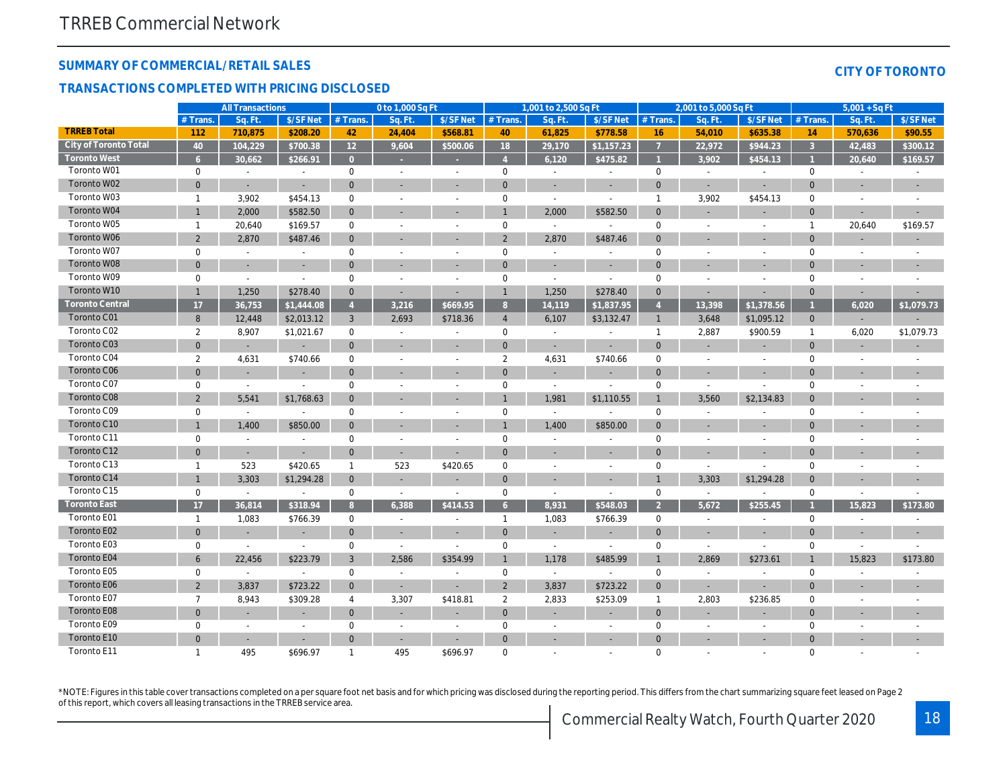#### **SUMMARY OF COMMERCIAL/RETAIL SALES**

#### **TRANSACTIONS COMPLETED WITH PRICING DISCLOSED**

|  | <b>CITY OF TORONTO</b> |  |
|--|------------------------|--|
|  |                        |  |
|  |                        |  |

|                        |                | <b>All Transactions</b>  |                          |                     | 0 to 1,000 Sq Ft         |                          |                | 1,001 to 2,500 Sq Ft     |                          |                | 2,001 to 5,000 Sq Ft     |                          |                | $5,001 + SqFt$ |            |
|------------------------|----------------|--------------------------|--------------------------|---------------------|--------------------------|--------------------------|----------------|--------------------------|--------------------------|----------------|--------------------------|--------------------------|----------------|----------------|------------|
|                        | $#$ Trans.     | Sq. Ft.                  | \$/SF Net                | $#$ Trans.          | Sq. Ft.                  | \$/SF Net                | # Trans.       | Sq. Ft                   | \$/SF Net                | $#$ Trans.     | Sq. Ft                   | \$/SF Net                | # Trans.       | Sq. Ft.        | \$/SF Net  |
| <b>TRREB Total</b>     | 112            | 710,875                  | \$208.20                 | 42                  | 24,404                   | \$568.81                 | 40             | 61,825                   | \$778.58                 | 16             | 54,010                   | \$635.38                 | 14             | 570,636        | \$90.55    |
| City of Toronto Total  | 40             | 104,229                  | \$700.38                 | 12                  | 9,604                    | \$500.06                 | 18             | 29,170                   | \$1,157.23               | $\overline{7}$ | 22,972                   | \$944.23                 | $\overline{3}$ | 42,483         | \$300.12   |
| <b>Toronto West</b>    | 6              | 30,662                   | \$266.91                 | $\Omega$            |                          |                          |                | 6,120                    | \$475.82                 |                | 3,902                    | \$454.13                 |                | 20,640         | \$169.57   |
| Toronto W01            | $\mathbf 0$    | $\overline{a}$           |                          | $\mathbf 0$         |                          | $\overline{\phantom{a}}$ | $\mathbf 0$    | $\overline{\phantom{a}}$ | $\overline{\phantom{a}}$ | $\mathbf 0$    | $\overline{\phantom{a}}$ |                          | $\mathbf 0$    |                |            |
| Toronto W02            | $\overline{0}$ | $\overline{a}$           | ÷.                       | $\mathbf{0}$        |                          |                          | $\mathbf{0}$   | $\sim$                   | L,                       | $\overline{0}$ | ÷.                       | ÷.                       | $\overline{0}$ |                |            |
| Toronto W03            | $\mathbf{1}$   | 3,902                    | \$454.13                 | $\mathbf 0$         |                          | $\overline{\phantom{a}}$ | $\mathbf{0}$   | $\sim$                   | ÷                        | $\overline{1}$ | 3,902                    | \$454.13                 | $\mathbf 0$    |                |            |
| Toronto W04            | $\mathbf{1}$   | 2,000                    | \$582.50                 | $\mathbf{0}$        |                          |                          | $\mathbf{1}$   | 2,000                    | \$582.50                 | $\mathbf{0}$   |                          |                          | $\mathbf 0$    |                |            |
| Toronto W05            | $\mathbf{1}$   | 20,640                   | \$169.57                 | $\mathbf 0$         |                          | $\sim$                   | $\mathbf 0$    | $\overline{a}$           | $\overline{\phantom{a}}$ | $\mathbf 0$    |                          | $\sim$                   | $\mathbf 1$    | 20,640         | \$169.57   |
| Toronto W06            | $\overline{2}$ | 2,870                    | \$487.46                 | $\Omega$            |                          |                          | $\overline{2}$ | 2,870                    | \$487.46                 | $\overline{0}$ |                          |                          | $\Omega$       |                |            |
| Toronto W07            | $\mathbf 0$    | $\sim$                   | $\overline{a}$           | $\mathbf 0$         |                          | $\sim$                   | $\mathbf 0$    | $\sim$                   | $\sim$                   | $\mathbf 0$    | $\overline{a}$           | $\sim$                   | $\mathbf 0$    |                |            |
| Toronto W08            | $\mathbf{0}$   |                          | ÷                        | $\Omega$            |                          |                          | $\Omega$       |                          |                          | $\Omega$       |                          |                          | $\Omega$       |                |            |
| Toronto W09            | $\mathbf 0$    | $\sim$                   | $\sim$                   | $\mathbf 0$         |                          | $\overline{\phantom{a}}$ | $\mathbf 0$    | $\sim$                   | $\overline{a}$           | $\mathbf 0$    |                          | $\overline{a}$           | $\mathbf 0$    | $\overline{a}$ |            |
| Toronto W10            | $\mathbf{1}$   | 1,250                    | \$278.40                 | $\mathbf{0}$        | $\overline{\phantom{a}}$ | $\sim$                   | $\overline{1}$ | 1,250                    | \$278.40                 | $\mathbf 0$    | ÷.                       | ÷,                       | $\Omega$       | ÷              |            |
| <b>Toronto Central</b> | 17             | 36,753                   | \$1,444.08               | $\overline{4}$      | 3,216                    | \$669.95                 | 8              | 14,119                   | \$1,837.95               | $\overline{4}$ | 13,398                   | \$1,378.56               | -1             | 6,020          | \$1,079.73 |
| Toronto C01            | 8              | 12,448                   | \$2,013.12               | $\mathbf{3}$        | 2,693                    | \$718.36                 | $\overline{4}$ | 6,107                    | \$3,132.47               | $\overline{1}$ | 3,648                    | \$1,095.12               | $\mathbf 0$    |                |            |
| Toronto C02            | $\overline{2}$ | 8,907                    | \$1,021.67               | $\mathbf 0$         |                          |                          | $\mathbf 0$    | $\overline{\phantom{a}}$ |                          | $\mathbf{1}$   | 2,887                    | \$900.59                 | $\mathbf{1}$   | 6,020          | \$1,079.73 |
| Toronto C03            | $\overline{0}$ | ÷.                       |                          | $\Omega$            |                          |                          | $\mathbf{0}$   | $\sim$                   | ÷,                       | $\Omega$       |                          | $\sim$                   | $\overline{0}$ |                |            |
| Toronto C04            | $\overline{2}$ | 4,631                    | \$740.66                 | $\mathbf 0$         |                          | $\sim$                   | $\overline{2}$ | 4,631                    | \$740.66                 | $\mathbf 0$    | $\overline{a}$           | $\overline{\phantom{a}}$ | $\mathbf 0$    |                |            |
| Toronto C06            | $\mathbf{0}$   |                          |                          | $\Omega$            |                          |                          | $\mathbf{0}$   |                          |                          | $\overline{0}$ |                          |                          | $\Omega$       |                |            |
| Toronto C07            | $\Omega$       | $\sim$                   |                          | $\Omega$            |                          | $\sim$                   | $\mathbf{0}$   | $\sim$                   | $\overline{a}$           | $\mathbf 0$    | $\overline{\phantom{a}}$ | $\overline{a}$           | $\mathbf 0$    | $\overline{a}$ |            |
| Toronto C08            | $\overline{2}$ | 5,541                    | \$1,768.63               | $\Omega$            |                          |                          |                | 1,981                    | \$1,110.55               |                | 3,560                    | \$2,134.83               | $\overline{0}$ |                |            |
| Toronto C09            | $\mathbf 0$    | $\sim$                   | $\overline{a}$           | $\mathbf 0$         |                          | $\sim$                   | 0              | $\sim$                   | $\overline{a}$           | $\mathbf 0$    | $\overline{a}$           | $\overline{a}$           | $\mathbf 0$    | $\overline{a}$ |            |
| Toronto C10            | $\mathbf{1}$   | 1,400                    | \$850.00                 | $\mathbf{0}$        |                          |                          |                | 1,400                    | \$850.00                 | $\mathbf{0}$   | ÷.                       | ÷,                       | $\Omega$       |                |            |
| Toronto C11            | $\mathbf 0$    | $\sim$                   |                          | $\mathbf 0$         |                          | $\overline{a}$           | $\mathbf{0}$   |                          |                          | $\mathbf 0$    | $\overline{a}$           | $\overline{a}$           | $\mathbf 0$    |                |            |
| Toronto C12            | $\overline{0}$ | $\overline{\phantom{a}}$ |                          | $\mathbf{0}$        |                          |                          | $\Omega$       | $\sim$                   | ÷,                       | $\mathbf{0}$   |                          | ÷,                       | $\Omega$       |                |            |
| Toronto C13            | $\mathbf{1}$   | 523                      | \$420.65                 | $\mathbf{1}$        | 523                      | \$420.65                 | $\mathbf 0$    | $\overline{\phantom{a}}$ |                          | $\mathbf 0$    | $\overline{a}$           |                          | $\mathbf 0$    |                |            |
| Toronto C14            |                | 3,303                    | \$1,294.28               | $\mathbf{0}$        |                          | $\sim$                   | $\mathbf{0}$   | $\sim$                   | $\overline{\phantom{a}}$ |                | 3,303                    | \$1,294.28               | $\overline{0}$ |                |            |
| Toronto C15            | $\mathbf 0$    | $\sim$                   |                          | $\mathbf 0$         |                          | $\overline{\phantom{a}}$ | $\mathbf 0$    |                          | $\overline{a}$           | $\mathbf 0$    | $\sim$                   |                          | $\mathbf 0$    |                |            |
| <b>Toronto East</b>    | 17             | 36,814                   | \$318.94                 | 8 <sup>°</sup>      | 6,388                    | \$414.53                 | 6 <sup>1</sup> | 8,931                    | \$548.03                 | $\overline{2}$ | 5,672                    | \$255.45                 |                | 15,823         | \$173.80   |
| Toronto E01            | $\mathbf{1}$   | 1,083                    | \$766.39                 | $\mathbf 0$         | $\sim$                   | $\overline{\phantom{a}}$ | $\overline{1}$ | 1,083                    | \$766.39                 | $\mathbf 0$    | $\overline{a}$           | $\overline{\phantom{a}}$ | $\mathbf 0$    | $\overline{a}$ |            |
| Toronto E02            | $\overline{0}$ |                          |                          | $\mathbf{0}$        |                          |                          | $\mathbf{0}$   |                          |                          | $\overline{0}$ |                          |                          | $\Omega$       |                |            |
| Toronto E03            | $\mathbf 0$    | $\sim$                   | $\overline{\phantom{a}}$ | $\mathsf{O}\xspace$ | $\sim$                   | $\sim$                   | $\mathbf 0$    | $\overline{\phantom{a}}$ | $\sim$                   | $\mathbf 0$    | $\overline{\phantom{a}}$ | $\overline{a}$           | $\mathbf 0$    | $\overline{a}$ |            |
| Toronto E04            | 6              | 22,456                   | \$223.79                 | 3                   | 2,586                    | \$354.99                 | $\overline{1}$ | 1,178                    | \$485.99                 | $\overline{1}$ | 2,869                    | \$273.61                 | $\mathbf{1}$   | 15,823         | \$173.80   |
| Toronto E05            | $\Omega$       | $\sim$                   |                          | $\mathbf 0$         | $\sim$                   | $\overline{\phantom{a}}$ | $\mathbf 0$    | $\sim$                   |                          | $\mathbf 0$    | $\overline{a}$           |                          | $\mathbf 0$    |                |            |
| Toronto E06            | $\overline{2}$ | 3,837                    | \$723.22                 | $\mathbf{0}$        |                          |                          | $\overline{2}$ | 3,837                    | \$723.22                 | $\mathbf{0}$   | ÷.                       | ÷,                       | $\Omega$       |                |            |
| Toronto E07            | $\overline{7}$ | 8,943                    | \$309.28                 | $\overline{4}$      | 3,307                    | \$418.81                 | $\overline{2}$ | 2,833                    | \$253.09                 | $\overline{1}$ | 2,803                    | \$236.85                 | $\mathbf 0$    | $\overline{a}$ |            |
| Toronto E08            | $\overline{0}$ |                          |                          | $\mathbf{0}$        |                          | $\overline{\phantom{a}}$ | $\mathbf 0$    |                          | $\sim$                   | $\overline{0}$ |                          | ÷,                       | $\overline{0}$ |                |            |
| Toronto E09            | $\mathbf 0$    |                          |                          | $\mathbf 0$         |                          |                          | $\mathbf{0}$   |                          |                          | $\mathbf 0$    |                          |                          | $\Omega$       |                |            |
| Toronto E10            | $\Omega$       | ÷,                       |                          | $\Omega$            |                          |                          | $\Omega$       |                          |                          | $\Omega$       |                          |                          | $\Omega$       |                |            |
| Toronto E11            | $\mathbf{1}$   | 495                      | \$696.97                 | 1                   | 495                      | \$696.97                 | $\Omega$       |                          |                          | $\Omega$       | $\overline{a}$           | $\overline{a}$           | $\Omega$       |                |            |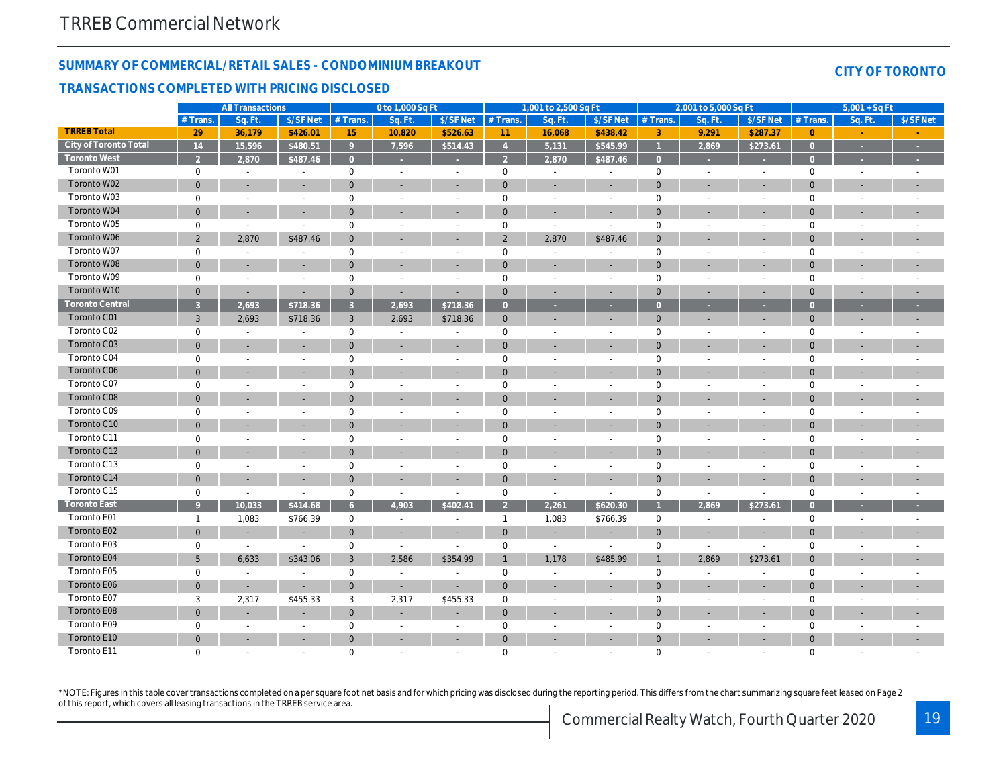#### **SUMMARY OF COMMERCIAL/RETAIL SALES - CONDOMINIUM BREAKOUT**

#### **TRANSACTIONS COMPLETED WITH PRICING DISCLOSED**

|  | CITY OF TORONTO |  |
|--|-----------------|--|
|  |                 |  |

|                        |                     | <b>All Transactions</b>  |                          |                     | 0 to 1,000 Sq Ft         |                          |                          | 1,001 to 2,500 Sq Ft     |                          |                | 2,001 to 5,000 Sq Ft     |                          |                     | $5,001 + SqFt$           |                          |
|------------------------|---------------------|--------------------------|--------------------------|---------------------|--------------------------|--------------------------|--------------------------|--------------------------|--------------------------|----------------|--------------------------|--------------------------|---------------------|--------------------------|--------------------------|
|                        | # Trans.            | Sq. Ft.                  | \$/SF Net                | # Trans.            | Sq. Ft.                  | \$/SF Net                | $#$ Trans.               | Sq. Ft.                  | \$/SF Net                | # Trans.       | Sq. Ft.                  | \$/SF Net                | # Trans.            | Sq. Ft.                  | \$/SF Net                |
| <b>TRREB Total</b>     | 29                  | 36,179                   | \$426.01                 | 15                  | 10,820                   | \$526.63                 | 11                       | 16,068                   | \$438.42                 | 3              | 9,291                    | \$287.37                 | $\overline{0}$      |                          |                          |
| City of Toronto Total  | 14                  | 15,596                   | \$480.51                 | Q                   | 7,596                    | \$514.43                 | $\overline{4}$           | 5,131                    | \$545.99                 |                | 2,869                    | \$273.61                 | $\overline{0}$      |                          |                          |
| <b>Toronto West</b>    | $\overline{2}$      | 2,870                    | \$487.46                 | $\overline{0}$      |                          |                          | $\overline{\mathcal{L}}$ | 2,870                    | \$487.46                 | $\overline{0}$ |                          |                          | $\mathbf{0}$        |                          |                          |
| Toronto W01            | $\mathbf 0$         | $\sim$                   | $\overline{\phantom{a}}$ | $\mathsf{O}\xspace$ |                          | $\sim$                   | $\mathbf 0$              | $\overline{a}$           | $\overline{\phantom{a}}$ | $\mathbf 0$    | $\sim$                   | $\sim$                   | $\mathsf{O}\xspace$ | $\overline{\phantom{a}}$ |                          |
| Toronto W02            | $\mathbf{0}$        | ÷                        | $\sim$                   | $\mathbf{0}$        |                          | $\overline{\phantom{a}}$ | $\mathbf{0}$             | $\overline{\phantom{a}}$ | ÷                        | $\Omega$       |                          |                          | $\mathbf{0}$        |                          |                          |
| Toronto W03            | $\mathsf{O}\xspace$ | $\sim$                   | $\sim$                   | $\mathbf 0$         | $\overline{\phantom{a}}$ | $\sim$                   | $\mathbf 0$              | $\sim$                   | $\overline{\phantom{a}}$ | $\mathbf 0$    | $\sim$                   | $\sim$                   | $\mathsf{O}\xspace$ | $\overline{\phantom{a}}$ |                          |
| Toronto W04            | $\mathbf{0}$        | ÷                        |                          | $\Omega$            |                          |                          | $\Omega$                 | $\sim$                   | ٠                        | $\overline{0}$ |                          |                          | $\mathbf{0}$        |                          |                          |
| Toronto W05            | $\mathbf 0$         | $\sim$                   | $\sim$                   | $\mathbf 0$         | $\overline{a}$           | $\sim$                   | $\mathbf 0$              | $\sim$                   | $\overline{a}$           | $\mathbf 0$    | $\sim$                   | $\sim$                   | $\mathbf 0$         |                          |                          |
| Toronto W06            | 2                   | 2,870                    | \$487.46                 | $\mathbf{0}$        |                          |                          | $\overline{2}$           | 2,870                    | \$487.46                 | $\overline{0}$ |                          |                          | $\overline{0}$      |                          |                          |
| Toronto W07            | $\mathbf 0$         | $\overline{\phantom{a}}$ |                          | $\Omega$            |                          | $\overline{\phantom{a}}$ | $\mathbf 0$              |                          | $\overline{\phantom{a}}$ | $\mathbf 0$    |                          |                          | $\mathbf{0}$        |                          |                          |
| Toronto W08            | $\overline{0}$      | ÷,                       |                          | $\mathbf{0}$        |                          |                          | $\mathbf{0}$             | $\overline{\phantom{a}}$ | $\overline{\phantom{a}}$ | $\overline{0}$ |                          | $\sim$                   | $\overline{0}$      |                          |                          |
| Toronto W09            | $\mathbf 0$         | $\overline{a}$           | $\overline{a}$           | $\mathbf 0$         |                          | $\sim$                   | $\mathbf 0$              | ÷,                       | $\overline{a}$           | $\mathbf 0$    | $\overline{a}$           | $\sim$                   | $\mathbf{0}$        |                          |                          |
| Toronto W10            | $\overline{0}$      | $\sim$                   | $\sim$                   | $\mathbf{0}$        | $\sim$                   | $\sim$                   | $\mathbf{0}$             | ÷                        | $\overline{\phantom{a}}$ | $\mathbf 0$    | $\sim$                   | $\sim$                   | $\mathbf{0}$        |                          |                          |
| <b>Toronto Central</b> | $\overline{3}$      | 2,693                    | \$718.36                 | $\overline{3}$      | 2,693                    | \$718.36                 | $\overline{0}$           |                          |                          | $\overline{0}$ |                          |                          | $\overline{0}$      |                          |                          |
| Toronto C01            | $\overline{3}$      | 2.693                    | \$718.36                 | $\mathbf{3}$        | 2.693                    | \$718.36                 | $\overline{0}$           | ÷,                       | $\overline{\phantom{a}}$ | $\mathbf{0}$   | ÷.                       |                          | $\mathbf{0}$        |                          | $\overline{\phantom{a}}$ |
| Toronto C02            | $\mathbf 0$         | ÷                        |                          | $\mathbf 0$         |                          |                          | $\mathbf 0$              |                          | $\overline{\phantom{a}}$ | $\mathbf 0$    | $\overline{\phantom{a}}$ | $\sim$                   | $\mathbf 0$         |                          |                          |
| Toronto C03            | $\overline{0}$      |                          |                          | $\mathbf{0}$        |                          |                          | $\mathbf{0}$             |                          |                          | $\overline{0}$ |                          |                          | $\mathbf 0$         |                          |                          |
| Toronto C04            | $\mathbf 0$         | $\sim$                   | $\sim$                   | $\mathbf 0$         | $\overline{\phantom{a}}$ | $\sim$                   | $\mathbf 0$              | ÷,                       | $\sim$                   | $\mathbf 0$    | $\overline{\phantom{a}}$ | $\sim$                   | $\mathsf{O}\xspace$ |                          |                          |
| Toronto C06            | $\mathbf{0}$        |                          |                          | $\Omega$            |                          | $\overline{\phantom{a}}$ | $\Omega$                 |                          | ÷                        | $\Omega$       |                          |                          | $\overline{0}$      |                          |                          |
| Toronto C07            | $\mathbf 0$         | $\overline{\phantom{a}}$ | $\overline{\phantom{a}}$ | $\mathbf 0$         |                          | $\overline{\phantom{a}}$ | $\mathbf 0$              | $\overline{\phantom{a}}$ | $\overline{\phantom{a}}$ | $\mathbf 0$    | $\overline{a}$           | $\overline{\phantom{a}}$ | $\mathbf 0$         |                          |                          |
| Toronto C08            | $\mathbf{0}$        | ÷,                       |                          | $\Omega$            |                          | $\sim$                   | $\overline{0}$           |                          | ä,                       | $\overline{0}$ | ÷                        |                          | $\mathbf 0$         |                          |                          |
| Toronto C09            | $\mathbf 0$         | $\overline{a}$           |                          | $\mathbf 0$         |                          | $\overline{a}$           | $\mathbf 0$              | $\overline{a}$           | $\overline{\phantom{a}}$ | $\mathbf 0$    | $\overline{a}$           |                          | $\mathbf{0}$        |                          |                          |
| Toronto C10            | $\mathbf{0}$        | $\overline{\phantom{a}}$ |                          | $\mathbf{0}$        |                          | $\overline{\phantom{a}}$ | $\overline{0}$           |                          | $\overline{\phantom{a}}$ | $\overline{0}$ |                          |                          | $\mathbf{0}$        |                          |                          |
| Toronto C11            | $\mathbf 0$         | $\overline{a}$           |                          | $\mathbf 0$         |                          |                          | $\mathbf 0$              |                          | $\overline{a}$           | $\mathbf 0$    |                          |                          | $\mathbf 0$         |                          |                          |
| Toronto C12            | $\mathbf{0}$        | $\overline{\phantom{a}}$ | $\sim$                   | $\mathbf{0}$        |                          | $\overline{\phantom{a}}$ | $\mathbf 0$              | $\overline{\phantom{a}}$ | $\overline{\phantom{a}}$ | $\overline{0}$ | ÷.                       | $\overline{\phantom{a}}$ | $\mathbf 0$         |                          | $\overline{\phantom{a}}$ |
| Toronto C13            | $\mathbf 0$         | $\overline{a}$           | $\overline{a}$           | $\mathbf 0$         |                          | $\sim$                   | $\mathbf 0$              | $\sim$                   | $\sim$                   | $\mathbf 0$    | $\overline{a}$           |                          | $\mathbf 0$         |                          |                          |
| Toronto C14            | $\mathbf{0}$        | $\overline{\phantom{a}}$ |                          | $\Omega$            |                          | $\overline{\phantom{a}}$ | $\Omega$                 | ٠                        | $\overline{\phantom{a}}$ | $\overline{0}$ |                          |                          | $\mathbf{0}$        |                          |                          |
| Toronto C15            | $\mathbf 0$         | $\overline{\phantom{a}}$ | $\sim$                   | $\mathbf 0$         | $\overline{\phantom{a}}$ | $\sim$                   | $\mathbf 0$              | $\overline{a}$           | $\overline{\phantom{a}}$ | $\mathbf 0$    | $\overline{\phantom{a}}$ | $\sim$                   | $\mathbf 0$         |                          |                          |
| <b>Toronto East</b>    | 9                   | 10.033                   | \$414.68                 | 6                   | 4,903                    | \$402.41                 | $\overline{2}$           | 2,261                    | \$620.30                 |                | 2.869                    | \$273.61                 | $\overline{0}$      |                          |                          |
| Toronto E01            | $\mathbf{1}$        | 1,083                    | \$766.39                 | $\mathbf 0$         | $\sim$                   | $\overline{\phantom{a}}$ | $\overline{1}$           | 1,083                    | \$766.39                 | $\mathbf 0$    | $\overline{\phantom{a}}$ |                          | $\boldsymbol{0}$    | $\overline{\phantom{a}}$ |                          |
| Toronto E02            | $\overline{0}$      |                          |                          | $\mathbf 0$         |                          |                          | $\overline{0}$           |                          |                          | $\mathbf{0}$   |                          |                          | $\mathbf 0$         |                          |                          |
| Toronto E03            | $\mathbf 0$         | $\sim$                   | $\overline{\phantom{a}}$ | $\mathsf{O}\xspace$ | $\sim$                   | $\sim$                   | $\mathbf 0$              | $\overline{a}$           | $\overline{a}$           | $\mathbf 0$    | $\sim$                   |                          | $\mathbf 0$         |                          |                          |
| Toronto E04            | 5                   | 6,633                    | \$343.06                 | $\mathbf{3}$        | 2,586                    | \$354.99                 | $\mathbf{1}$             | 1,178                    | \$485.99                 | $\mathbf{1}$   | 2,869                    | \$273.61                 | $\mathbf 0$         |                          |                          |
| Toronto E05            | $\mathbf 0$         | $\overline{a}$           |                          | $\mathbf 0$         | $\overline{a}$           | $\overline{a}$           | $\mathbf 0$              | $\overline{a}$           | $\overline{a}$           | $\mathbf 0$    | $\sim$                   |                          | $\mathsf{O}\xspace$ |                          |                          |
| Toronto E06            | $\mathbf{0}$        | ÷,                       | $\overline{\phantom{a}}$ | $\mathbf 0$         |                          |                          | $\mathbf{0}$             |                          | $\overline{\phantom{a}}$ | $\overline{0}$ | ÷                        | $\sim$                   | $\mathbf 0$         |                          |                          |
| Toronto E07            | 3                   | 2,317                    | \$455.33                 | 3                   | 2,317                    | \$455.33                 | $\mathbf 0$              | $\overline{a}$           | $\sim$                   | $\mathbf 0$    | $\sim$                   | $\sim$                   | $\mathsf{O}\xspace$ |                          |                          |
| Toronto E08            | $\mathbf{0}$        | ÷.                       |                          | $\mathbf{0}$        |                          | $\overline{\phantom{a}}$ | $\mathbf{0}$             |                          | ÷                        | $\overline{0}$ |                          |                          | $\mathbf{0}$        |                          |                          |
| Toronto E09            | $\mathbf 0$         |                          |                          | $\mathbf 0$         |                          |                          | $\mathbf 0$              |                          | $\overline{a}$           | $\mathbf 0$    |                          |                          | $\mathsf{O}\xspace$ |                          |                          |
| Toronto E10            | $\Omega$            | ÷                        |                          | $\mathbf{0}$        |                          | ÷.                       | $\mathbf{0}$             |                          |                          | $\overline{0}$ |                          |                          | $\mathbf{0}$        |                          |                          |
| Toronto E11            | $\Omega$            | $\overline{a}$           |                          | $\Omega$            |                          |                          | $\Omega$                 |                          |                          | $\Omega$       |                          |                          | $\mathbf 0$         |                          |                          |

\*NOTE: Figures in this table cover transactions completed on a per square foot net basis and for which pricing was disclosed during the reporting period. This differs from the chart summarizing square feet leased on Page 2 of this report, which covers all leasing transactions in the TRREB service area.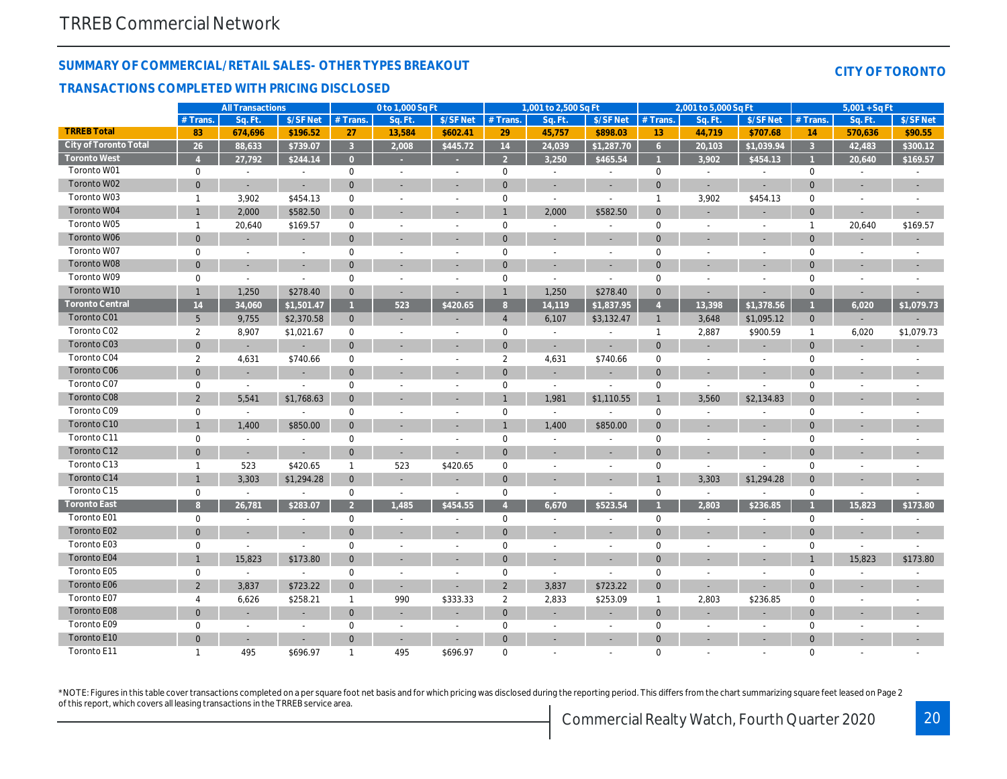#### **SUMMARY OF COMMERCIAL/RETAIL SALES- OTHER TYPES BREAKOUT**

#### **TRANSACTIONS COMPLETED WITH PRICING DISCLOSED**

| $2.001 + 6.5.000$ C $\approx$ F+ | $E$ $001$ |
|----------------------------------|-----------|

**CITY OF TORONTO**

|                        |                | <b>All Transactions</b>  |                          |                     | 0 to 1,000 Sq Ft         |                          |                     | ∣,001 to 2,500 Sq Ft     |                          |                        | 2,001 to 5,000 Sq Ft     |                          | $5,001 + SqFt$ |                          |                          |
|------------------------|----------------|--------------------------|--------------------------|---------------------|--------------------------|--------------------------|---------------------|--------------------------|--------------------------|------------------------|--------------------------|--------------------------|----------------|--------------------------|--------------------------|
|                        | # Trans.       | Sq. Ft.                  | \$/SF Net                | $#$ Trans.          | Sq. Ft.                  | \$/SF Net                | $#$ Trans.          | Sq. Ft                   | \$/SF Net                | $#$ Trans.             | Sq. Ft.                  | \$/SF Net                | $#$ Trans      | Sq. Ft.                  | \$/SFNet                 |
| <b>TRREB Total</b>     | 83             | 674,696                  | \$196.52                 | 27                  | 13,584                   | \$602.41                 | 29                  | 45,757                   | \$898.03                 | 13                     | 44,719                   | \$707.68                 | 14             | 570,636                  | \$90.55                  |
| City of Toronto Total  | 26             | 88.633                   | \$739.07                 | $\overline{3}$      | 2,008                    | \$445.72                 | 14                  | 24,039                   | \$1,287.70               | 6                      | 20,103                   | \$1.039.94               | $\overline{3}$ | 42,483                   | \$300.12                 |
| <b>Toronto West</b>    |                | 27,792                   | \$244.14                 | $\Omega$            |                          |                          | $\mathcal{P}$       | 3,250                    | \$465.54                 |                        | 3,902                    | \$454.13                 |                | 20,640                   | \$169.57                 |
| Toronto W01            | $\mathbf 0$    | $\overline{\phantom{a}}$ | $\overline{a}$           | $\mathbf 0$         |                          | $\sim$                   | $\mathbf{0}$        | $\overline{\phantom{a}}$ | $\overline{\phantom{a}}$ | $\mathbf 0$            | $\overline{\phantom{a}}$ | $\overline{\phantom{a}}$ | $\mathbf 0$    |                          |                          |
| Toronto W02            | $\overline{0}$ | $\overline{\phantom{a}}$ |                          | $\mathbf{0}$        |                          |                          | $\mathbf{0}$        | $\overline{\phantom{a}}$ | $\overline{\phantom{a}}$ | $\overline{0}$         |                          | $\sim$                   | $\Omega$       |                          | $\overline{\phantom{a}}$ |
| Toronto W03            | $\mathbf{1}$   | 3,902                    | \$454.13                 | $\mathbf 0$         |                          | $\overline{\phantom{a}}$ | $\mathsf{O}\xspace$ | $\overline{\phantom{a}}$ | $\overline{a}$           | $\mathbf{1}$           | 3,902                    | \$454.13                 | $\mathbf 0$    |                          |                          |
| Toronto W04            | $\mathbf{1}$   | 2,000                    | \$582.50                 | $\mathbf{0}$        |                          |                          |                     | 2,000                    | \$582.50                 | $\overline{0}$         |                          | $\overline{\phantom{a}}$ | $\Omega$       |                          |                          |
| Toronto W05            | $\mathbf{1}$   | 20,640                   | \$169.57                 | $\mathbf 0$         |                          | $\overline{\phantom{a}}$ | $\mathbf 0$         | $\overline{a}$           |                          | $\mathbf 0$            |                          |                          | $\mathbf{1}$   | 20,640                   | \$169.57                 |
| Toronto W06            | $\overline{0}$ | ÷                        |                          | $\overline{0}$      |                          |                          | $\Omega$            |                          |                          | $\overline{0}$         |                          |                          | $\Omega$       |                          |                          |
| Toronto W07            | $\mathbf 0$    | $\sim$                   | $\sim$                   | $\mathsf{O}\xspace$ |                          | $\sim$                   | $\mathsf{O}\xspace$ | $\overline{\phantom{a}}$ | $\sim$                   | $\mathbf 0$            |                          | $\overline{a}$           | $\mathbf 0$    |                          |                          |
| Toronto W08            | $\mathbf{0}$   |                          | $\sim$                   | $\Omega$            |                          |                          | $\mathbf{0}$        |                          |                          | $\overline{0}$         |                          |                          | $\Omega$       |                          |                          |
| Toronto W09            | $\mathbf 0$    | $\sim$                   | $\sim$                   | $\mathbf 0$         |                          | $\overline{a}$           | $\mathbf{0}$        | $\overline{\phantom{a}}$ | $\overline{a}$           | $\mathbf 0$            | $\overline{a}$           |                          | $\mathbf 0$    |                          |                          |
| Toronto W10            | $\mathbf{1}$   | 1,250                    | \$278.40                 | $\mathbf{0}$        |                          |                          | 1                   | 1,250                    | \$278.40                 | $\mathbf{0}$           | L,                       |                          | $\Omega$       |                          |                          |
| <b>Toronto Central</b> | 14             | 34,060                   | \$1,501.47               |                     | 523                      | \$420.65                 | 8                   | 14,119                   | \$1,837.95               | $\boldsymbol{\Lambda}$ | 13,398                   | \$1,378.56               |                | 6,020                    | \$1,079.73               |
| Toronto C01            | 5              | 9,755                    | \$2,370.58               | $\mathbf{0}$        |                          |                          | $\overline{4}$      | 6,107                    | \$3,132.47               | $\overline{1}$         | 3,648                    | \$1,095.12               | $\mathbf{0}$   |                          |                          |
| Toronto C02            | $\overline{2}$ | 8,907                    | \$1,021.67               | $\mathbf 0$         |                          | $\overline{\phantom{a}}$ | $\mathbf 0$         |                          |                          | $\mathbf{1}$           | 2,887                    | \$900.59                 | $\mathbf{1}$   | 6,020                    | \$1,079.73               |
| Toronto C03            | $\overline{0}$ |                          |                          | $\Omega$            |                          |                          | $\mathbf{0}$        | ÷                        |                          | $\overline{0}$         |                          |                          | $\mathbf{0}$   |                          |                          |
| Toronto C04            | $\overline{2}$ | 4,631                    | \$740.66                 | $\Omega$            |                          | $\sim$                   | $\overline{2}$      | 4,631                    | \$740.66                 | $\mathbf 0$            | $\overline{a}$           | $\overline{\phantom{a}}$ | $\mathbf 0$    |                          |                          |
| Toronto C06            | $\overline{0}$ |                          |                          | $\mathbf{0}$        |                          |                          | $\mathbf{0}$        |                          |                          | $\overline{0}$         |                          |                          | $\Omega$       |                          |                          |
| Toronto C07            | $\mathbf 0$    | $\sim$                   | $\overline{\phantom{a}}$ | $\mathbf 0$         |                          | $\overline{a}$           | $\mathbf{0}$        | $\overline{\phantom{a}}$ | $\overline{a}$           | $\mathbf 0$            | $\overline{\phantom{a}}$ |                          | $\mathbf 0$    |                          |                          |
| Toronto C08            | $\overline{2}$ | 5,541                    | \$1,768.63               | $\mathbf{0}$        |                          |                          |                     | 1,981                    | \$1,110.55               | $\mathbf{1}$           | 3,560                    | \$2,134.83               | $\overline{0}$ |                          |                          |
| Toronto C09            | $\mathbf 0$    | $\sim$                   |                          | $\mathbf 0$         |                          |                          | 0                   | $\overline{\phantom{a}}$ |                          | $\mathbf 0$            |                          |                          | $\mathbf 0$    |                          |                          |
| Toronto C10            | $\mathbf{1}$   | 1,400                    | \$850.00                 | $\mathbf 0$         |                          |                          |                     | 1,400                    | \$850.00                 | $\mathbf{0}$           | ÷,                       | $\overline{\phantom{a}}$ | $\Omega$       |                          |                          |
| Toronto C11            | $\mathbf 0$    | $\sim$                   |                          | $\mathbf 0$         |                          |                          | $\mathbf 0$         | $\overline{a}$           |                          | $\mathbf 0$            |                          |                          | $\mathbf 0$    |                          |                          |
| Toronto C12            | $\overline{0}$ | $\sim$                   | ÷                        | $\overline{0}$      | $\sim$                   | ÷                        | $\mathbf{0}$        |                          | ÷                        | $\overline{0}$         |                          | ÷.                       | $\Omega$       |                          |                          |
| Toronto C13            | $\mathbf{1}$   | 523                      | \$420.65                 | $\mathbf{1}$        | 523                      | \$420.65                 | $\mathbf 0$         | $\overline{\phantom{a}}$ | $\sim$                   | $\mathbf 0$            | $\overline{\phantom{a}}$ |                          | $\mathbf 0$    |                          |                          |
| Toronto C14            | $\mathbf{1}$   | 3,303                    | \$1,294.28               | $\mathbf{0}$        |                          |                          | $\mathbf{0}$        |                          |                          |                        | 3,303                    | \$1,294.28               | $\overline{0}$ |                          |                          |
| Toronto C15            | $\mathbf 0$    | $\sim$                   |                          | $\mathbf 0$         | $\sim$                   | $\sim$                   | $\mathbf{0}$        | $\overline{a}$           | $\overline{a}$           | $\mathbf 0$            | $\sim$                   |                          | $\mathbf 0$    | $\sim$                   |                          |
| <b>Toronto East</b>    | 8              | 26,781                   | \$283.07                 | $\mathcal{D}$       | 1,485                    | \$454.55                 |                     | 6,670                    | \$523.54                 |                        | 2,803                    | \$236.85                 |                | 15,823                   | \$173.80                 |
| Toronto E01            | $\mathbf 0$    | $\sim$                   | $\overline{a}$           | $\mathbf 0$         |                          | $\overline{\phantom{a}}$ | $\mathbf 0$         | $\overline{a}$           | $\overline{a}$           | $\mathbf 0$            | $\overline{a}$           | $\overline{\phantom{a}}$ | $\mathbf 0$    | $\overline{\phantom{a}}$ |                          |
| Toronto E02            | $\mathbf{0}$   | $\sim$                   | $\sim$                   | $\Omega$            |                          | $\sim$                   | $\Omega$            | $\overline{\phantom{a}}$ | $\overline{\phantom{a}}$ | $\Omega$               |                          | $\sim$                   | $\Omega$       | $\overline{\phantom{a}}$ | $\sim$                   |
| Toronto E03            | $\mathbf 0$    | $\overline{a}$           |                          | $\mathbf 0$         |                          | $\overline{\phantom{a}}$ | $\mathbf{0}$        |                          | $\overline{a}$           | $\mathbf 0$            |                          |                          | $\Omega$       |                          |                          |
| Toronto E04            | $\mathbf{1}$   | 15,823                   | \$173.80                 | $\mathbf{0}$        |                          |                          | $\mathbf{0}$        | ÷.                       | ٠                        | $\overline{0}$         |                          |                          |                | 15,823                   | \$173.80                 |
| Toronto E05            | $\mathbf 0$    |                          |                          | $\mathbf 0$         |                          | $\overline{\phantom{a}}$ | $\mathbf{0}$        | $\sim$                   |                          | $\mathbf 0$            |                          |                          | $\mathbf 0$    |                          |                          |
| Toronto E06            | $\overline{2}$ | 3,837                    | \$723.22                 | $\overline{0}$      |                          |                          | 2                   | 3,837                    | \$723.22                 | $\mathbf{0}$           |                          |                          | $\Omega$       |                          |                          |
| Toronto E07            | $\overline{4}$ | 6,626                    | \$258.21                 | $\mathbf{1}$        | 990                      | \$333.33                 | $\overline{2}$      | 2,833                    | \$253.09                 | $\overline{1}$         | 2,803                    | \$236.85                 | $\mathbf 0$    |                          |                          |
| Toronto E08            | $\mathbf{0}$   |                          |                          | $\Omega$            |                          |                          | $\mathbf{0}$        |                          |                          | $\Omega$               |                          |                          | $\Omega$       |                          |                          |
| Toronto E09            | $\mathbf 0$    | $\overline{\phantom{a}}$ |                          | $\mathbf 0$         | $\overline{\phantom{a}}$ |                          | 0                   | $\overline{\phantom{a}}$ | ÷                        | $\mathbf 0$            | $\overline{a}$           |                          | $\mathbf 0$    |                          |                          |
| Toronto E10            | $\mathbf{0}$   |                          |                          | $\mathbf{0}$        |                          |                          | $\mathbf{0}$        |                          |                          | $\overline{0}$         |                          |                          | $\Omega$       |                          |                          |
| Toronto E11            | $\mathbf{1}$   | 495                      | \$696.97                 | -1                  | 495                      | \$696.97                 | $\Omega$            |                          |                          | $\Omega$               |                          |                          | $\Omega$       |                          |                          |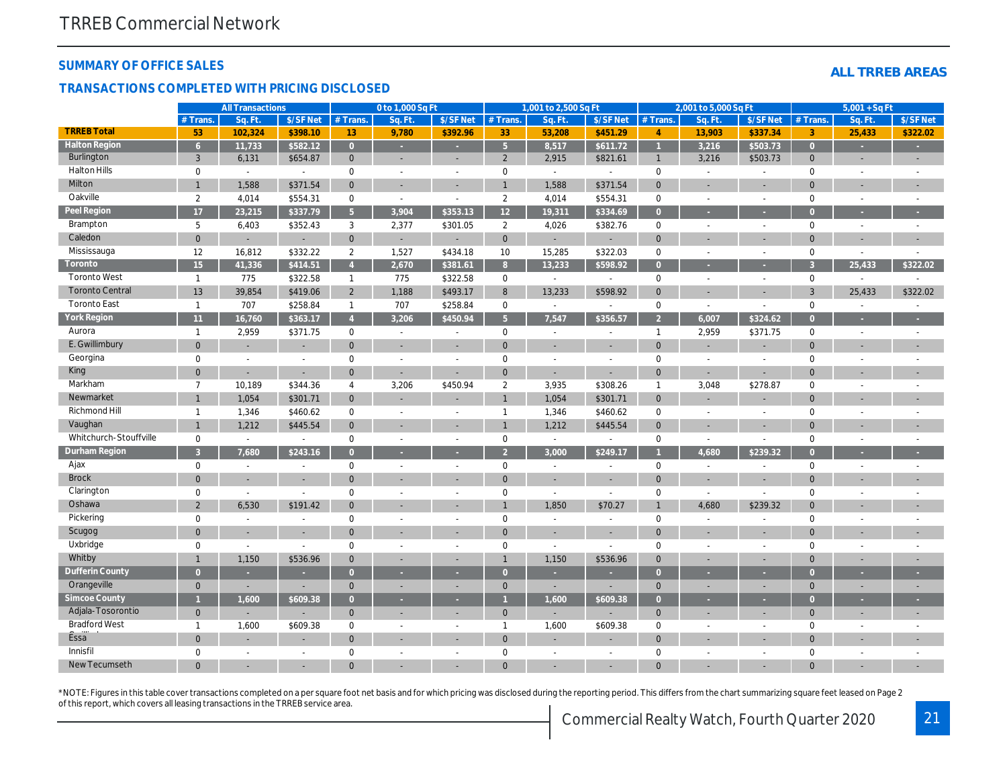#### **SUMMARY OF OFFICE SALES**

#### **TRANSACTIONS COMPLETED WITH PRICING DISCLOSED**

|  | ALL TRREB AREAS |
|--|-----------------|
|  |                 |

|                        |                | <b>All Transactions</b>  |                |                | 0 to 1,000 Sq Ft            |                |                | 1,001 to 2,500 Sq Ft        |                |                | 2,001 to 5,000 Sq Ft |                          |                | $5,001 + SqFt$           |                          |
|------------------------|----------------|--------------------------|----------------|----------------|-----------------------------|----------------|----------------|-----------------------------|----------------|----------------|----------------------|--------------------------|----------------|--------------------------|--------------------------|
|                        | $#$ Trans.     | Sq. Ft                   | \$/SF Net      | # Trans.       | Sq. Ft                      | \$/SF Net      | $#$ Trans.     | Sq. Ft                      | \$/SF Net      | # Trans.       | Sq. Ft               | \$/SFNet                 | $#$ Trans.     | Sq. Ft.                  | \$/SF Net                |
| <b>TRREB Total</b>     | 53             | 102,324                  | \$398.10       | 13             | 9,780                       | \$392.96       | 33             | 53,208                      | \$451.29       | $\overline{4}$ | 13,903               | \$337.34                 | 3              | 25,433                   | \$322.02                 |
| <b>Halton Region</b>   | 6 <sup>1</sup> | 11,733                   | \$582.12       | $\overline{0}$ |                             |                | 5 <sup>5</sup> | 8,517                       | \$611.72       | $\overline{1}$ | 3,216                | \$503.73                 | $\overline{0}$ |                          |                          |
| Burlington             | $\overline{3}$ | 6,131                    | \$654.87       | $\overline{0}$ | $\sim$                      |                | $\overline{2}$ | 2,915                       | \$821.61       | $\mathbf{1}$   | 3,216                | \$503.73                 | $\mathbf{0}$   |                          |                          |
| <b>Halton Hills</b>    | $\mathbf 0$    | $\sim$                   | $\sim$         | $\mathbf 0$    | $\sim$                      | $\sim$         | $\mathbf 0$    | $\mathcal{L}^{\mathcal{A}}$ | $\sim$         | $\mathbf 0$    | $\overline{a}$       |                          | $\mathbf 0$    |                          |                          |
| Milton                 |                | 1,588                    | \$371.54       | $\mathbf{0}$   |                             |                |                | 1,588                       | \$371.54       | $\overline{0}$ |                      |                          | $\overline{0}$ |                          |                          |
| Oakville               | 2              | 4,014                    | \$554.31       | $\mathbf 0$    | $\mathbb{L}$                | $\sim$         | 2              | 4,014                       | \$554.31       | $\mathbf 0$    | $\sim$               | $\sim$                   | $\mathbf 0$    | $\sim$                   | $\overline{\phantom{a}}$ |
| Peel Region            | 17             | 23,215                   | \$337.79       | 5 <sup>1</sup> | 3,904                       | \$353.13       | 12             | 19,311                      | \$334.69       | $\Omega$       |                      |                          | $\Omega$       |                          |                          |
| Brampton               | 5              | 6,403                    | \$352.43       | 3              | 2,377                       | \$301.05       | $\overline{2}$ | 4,026                       | \$382.76       | $\mathbf 0$    | $\overline{a}$       | $\overline{a}$           | $\mathbf 0$    | $\sim$                   | $\overline{a}$           |
| Caledon                | $\overline{0}$ |                          |                | $\mathbf 0$    | ÷                           | ÷,             | $\mathbf 0$    |                             | L.             | $\overline{0}$ |                      |                          | $\mathbf 0$    |                          |                          |
| Mississauga            | 12             | 16,812                   | \$332.22       | $\overline{2}$ | 1,527                       | \$434.18       | 10             | 15,285                      | \$322.03       | $\mathbf 0$    | $\sim$               | $\sim$                   | $\mathbf 0$    | $\overline{\phantom{a}}$ | $\overline{\phantom{a}}$ |
| Toronto                | 15             | 41,336                   | \$414.51       | $\overline{4}$ | 2,670                       | \$381.61       | 8              | 13,233                      | \$598.92       | $\overline{0}$ |                      |                          | $\overline{3}$ | 25,433                   | \$322.02                 |
| Toronto West           | $\mathbf{1}$   | 775                      | \$322.58       | $\overline{1}$ | 775                         | \$322.58       | $\mathbf 0$    | $\overline{\phantom{a}}$    | $\mathbb{L}$   | $\mathbf 0$    | $\sim$               | $\sim$                   | $\mathbf 0$    | $\sim$                   |                          |
| <b>Toronto Central</b> | 13             | 39,854                   | \$419.06       | $\overline{2}$ | 1,188                       | \$493.17       | 8              | 13,233                      | \$598.92       | $\Omega$       |                      |                          | 3              | 25,433                   | \$322.02                 |
| <b>Toronto East</b>    | $\mathbf{1}$   | 707                      | \$258.84       | $\overline{1}$ | 707                         | \$258.84       | $\mathbf 0$    | $\sim$                      | $\sim$         | $\mathbf 0$    | $\sim$               | $\sim$                   | $\mathbf 0$    | $\sim$                   | $\overline{\phantom{a}}$ |
| York Region            | 11             | 16,760                   | \$363.17       | $\overline{4}$ | 3,206                       | \$450.94       | 5 <sup>5</sup> | 7,547                       | \$356.57       | $\overline{2}$ | 6,007                | \$324.62                 | $\overline{0}$ |                          |                          |
| Aurora                 | $\overline{1}$ | 2,959                    | \$371.75       | $\mathbf 0$    | $\mathcal{L}^{\mathcal{A}}$ | $\overline{a}$ | $\mathbf 0$    | $\sim$                      | $\mathbb{L}$   | $\mathbf{1}$   | 2,959                | \$371.75                 | $\mathbf 0$    | $\sim$                   | $\sim$                   |
| E. Gwillimbury         | $\mathbf{0}$   |                          |                | $\mathbf{0}$   |                             |                | $\Omega$       |                             | ÷,             | $\Omega$       |                      |                          | $\overline{0}$ |                          |                          |
| Georgina               | 0              | $\overline{\phantom{a}}$ | $\sim$         | $\mathbf 0$    | $\sim$                      | $\overline{a}$ | $\mathbf 0$    | $\sim$                      | $\overline{a}$ | $\mathbf 0$    | $\overline{a}$       |                          | $\mathbf 0$    |                          | $\overline{a}$           |
| King                   | $\Omega$       |                          |                | $\overline{0}$ | ÷.                          |                | $\Omega$       | ÷.                          | ٠              | $\overline{0}$ | ÷.                   |                          | $\overline{0}$ |                          |                          |
| Markham                | $\overline{7}$ | 10,189                   | \$344.36       | $\overline{4}$ | 3,206                       | \$450.94       | $\overline{2}$ | 3,935                       | \$308.26       | $\mathbf{1}$   | 3,048                | \$278.87                 | $\mathbf 0$    | $\overline{\phantom{a}}$ |                          |
| Newmarket              |                | 1,054                    | \$301.71       | $\mathbf{0}$   |                             |                |                | 1,054                       | \$301.71       | $\mathbf 0$    |                      |                          | $\mathbf 0$    |                          |                          |
| Richmond Hill          | 1              | 1,346                    | \$460.62       | $\mathbf 0$    | $\sim$                      | $\overline{a}$ | $\overline{1}$ | 1,346                       | \$460.62       | $\mathbf 0$    | $\sim$               | $\overline{\phantom{a}}$ | $\mathbf 0$    | $\overline{\phantom{a}}$ | $\overline{\phantom{a}}$ |
| Vaughan                |                | 1,212                    | \$445.54       | $\mathbf{0}$   |                             |                |                | 1,212                       | \$445.54       | $\mathbf{0}$   |                      |                          | $\mathbf{0}$   |                          |                          |
| Whitchurch-Stouffville | $\mathbf 0$    | $\sim$                   | $\sim$         | $\mathbf 0$    | $\sim$                      | $\sim$         | $\mathbf 0$    | $\sim$                      | $\sim$         | $\mathbf 0$    | $\sim$               |                          | $\mathbf 0$    | $\overline{\phantom{a}}$ | $\overline{a}$           |
| Durham Region          | $\mathcal{R}$  | 7,680                    | \$243.16       | $\Omega$       |                             |                | $\mathcal{D}$  | 3,000                       | \$249.17       |                | 4,680                | \$239.32                 | $\overline{0}$ |                          |                          |
| Ajax                   | $\mathbf 0$    | $\sim$                   | $\sim$         | $\mathbf 0$    | $\sim$                      | $\overline{a}$ | $\mathbf 0$    | $\overline{a}$              | $\sim$         | $\mathbf 0$    | $\sim$               | $\overline{a}$           | $\mathbf 0$    |                          |                          |
| <b>Brock</b>           | $\mathbf{0}$   |                          | $\sim$         | $\Omega$       |                             |                | $\Omega$       | ÷                           | ÷.             | $\mathbf{0}$   | ÷.                   |                          | $\overline{0}$ |                          |                          |
| Clarington             | $\mathbf 0$    | $\sim$                   | $\overline{a}$ | $\mathbf 0$    | $\sim$                      | $\overline{a}$ | $\mathbf 0$    | $\sim$                      | $\sim$         | $\mathbf 0$    | $\sim$               |                          | $\mathbf 0$    |                          |                          |
| Oshawa                 | $\overline{2}$ | 6,530                    | \$191.42       | $\Omega$       |                             |                |                | 1,850                       | \$70.27        | $\mathbf{1}$   | 4,680                | \$239.32                 | $\overline{0}$ |                          |                          |
| Pickering              | $\mathbf 0$    | $\sim$                   | $\sim$         | $\mathbf 0$    | $\sim$                      | $\overline{a}$ | $\mathbf 0$    | $\overline{a}$              | $\sim$         | $\mathbf 0$    | $\sim$               | $\overline{a}$           | $\mathbf 0$    |                          |                          |
| Scugog                 | $\mathbf{0}$   |                          |                | $\mathbf{0}$   |                             |                | $\mathbf 0$    |                             |                | $\Omega$       |                      |                          | $\mathbf 0$    |                          |                          |
| Uxbridge               | $\mathbf 0$    | $\sim$                   | $\sim$         | $\mathbf 0$    | $\sim$                      | $\sim$         | $\mathbf 0$    | $\sim$                      | $\overline{a}$ | $\mathbf 0$    | $\sim$               | $\sim$                   | $\mathbf 0$    |                          |                          |
| Whitby                 |                | 1,150                    | \$536.96       | $\mathbf{0}$   |                             |                |                | 1,150                       | \$536.96       | $\mathbf{0}$   |                      |                          | $\overline{0}$ |                          |                          |
| Dufferin County        | $\Omega$       | ٠                        |                | $\overline{0}$ | ÷                           | ٠              | $\overline{0}$ | ٠                           | ٠              | $\overline{0}$ | ٠                    | ÷                        | $\overline{0}$ |                          | ÷                        |
| Orangeville            | $\mathbf{0}$   |                          |                | $\mathbf{0}$   | ÷.                          |                | $\overline{0}$ |                             |                | $\overline{0}$ |                      |                          | $\overline{0}$ |                          |                          |
| Simcoe County          |                | 1,600                    | \$609.38       | $\overline{0}$ | ÷                           |                |                | 1,600                       | \$609.38       | $\overline{0}$ |                      |                          | $\overline{0}$ |                          |                          |
| Adjala-Tosorontio      | $\mathbf{0}$   |                          |                | $\Omega$       |                             |                | $\mathbf 0$    |                             |                | $\overline{0}$ |                      |                          | $\mathbf 0$    |                          |                          |
| <b>Bradford West</b>   | $\mathbf{1}$   | 1,600                    | \$609.38       | 0              | $\sim$                      | $\overline{a}$ | $\overline{1}$ | 1,600                       | \$609.38       | $\mathbf 0$    |                      |                          | $\mathbf 0$    |                          |                          |
| Essa <sup>"</sup>      | $\overline{0}$ |                          |                | $\Omega$       |                             |                | $\overline{0}$ |                             |                | $\mathbf{0}$   |                      |                          | $\overline{0}$ |                          |                          |
| Innisfil               | $\Omega$       | $\overline{a}$           | $\sim$         | $\Omega$       |                             | $\overline{a}$ | $\mathbf 0$    | $\overline{a}$              | $\overline{a}$ | $\Omega$       |                      |                          | $\mathbf 0$    |                          |                          |
| New Tecumseth          | $\Omega$       |                          |                | $\Omega$       |                             |                | $\Omega$       |                             |                | $\Omega$       |                      |                          | $\Omega$       |                          |                          |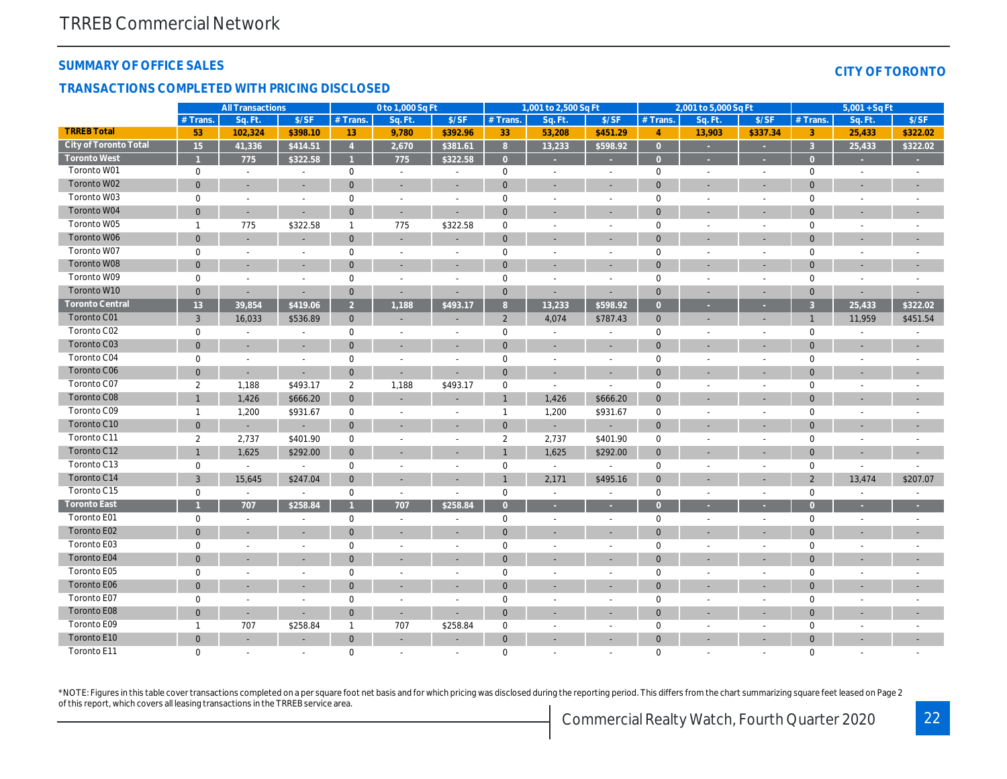#### **SUMMARY OF OFFICE SALES**

#### **TRANSACTIONS COMPLETED WITH PRICING DISCLOSED**

|  | CITY OF TORONTO |  |
|--|-----------------|--|
|  |                 |  |

|                        |                | <b>All Transactions</b>  |                          |                 | 0 to 1,000 Sq Ft         |                          |                | 1,001 to 2,500 Sq Ft     |                          |                | 2,001 to 5,000 Sq Ft     |                          | $5,001 + SqFt$ |                          |                          |
|------------------------|----------------|--------------------------|--------------------------|-----------------|--------------------------|--------------------------|----------------|--------------------------|--------------------------|----------------|--------------------------|--------------------------|----------------|--------------------------|--------------------------|
|                        | # Trans        | Sq. Ft.                  | \$/SF                    | # Trans.        | Sq. Ft.                  | \$/SF                    | # Trans.       | Sq. Ft                   | \$/SF                    | # Trans.       | Sq. Ft                   | \$/SF                    | # Trans.       | Sq. Ft.                  | \$/SF                    |
| <b>TRREB Total</b>     | 53             | 102,324                  | \$398.10                 | 13 <sup>°</sup> | 9,780                    | \$392.96                 | 33             | 53,208                   | \$451.29                 | $\overline{4}$ | 13,903                   | \$337.34                 | 3              | 25,433                   | \$322.02                 |
| City of Toronto Total  | 15             | 41,336                   | \$414.51                 | $\overline{4}$  | 2,670                    | \$381.61                 | 8              | 13,233                   | \$598.92                 | $\overline{0}$ |                          |                          | $\overline{3}$ | 25,433                   | \$322.02                 |
| <b>Toronto West</b>    |                | 775                      | \$322.58                 |                 | 775                      | \$322.58                 | $\Omega$       |                          |                          | $\Omega$       |                          |                          | $\Omega$       |                          |                          |
| Toronto W01            | $\mathbf 0$    | $\sim$                   | $\sim$                   | $\mathbf 0$     | $\sim$                   | $\overline{\phantom{a}}$ | $\mathbf 0$    | $\overline{\phantom{a}}$ | $\sim$                   | $\mathbf 0$    | $\overline{a}$           | $\sim$                   | $\mathbf 0$    | $\sim$                   |                          |
| Toronto W02            | $\mathbf{0}$   | $\sim$                   | $\sim$                   | $\mathbf 0$     | $\sim$                   | $\sim$                   | $\mathbf 0$    | $\sim$                   | $\overline{a}$           | $\overline{0}$ | ÷                        | ÷.                       | $\Omega$       | ÷                        |                          |
| Toronto W03            | $\mathbf 0$    | $\overline{a}$           | $\sim$                   | $\mathbf 0$     | $\overline{a}$           | $\overline{a}$           | $\mathbf 0$    | $\overline{a}$           | $\overline{a}$           | $\mathbf 0$    | $\overline{a}$           | $\sim$                   | $\mathbf 0$    | $\overline{a}$           |                          |
| Toronto W04            | $\mathbf{0}$   | $\sim$                   |                          | $\Omega$        | $\sim$                   | $\overline{\phantom{a}}$ | $\mathbf{0}$   |                          |                          | $\Omega$       |                          | $\overline{\phantom{a}}$ | $\Omega$       |                          |                          |
| Toronto W05            | $\mathbf{1}$   | 775                      | \$322.58                 | $\mathbf{1}$    | 775                      | \$322.58                 | $\mathbf 0$    | ÷                        | $\overline{a}$           | $\overline{0}$ | $\overline{a}$           | $\sim$                   | $\mathbf 0$    |                          |                          |
| Toronto W06            | $\overline{0}$ |                          |                          | $\mathbf{0}$    |                          |                          | $\mathbf{0}$   |                          |                          | $\overline{0}$ |                          |                          | $\Omega$       |                          |                          |
| Toronto W07            | $\mathbf 0$    | $\overline{a}$           | $\sim$                   | $\mathbf{0}$    | $\overline{\phantom{a}}$ | $\overline{a}$           | $\mathbf 0$    | $\overline{a}$           | $\overline{a}$           | $\mathbf 0$    | $\overline{a}$           | $\sim$                   | $\mathbf 0$    | $\overline{a}$           |                          |
| Toronto W08            | $\mathbf{0}$   |                          |                          | $\Omega$        |                          |                          | $\overline{0}$ |                          |                          | $\overline{0}$ |                          |                          | $\overline{0}$ |                          |                          |
| Toronto W09            | $\mathbf 0$    | $\overline{a}$           | $\overline{a}$           | $\mathbf 0$     | $\overline{a}$           | $\overline{a}$           | $\mathbf{0}$   | $\overline{a}$           | $\overline{a}$           | $\mathbf 0$    | $\overline{a}$           | $\overline{a}$           | $\mathbf 0$    | $\overline{a}$           |                          |
| Toronto W10            | $\Omega$       | ÷                        | $\sim$                   | $\mathbf{0}$    | $\sim$                   | ÷                        | $\mathbf{0}$   | ÷                        | ÷                        | $\mathbf{0}$   | ÷                        | $\overline{\phantom{a}}$ | $\Omega$       | ÷                        |                          |
| <b>Toronto Central</b> | 13             | 39,854                   | \$419.06                 | $\overline{2}$  | 1,188                    | \$493.17                 | 8              | 13,233                   | \$598.92                 | $\overline{0}$ |                          |                          | $\overline{3}$ | 25,433                   | \$322.02                 |
| Toronto C01            | $\mathbf{3}$   | 16,033                   | \$536.89                 | $\mathbf{0}$    |                          | $\overline{\phantom{a}}$ | $\overline{2}$ | 4,074                    | \$787.43                 | $\mathbf{0}$   | $\overline{\phantom{a}}$ | $\overline{\phantom{a}}$ | $\mathbf{1}$   | 11,959                   | \$451.54                 |
| Toronto C02            | $\mathbf 0$    |                          |                          | $\mathbf{0}$    |                          | $\overline{a}$           | $\mathbf 0$    | ÷,                       |                          | $\mathbf 0$    |                          | $\overline{a}$           | $\mathbf 0$    |                          |                          |
| Toronto C03            | $\mathbf{0}$   |                          | $\sim$                   | $\mathbf{0}$    |                          |                          | $\overline{0}$ |                          | $\overline{\phantom{a}}$ | $\overline{0}$ |                          |                          | $\overline{0}$ |                          | $\overline{\phantom{a}}$ |
| Toronto C04            | $\mathbf 0$    | $\overline{\phantom{a}}$ | $\sim$                   | $\mathbf 0$     | $\overline{\phantom{a}}$ | $\overline{\phantom{a}}$ | $\mathbf 0$    | $\sim$                   | $\sim$                   | $\overline{0}$ | $\overline{a}$           | $\sim$                   | $\mathbf 0$    | $\overline{\phantom{a}}$ |                          |
| Toronto C06            | $\mathbf{0}$   | ÷.                       |                          | $\mathbf{0}$    | $\overline{a}$           |                          | $\mathbf{0}$   |                          | ÷,                       | $\overline{0}$ |                          |                          | $\Omega$       |                          |                          |
| Toronto C07            | $\overline{2}$ | 1,188                    | \$493.17                 | $\overline{2}$  | 1,188                    | \$493.17                 | $\mathbf 0$    | $\sim$                   | $\overline{a}$           | $\mathbf 0$    | $\overline{a}$           | $\sim$                   | $\Omega$       |                          |                          |
| Toronto C08            | $\mathbf{1}$   | 1,426                    | \$666.20                 | $\mathbf{0}$    |                          |                          | $\mathbf{1}$   | 1,426                    | \$666.20                 | $\mathbf{0}$   |                          |                          | $\overline{0}$ |                          |                          |
| Toronto C09            | $\mathbf{1}$   | 1,200                    | \$931.67                 | $\mathbf 0$     | $\overline{a}$           | $\overline{a}$           | $\overline{1}$ | 1,200                    | \$931.67                 | $\mathbf 0$    | $\overline{a}$           | $\overline{a}$           | $\mathbf 0$    | $\sim$                   |                          |
| Toronto C10            | $\mathbf{0}$   |                          |                          | $\mathbf{0}$    |                          |                          | $\mathbf{0}$   |                          |                          | $\overline{0}$ | ٠                        |                          | $\Omega$       |                          |                          |
| Toronto C11            | $\overline{2}$ | 2,737                    | \$401.90                 | $\mathbf 0$     | $\overline{\phantom{a}}$ | $\overline{a}$           | $\overline{2}$ | 2,737                    | \$401.90                 | $\mathbf 0$    | $\overline{a}$           | $\sim$                   | $\mathbf 0$    | $\overline{a}$           |                          |
| Toronto C12            | $\mathbf{1}$   | 1,625                    | \$292.00                 | $\mathbf{0}$    |                          |                          |                | 1,625                    | \$292.00                 | $\mathbf 0$    |                          | ÷,                       | $\Omega$       |                          |                          |
| Toronto C13            | $\mathbf 0$    | $\overline{a}$           | $\overline{a}$           | $\mathbf 0$     |                          |                          | $\mathbf{0}$   | $\sim$                   | $\overline{a}$           | $\mathbf 0$    |                          | $\overline{a}$           | $\mathbf 0$    | $\overline{\phantom{a}}$ |                          |
| Toronto C14            | $\overline{3}$ | 15,645                   | \$247.04                 | $\mathbf{0}$    |                          | $\overline{\phantom{a}}$ |                | 2,171                    | \$495.16                 | $\mathbf{0}$   |                          | $\overline{\phantom{a}}$ | $\overline{2}$ | 13,474                   | \$207.07                 |
| Toronto C15            | $\mathbf 0$    | $\sim$                   | $\sim$                   | $\mathbf 0$     | $\overline{a}$           | $\overline{a}$           | $\mathbf 0$    | $\sim$                   | $\mathbb{L}$             | $\mathbf 0$    | $\overline{a}$           | $\overline{a}$           | $\mathbf 0$    | $\overline{a}$           |                          |
| <b>Toronto East</b>    |                | 707                      | \$258.84                 |                 | 707                      | \$258.84                 | $\overline{0}$ | $\sim$                   | ×.                       | $\Omega$       |                          |                          | $\Omega$       |                          |                          |
| Toronto E01            | $\mathbf 0$    | $\sim$                   | $\overline{\phantom{a}}$ | $\mathbf 0$     | $\sim$                   | $\overline{\phantom{a}}$ | $\mathbf 0$    | $\overline{\phantom{a}}$ | $\overline{\phantom{a}}$ | $\mathbf 0$    | $\overline{\phantom{a}}$ | $\overline{\phantom{a}}$ | $\mathbf 0$    | $\sim$                   |                          |
| Toronto E02            | $\overline{0}$ |                          |                          | $\mathbf{0}$    |                          |                          | $\overline{0}$ |                          |                          | $\overline{0}$ |                          |                          | $\Omega$       |                          |                          |
| Toronto E03            | $\mathbf 0$    |                          | $\sim$                   | $\mathbf 0$     |                          | $\overline{a}$           | $\mathbf 0$    | $\overline{a}$           | $\overline{a}$           | $\mathbf 0$    |                          | $\overline{a}$           | $\mathbf 0$    |                          |                          |
| Toronto E04            | $\Omega$       |                          |                          | $\Omega$        |                          |                          | $\Omega$       |                          |                          | $\Omega$       |                          | ÷                        | $\Omega$       |                          |                          |
| Toronto E05            | $\mathbf 0$    | $\sim$                   | $\overline{\phantom{a}}$ | $\mathbf 0$     | $\overline{\phantom{a}}$ | $\overline{a}$           | 0              | $\overline{a}$           | $\overline{\phantom{a}}$ | $\mathbf 0$    | $\overline{a}$           | $\sim$                   | $\mathbf 0$    | $\overline{a}$           |                          |
| Toronto E06            | $\mathbf{0}$   |                          |                          | $\mathbf{0}$    |                          | ÷                        | $\Omega$       |                          |                          | $\overline{0}$ |                          | ٠                        | $\Omega$       |                          |                          |
| Toronto E07            | $\mathbf 0$    | $\overline{a}$           | $\sim$                   | $\mathbf{0}$    | $\overline{a}$           | $\sim$                   | $\mathbf{0}$   | $\overline{a}$           | $\overline{a}$           | $\mathbf 0$    | $\overline{a}$           | $\overline{a}$           | $\mathbf 0$    | $\overline{\phantom{a}}$ |                          |
| Toronto E08            | $\mathbf{0}$   | $\sim$                   |                          | $\mathbf 0$     |                          | $\overline{\phantom{a}}$ | $\overline{0}$ |                          |                          | $\overline{0}$ |                          |                          | $\overline{0}$ |                          |                          |
| Toronto E09            | $\mathbf{1}$   | 707                      | \$258.84                 | $\mathbf{1}$    | 707                      | \$258.84                 | $\mathbf 0$    |                          |                          | $\mathbf 0$    |                          |                          | $\mathbf 0$    |                          |                          |
| Toronto E10            | $\Omega$       | ÷                        | $\sim$                   | $\mathbf{0}$    | $\sim$                   | $\overline{\phantom{a}}$ | $\mathbf{0}$   | $\overline{\phantom{a}}$ |                          | $\Omega$       |                          |                          | $\Omega$       |                          |                          |
| Toronto E11            | $\Omega$       |                          |                          | $\Omega$        | $\sim$                   |                          | $\Omega$       |                          |                          | $\mathbf 0$    | $\overline{a}$           |                          | $\Omega$       |                          |                          |

\*NOTE: Figures in this table cover transactions completed on a per square foot net basis and for which pricing was disclosed during the reporting period. This differs from the chart summarizing square feet leased on Page 2 of this report, which covers all leasing transactions in the TRREB service area.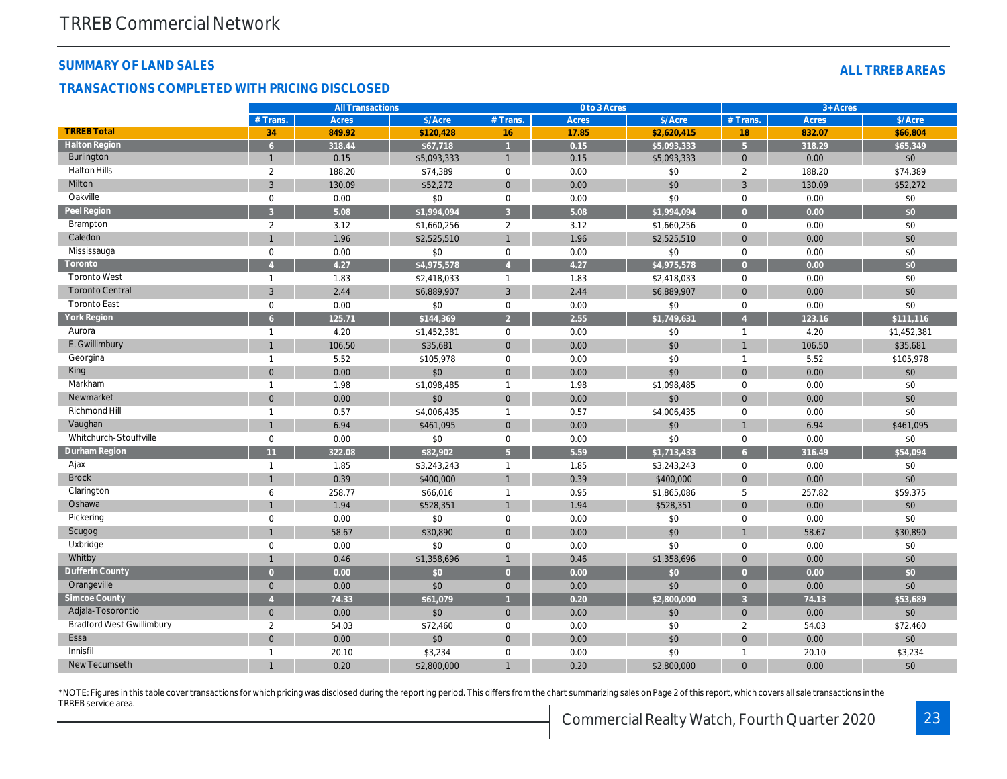#### **SUMMARY OF LAND SALES**

#### **TRANSACTIONS COMPLETED WITH PRICING DISCLOSED**

|                                  |                | <b>All Transactions</b><br>0 to 3 Acres |             |                     |              | $3 +$ Acres |                |              |             |
|----------------------------------|----------------|-----------------------------------------|-------------|---------------------|--------------|-------------|----------------|--------------|-------------|
|                                  | $#$ Trans.     | <b>Acres</b>                            | \$/Acre     | $#$ Trans.          | <b>Acres</b> | \$/Acre     | # Trans        | <b>Acres</b> | \$/Acre     |
| <b>TRREB Total</b>               | 34             | 849.92                                  | \$120,428   | 16                  | 17.85        | \$2,620,415 | 18             | 832.07       | \$66,804    |
| <b>Halton Region</b>             | 6              | 318.44                                  | \$67,718    |                     | 0.15         | \$5,093,333 | 5 <sup>1</sup> | 318.29       | \$65,349    |
| Burlington                       | $\mathbf{1}$   | 0.15                                    | \$5,093,333 | $\mathbf{1}$        | 0.15         | \$5,093,333 | $\overline{0}$ | 0.00         | \$0         |
| <b>Halton Hills</b>              | 2              | 188.20                                  | \$74,389    | $\mathbf 0$         | 0.00         | \$0         | $\overline{2}$ | 188.20       | \$74,389    |
| Milton                           | 3              | 130.09                                  | \$52,272    | $\overline{0}$      | 0.00         | \$0         | $\overline{3}$ | 130.09       | \$52,272    |
| Oakville                         | 0              | 0.00                                    | \$0         | $\mathbf 0$         | 0.00         | \$0         | $\mathbf 0$    | 0.00         | \$0         |
| Peel Region                      |                | 5.08                                    | \$1,994.094 | $\overline{3}$      | 5.08         | \$1,994.094 | $\Omega$       | 0.00         | \$0         |
| Brampton                         | 2              | 3.12                                    | \$1,660,256 | 2                   | 3.12         | \$1,660,256 | $\mathbf 0$    | 0.00         | \$0         |
| Caledon                          |                | 1.96                                    | \$2,525,510 |                     | 1.96         | \$2,525,510 | $\overline{0}$ | 0.00         | \$0         |
| Mississauga                      | $\mathbf 0$    | 0.00                                    | \$0         | $\mathbf 0$         | 0.00         | \$0         | $\mathbf{0}$   | 0.00         | \$0         |
| Toronto                          |                | 4.27                                    | \$4,975,578 |                     | 4.27         | \$4,975,578 | $\overline{0}$ | 0.00         | \$0         |
| <b>Toronto West</b>              | $\mathbf{1}$   | 1.83                                    | \$2,418,033 | $\mathbf{1}$        | 1.83         | \$2,418,033 | $\mathbf 0$    | 0.00         | \$0         |
| <b>Toronto Central</b>           | 3              | 2.44                                    | \$6,889,907 | $\overline{3}$      | 2.44         | \$6,889,907 | $\overline{0}$ | 0.00         | \$0         |
| <b>Toronto East</b>              | $\mathbf 0$    | 0.00                                    | \$0         | $\mathbf 0$         | 0.00         | \$0         | $\mathbf 0$    | 0.00         | \$0         |
| York Region                      |                | 125.71                                  | \$144,369   | $\overline{2}$      | 2.55         | \$1,749,631 |                | 123.16       | \$111,116   |
| Aurora                           | $\overline{1}$ | 4.20                                    | \$1,452,381 | $\mathbf 0$         | 0.00         | \$0         | $\mathbf{1}$   | 4.20         | \$1,452,381 |
| E. Gwillimbury                   |                | 106.50                                  | \$35,681    | $\Omega$            | 0.00         | \$0         | $\overline{1}$ | 106.50       | \$35,681    |
| Georgina                         | $\overline{1}$ | 5.52                                    | \$105,978   | $\mathbf 0$         | 0.00         | \$0         | $\mathbf{1}$   | 5.52         | \$105,978   |
| King                             | $\Omega$       | 0.00                                    | \$0         | $\Omega$            | 0.00         | \$0         | $\overline{0}$ | 0.00         | \$0         |
| Markham                          | $\overline{1}$ | 1.98                                    | \$1,098,485 | $\mathbf{1}$        | 1.98         | \$1,098,485 | $\mathbf{0}$   | 0.00         | \$0         |
| Newmarket                        | $\mathbf{0}$   | 0.00                                    | \$0         | $\overline{0}$      | 0.00         | \$0         | $\overline{0}$ | 0.00         | \$0         |
| Richmond Hill                    | $\overline{1}$ | 0.57                                    | \$4,006,435 | $\mathbf{1}$        | 0.57         | \$4,006,435 | $\mathbf 0$    | 0.00         | \$0         |
| Vaughan                          | 1              | 6.94                                    | \$461,095   | $\mathbf{0}$        | 0.00         | \$0         | $\mathbf{1}$   | 6.94         | \$461,095   |
| Whitchurch-Stouffville           | $\mathbf 0$    | 0.00                                    | \$0         | $\mathbf 0$         | 0.00         | \$0         | $\mathbf 0$    | 0.00         | \$0         |
| Durham Region                    | 11             | 322.08                                  | \$82,902    | $\overline{5}$      | 5.59         | \$1,713,433 | 6              | 316.49       | \$54,094    |
| Ajax                             | $\overline{1}$ | 1.85                                    | \$3,243,243 | $\mathbf{1}$        | 1.85         | \$3,243,243 | $\mathbf 0$    | 0.00         | \$0         |
| <b>Brock</b>                     | $\mathbf{1}$   | 0.39                                    | \$400,000   |                     | 0.39         | \$400,000   | $\overline{0}$ | 0.00         | \$0         |
| Clarington                       | 6              | 258.77                                  | \$66,016    | $\mathbf{1}$        | 0.95         | \$1,865,086 | 5              | 257.82       | \$59,375    |
| Oshawa                           | $\mathbf{1}$   | 1.94                                    | \$528,351   | $\mathbf{1}$        | 1.94         | \$528,351   | $\overline{0}$ | 0.00         | \$0         |
| Pickering                        | $\mathbf 0$    | 0.00                                    | \$0         | $\mathbf 0$         | 0.00         | \$0         | $\mathbf 0$    | 0.00         | \$0         |
| Scugog                           |                | 58.67                                   | \$30,890    | $\overline{0}$      | 0.00         | \$0         | $\mathbf{1}$   | 58.67        | \$30,890    |
| Uxbridge                         | $\mathbf 0$    | 0.00                                    | \$0         | $\mathsf{O}\xspace$ | 0.00         | \$0         | $\mathbf 0$    | 0.00         | \$0         |
| Whitby                           | 1              | 0.46                                    | \$1,358,696 | $\mathbf{1}$        | 0.46         | \$1,358,696 | $\Omega$       | 0.00         | \$0         |
| Dufferin County                  | $\Omega$       | 0.00                                    | \$0         | $\Omega$            | 0.00         | \$0         | $\overline{0}$ | 0.00         | \$0         |
| Orangeville                      | $\Omega$       | 0.00                                    | \$0         | $\mathbf{0}$        | 0.00         | \$0         | $\Omega$       | 0.00         | \$0         |
| Simcoe County                    |                | 74.33                                   | \$61,079    |                     | 0.20         | \$2,800,000 | $\overline{3}$ | 74.13        | \$53,689    |
| Adjala-Tosorontio                | $\overline{0}$ | 0.00                                    | \$0         | $\mathbf{0}$        | 0.00         | \$0         | $\mathbf{0}$   | 0.00         | \$0         |
| <b>Bradford West Gwillimbury</b> | $\overline{2}$ | 54.03                                   | \$72,460    | $\mathbf 0$         | 0.00         | \$0         | $\overline{2}$ | 54.03        | \$72,460    |
| Essa                             | $\mathbf{0}$   | 0.00                                    | \$0         | $\mathbf{0}$        | 0.00         | \$0         | $\mathbf{0}$   | 0.00         | \$0         |
| Innisfil                         | $\mathbf{1}$   | 20.10                                   | \$3,234     | $\mathbf 0$         | 0.00         | \$0         | $\mathbf{1}$   | 20.10        | \$3,234     |
| New Tecumseth                    |                | 0.20                                    | \$2,800,000 |                     | 0.20         | \$2,800,000 | $\Omega$       | 0.00         | \$0         |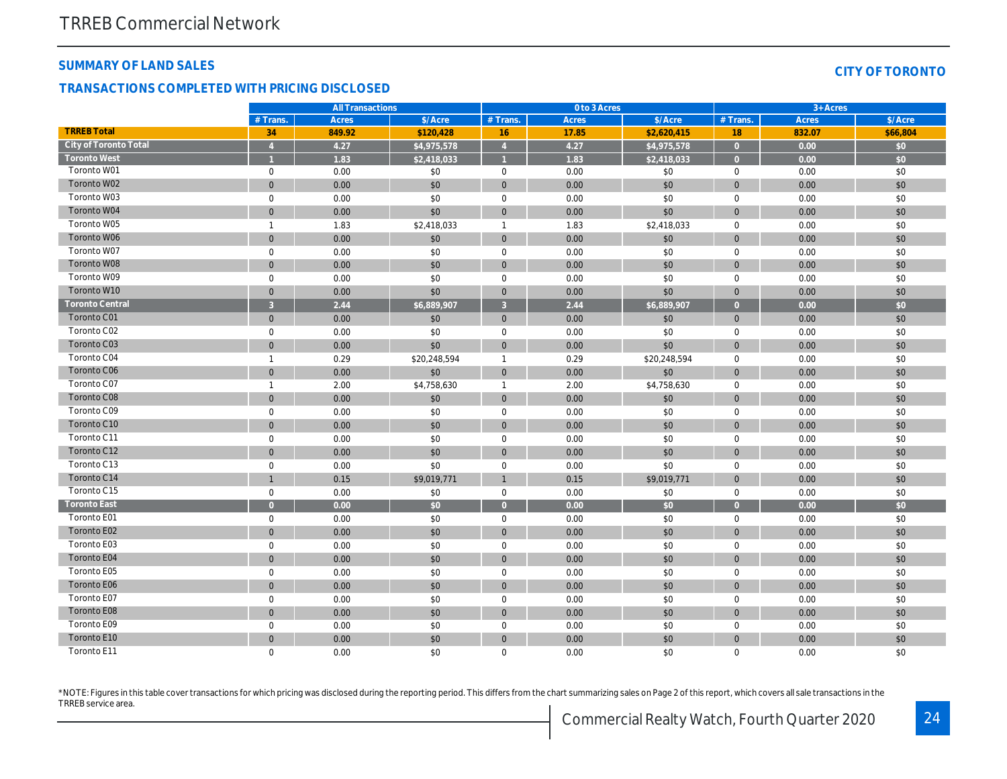#### **SUMMARY OF LAND SALES**

#### **TRANSACTIONS COMPLETED WITH PRICING DISCLOSED**

| CITY OF TORONTO |  |  |  |  |  |  |
|-----------------|--|--|--|--|--|--|
|-----------------|--|--|--|--|--|--|

|                        |                     | <b>All Transactions</b> |              |                     | 0 to 3 Acres |              |                | $3 +$ Acres |          |
|------------------------|---------------------|-------------------------|--------------|---------------------|--------------|--------------|----------------|-------------|----------|
|                        | $#$ Trans.          | Acres                   | \$/Acre      | $#$ Trans.          | <b>Acres</b> | \$/Acre      | $#$ Trans.     | Acres       | \$/Acre  |
| <b>TRREB Total</b>     | 34                  | 849.92                  | \$120.428    | 16                  | 17.85        | \$2.620.415  | 18             | 832.07      | \$66,804 |
| City of Toronto Total  | $\overline{A}$      | 4.27                    | \$4,975,578  | $\overline{4}$      | 4.27         | \$4,975,578  | $\overline{0}$ | 0.00        | \$0      |
| <b>Toronto West</b>    |                     | 1.83                    | \$2,418,033  |                     | 1.83         | \$2,418,033  | $\overline{0}$ | 0.00        | \$0      |
| Toronto W01            | $\mathbf 0$         | 0.00                    | \$0          | $\mathbf 0$         | 0.00         | \$0          | $\mathbf 0$    | 0.00        | \$0      |
| Toronto W02            | $\overline{0}$      | 0.00                    | \$0          | $\mathbf{0}$        | 0.00         | \$0          | $\mathbf 0$    | 0.00        | \$0      |
| Toronto W03            | $\mathbf 0$         | 0.00                    | \$0          | $\mathsf{O}\xspace$ | 0.00         | \$0          | $\mathbf 0$    | 0.00        | \$0      |
| Toronto W04            | $\overline{0}$      | 0.00                    | \$0          | $\mathbf{0}$        | 0.00         | \$0          | $\Omega$       | 0.00        | \$0      |
| Toronto W05            | $\mathbf{1}$        | 1.83                    | \$2,418,033  | $\mathbf{1}$        | 1.83         | \$2,418,033  | $\mathbf 0$    | 0.00        | \$0      |
| Toronto W06            | $\mathbf{0}$        | 0.00                    | \$0          | $\mathbf{0}$        | 0.00         | \$0          | $\mathbf{0}$   | 0.00        | \$0      |
| Toronto W07            | $\mathbf 0$         | 0.00                    | \$0          | $\mathbf 0$         | 0.00         | \$0          | $\mathbf 0$    | 0.00        | \$0      |
| Toronto W08            | $\Omega$            | 0.00                    | \$0          | $\mathbf{0}$        | 0.00         | \$0          | $\overline{0}$ | 0.00        | \$0      |
| Toronto W09            | $\Omega$            | 0.00                    | \$0          | $\mathbf 0$         | 0.00         | \$0          | $\mathbf 0$    | 0.00        | \$0      |
| Toronto W10            | $\mathbf{0}$        | 0.00                    | \$0          | $\mathbf{0}$        | 0.00         | \$0          | $\mathbf{0}$   | 0.00        | \$0      |
| <b>Toronto Central</b> | $\overline{3}$      | 2.44                    | \$6,889,907  | $\overline{3}$      | 2.44         | \$6,889,907  | $\overline{0}$ | 0.00        | \$0      |
| Toronto C01            | $\mathbf{0}$        | 0.00                    | \$0          | $\overline{0}$      | 0.00         | \$0          | $\mathbf{0}$   | 0.00        | \$0      |
| Toronto C02            | $\mathbf 0$         | 0.00                    | \$0          | $\mathbf 0$         | 0.00         | \$0          | $\mathbf 0$    | 0.00        | \$0      |
| Toronto C03            | $\overline{0}$      | 0.00                    | \$0          | $\mathbf{0}$        | 0.00         | \$0          | $\overline{0}$ | 0.00        | \$0      |
| Toronto C04            | $\mathbf{1}$        | 0.29                    | \$20,248,594 | $\mathbf{1}$        | 0.29         | \$20,248,594 | $\mathbf 0$    | 0.00        | \$0      |
| Toronto C06            | $\overline{0}$      | 0.00                    | \$0          | $\mathbf{0}$        | 0.00         | \$0          | $\mathbf{0}$   | 0.00        | \$0      |
| Toronto C07            | $\mathbf{1}$        | 2.00                    | \$4,758,630  | $\mathbf{1}$        | 2.00         | \$4,758,630  | $\mathbf 0$    | 0.00        | \$0      |
| Toronto C08            | $\overline{0}$      | 0.00                    | \$0          | $\mathbf{0}$        | 0.00         | \$0          | $\overline{0}$ | 0.00        | \$0      |
| Toronto C09            | $\mathbf 0$         | 0.00                    | \$0          | $\mathsf{O}\xspace$ | 0.00         | \$0          | $\mathbf 0$    | 0.00        | \$0      |
| Toronto C10            | $\Omega$            | 0.00                    | \$0          | $\mathbf{0}$        | 0.00         | \$0          | $\mathbf{0}$   | 0.00        | \$0      |
| Toronto C11            | $\mathbf 0$         | 0.00                    | \$0          | $\mathbf 0$         | 0.00         | \$0          | $\Omega$       | 0.00        | \$0      |
| Toronto C12            | $\overline{0}$      | 0.00                    | \$0          | $\mathbf{0}$        | 0.00         | \$0          | $\mathbf{0}$   | 0.00        | \$0      |
| Toronto C13            | $\mathbf 0$         | 0.00                    | \$0          | $\mathbf 0$         | 0.00         | \$0          | $\mathbf 0$    | 0.00        | \$0      |
| Toronto C14            | $\mathbf{1}$        | 0.15                    | \$9,019,771  | $\mathbf{1}$        | 0.15         | \$9,019,771  | $\mathbf{0}$   | 0.00        | \$0      |
| Toronto C15            | $\mathbf 0$         | 0.00                    | \$0          | $\mathbf 0$         | 0.00         | \$0          | $\mathbf 0$    | 0.00        | \$0      |
| <b>Toronto East</b>    | $\Omega$            | 0.00                    | \$0          | $\overline{0}$      | 0.00         | \$0          | $\overline{0}$ | 0.00        | \$0      |
| Toronto E01            | $\mathsf{O}\xspace$ | 0.00                    | \$0          | $\mathsf{O}\xspace$ | 0.00         | \$0          | $\mathbf 0$    | 0.00        | \$0      |
| Toronto E02            | $\Omega$            | 0.00                    | \$0          | $\mathbf{0}$        | 0.00         | \$0          | $\mathbf{0}$   | 0.00        | \$0      |
| Toronto E03            | $\mathbf 0$         | 0.00                    | \$0          | $\mathbf 0$         | 0.00         | \$0          | $\mathbf 0$    | 0.00        | \$0      |
| Toronto E04            | $\overline{0}$      | 0.00                    | \$0          | $\mathbf{0}$        | 0.00         | \$0          | $\overline{0}$ | 0.00        | \$0      |
| Toronto E05            | $\mathbf{O}$        | 0.00                    | \$0          | $\mathbf 0$         | 0.00         | \$0          | $\Omega$       | 0.00        | \$0      |
| Toronto E06            | $\Omega$            | 0.00                    | \$0          | $\mathbf{0}$        | 0.00         | \$0          | $\mathbf{0}$   | 0.00        | \$0      |
| Toronto E07            | $\mathbf 0$         | 0.00                    | \$0          | $\mathbf 0$         | 0.00         | \$0          | $\mathbf 0$    | 0.00        | \$0      |
| Toronto E08            | $\overline{0}$      | 0.00                    | \$0          | $\mathbf{0}$        | 0.00         | \$0          | $\overline{0}$ | 0.00        | \$0      |
| Toronto E09            | $\mathbf 0$         | 0.00                    | \$0          | $\mathsf{O}\xspace$ | 0.00         | \$0          | $\mathbf 0$    | 0.00        | \$0      |
| Toronto E10            | $\Omega$            | 0.00                    | \$0          | $\Omega$            | 0.00         | \$0          | $\Omega$       | 0.00        | \$0      |
| Toronto E11            | $\Omega$            | 0.00                    | \$0          | $\mathbf 0$         | 0.00         | \$0          | $\mathbf 0$    | 0.00        | \$0      |